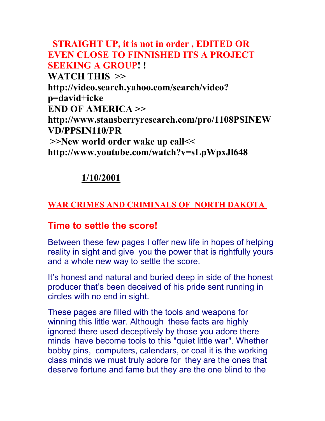## **STRAIGHT UP, it is not in order , EDITED OR EVEN CLOSE TO FINNISHED ITS A PROJECT SEEKING A GROUP! ! WATCH THIS >> http://video.search.yahoo.com/search/video? p=david+icke END OF AMERICA >> http://www.stansberryresearch.com/pro/1108PSINEW VD/PPSIN110/PR >>New world order wake up call<< http://www.youtube.com/watch?v=sLpWpxJl648**

## **1/10/2001**

## **WAR CRIMES AND CRIMINALS OF NORTH DAKOTA**

## **Time to settle the score!**

Between these few pages I offer new life in hopes of helping reality in sight and give you the power that is rightfully yours and a whole new way to settle the score.

It's honest and natural and buried deep in side of the honest producer that's been deceived of his pride sent running in circles with no end in sight.

These pages are filled with the tools and weapons for winning this little war. Although these facts are highly ignored there used deceptively by those you adore there minds have become tools to this "quiet little war". Whether bobby pins, computers, calendars, or coal it is the working class minds we must truly adore for they are the ones that deserve fortune and fame but they are the one blind to the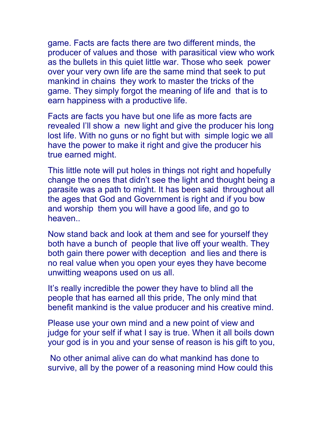game. Facts are facts there are two different minds, the producer of values and those with parasitical view who work as the bullets in this quiet little war. Those who seek power over your very own life are the same mind that seek to put mankind in chains they work to master the tricks of the game. They simply forgot the meaning of life and that is to earn happiness with a productive life.

Facts are facts you have but one life as more facts are revealed I'll show a new light and give the producer his long lost life. With no guns or no fight but with simple logic we all have the power to make it right and give the producer his true earned might.

This little note will put holes in things not right and hopefully change the ones that didn't see the light and thought being a parasite was a path to might. It has been said throughout all the ages that God and Government is right and if you bow and worship them you will have a good life, and go to heaven..

Now stand back and look at them and see for yourself they both have a bunch of people that live off your wealth. They both gain there power with deception and lies and there is no real value when you open your eyes they have become unwitting weapons used on us all.

It's really incredible the power they have to blind all the people that has earned all this pride, The only mind that benefit mankind is the value producer and his creative mind.

Please use your own mind and a new point of view and judge for your self if what I say is true. When it all boils down your god is in you and your sense of reason is his gift to you,

 No other animal alive can do what mankind has done to survive, all by the power of a reasoning mind How could this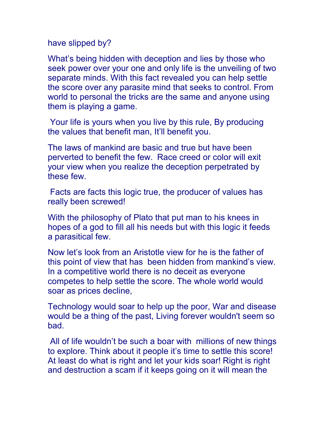have slipped by?

What's being hidden with deception and lies by those who seek power over your one and only life is the unveiling of two separate minds. With this fact revealed you can help settle the score over any parasite mind that seeks to control. From world to personal the tricks are the same and anyone using them is playing a game.

 Your life is yours when you live by this rule, By producing the values that benefit man, It'll benefit you.

The laws of mankind are basic and true but have been perverted to benefit the few. Race creed or color will exit your view when you realize the deception perpetrated by these few.

 Facts are facts this logic true, the producer of values has really been screwed!

With the philosophy of Plato that put man to his knees in hopes of a god to fill all his needs but with this logic it feeds a parasitical few.

Now let's look from an Aristotle view for he is the father of this point of view that has been hidden from mankind's view. In a competitive world there is no deceit as everyone competes to help settle the score. The whole world would soar as prices decline,

Technology would soar to help up the poor, War and disease would be a thing of the past, Living forever wouldn't seem so bad.

 All of life wouldn't be such a boar with millions of new things to explore. Think about it people it's time to settle this score! At least do what is right and let your kids soar! Right is right and destruction a scam if it keeps going on it will mean the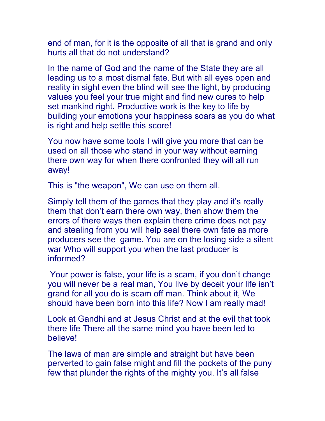end of man, for it is the opposite of all that is grand and only hurts all that do not understand?

In the name of God and the name of the State they are all leading us to a most dismal fate. But with all eyes open and reality in sight even the blind will see the light, by producing values you feel your true might and find new cures to help set mankind right. Productive work is the key to life by building your emotions your happiness soars as you do what is right and help settle this score!

You now have some tools I will give you more that can be used on all those who stand in your way without earning there own way for when there confronted they will all run away!

This is "the weapon", We can use on them all.

Simply tell them of the games that they play and it's really them that don't earn there own way, then show them the errors of there ways then explain there crime does not pay and stealing from you will help seal there own fate as more producers see the game. You are on the losing side a silent war Who will support you when the last producer is informed?

 Your power is false, your life is a scam, if you don't change you will never be a real man, You live by deceit your life isn't grand for all you do is scam off man. Think about it, We should have been born into this life? Now I am really mad!

Look at Gandhi and at Jesus Christ and at the evil that took there life There all the same mind you have been led to believe!

The laws of man are simple and straight but have been perverted to gain false might and fill the pockets of the puny few that plunder the rights of the mighty you. It's all false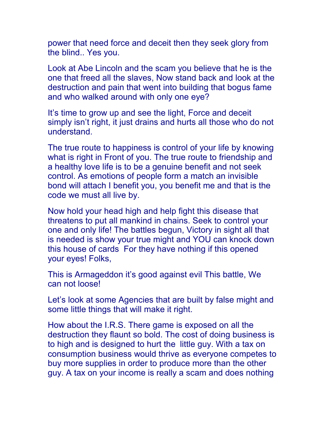power that need force and deceit then they seek glory from the blind.. Yes you.

Look at Abe Lincoln and the scam you believe that he is the one that freed all the slaves, Now stand back and look at the destruction and pain that went into building that bogus fame and who walked around with only one eye?

It's time to grow up and see the light, Force and deceit simply isn't right, it just drains and hurts all those who do not understand.

The true route to happiness is control of your life by knowing what is right in Front of you. The true route to friendship and a healthy love life is to be a genuine benefit and not seek control. As emotions of people form a match an invisible bond will attach I benefit you, you benefit me and that is the code we must all live by.

Now hold your head high and help fight this disease that threatens to put all mankind in chains. Seek to control your one and only life! The battles begun, Victory in sight all that is needed is show your true might and YOU can knock down this house of cards For they have nothing if this opened your eyes! Folks,

This is Armageddon it's good against evil This battle, We can not loose!

Let's look at some Agencies that are built by false might and some little things that will make it right.

How about the I.R.S. There game is exposed on all the destruction they flaunt so bold. The cost of doing business is to high and is designed to hurt the little guy. With a tax on consumption business would thrive as everyone competes to buy more supplies in order to produce more than the other guy. A tax on your income is really a scam and does nothing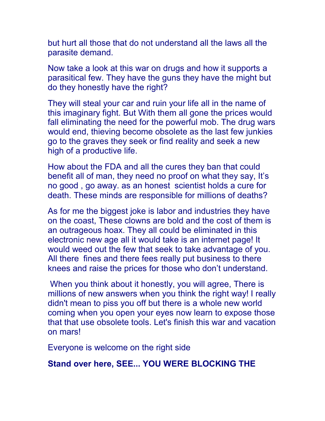but hurt all those that do not understand all the laws all the parasite demand.

Now take a look at this war on drugs and how it supports a parasitical few. They have the guns they have the might but do they honestly have the right?

They will steal your car and ruin your life all in the name of this imaginary fight. But With them all gone the prices would fall eliminating the need for the powerful mob. The drug wars would end, thieving become obsolete as the last few junkies go to the graves they seek or find reality and seek a new high of a productive life.

How about the FDA and all the cures they ban that could benefit all of man, they need no proof on what they say, It's no good , go away. as an honest scientist holds a cure for death. These minds are responsible for millions of deaths?

As for me the biggest joke is labor and industries they have on the coast, These clowns are bold and the cost of them is an outrageous hoax. They all could be eliminated in this electronic new age all it would take is an internet page! It would weed out the few that seek to take advantage of you. All there fines and there fees really put business to there knees and raise the prices for those who don't understand.

 When you think about it honestly, you will agree, There is millions of new answers when you think the right way! I really didn't mean to piss you off but there is a whole new world coming when you open your eyes now learn to expose those that that use obsolete tools. Let's finish this war and vacation on mars!

Everyone is welcome on the right side

#### **Stand over here, SEE... YOU WERE BLOCKING THE**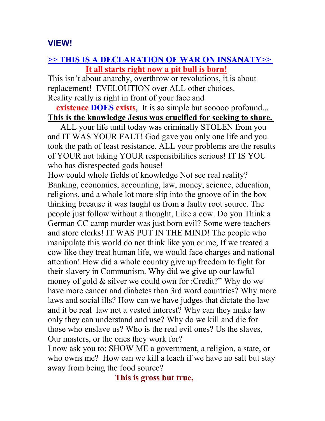### **VIEW!**

#### **>> THIS IS A DECLARATION OF WAR ON INSANATY>> It all starts right now a pit bull is born!**

This isn't about anarchy, overthrow or revolutions, it is about replacement! EVELOUTION over ALL other choices. Reality really is right in front of your face and

**existence DOES exists.** It is so simple but sooooo profound... **This is the knowledge Jesus was crucified for seeking to share.** 

 ALL your life until today was criminally STOLEN from you and IT WAS YOUR FALT! God gave you only one life and you took the path of least resistance. ALL your problems are the results of YOUR not taking YOUR responsibilities serious! IT IS YOU who has disrespected gods house!

How could whole fields of knowledge Not see real reality? Banking, economics, accounting, law, money, science, education, religions, and a whole lot more slip into the groove of in the box thinking because it was taught us from a faulty root source. The people just follow without a thought, Like a cow. Do you Think a German CC camp murder was just born evil? Some were teachers and store clerks! IT WAS PUT IN THE MIND! The people who manipulate this world do not think like you or me, If we treated a cow like they treat human life, we would face charges and national attention! How did a whole country give up freedom to fight for their slavery in Communism. Why did we give up our lawful money of gold & silver we could own for :Credit?" Why do we have more cancer and diabetes than 3rd word countries? Why more laws and social ills? How can we have judges that dictate the law and it be real law not a vested interest? Why can they make law only they can understand and use? Why do we kill and die for those who enslave us? Who is the real evil ones? Us the slaves, Our masters, or the ones they work for?

I now ask you to; SHOW ME a government, a religion, a state, or who owns me? How can we kill a leach if we have no salt but stay away from being the food source?

 **This is gross but true,**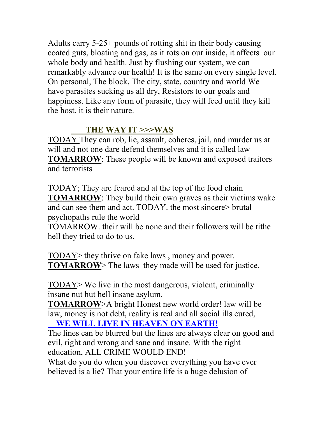Adults carry 5-25+ pounds of rotting shit in their body causing coated guts, bloating and gas, as it rots on our inside, it affects our whole body and health. Just by flushing our system, we can remarkably advance our health! It is the same on every single level. On personal, The block, The city, state, country and world We have parasites sucking us all dry, Resistors to our goals and happiness. Like any form of parasite, they will feed until they kill the host, it is their nature.

### **THE WAY IT >>>WAS**

TODAY They can rob, lie, assault, coheres, jail, and murder us at will and not one dare defend themselves and it is called law **TOMARROW**: These people will be known and exposed traitors and terrorists

TODAY; They are feared and at the top of the food chain **TOMARROW**: They build their own graves as their victims wake and can see them and act. TODAY. the most sincere> brutal psychopaths rule the world

TOMARROW. their will be none and their followers will be tithe hell they tried to do to us.

TODAY> they thrive on fake laws , money and power. **TOMARROW** The laws they made will be used for justice.

TODAY> We live in the most dangerous, violent, criminally insane nut hut hell insane asylum.

**TOMARROW**>A bright Honest new world order! law will be law, money is not debt, reality is real and all social ills cured,

 **WE WILL LIVE IN HEAVEN ON EARTH!**

The lines can be blurred but the lines are always clear on good and evil, right and wrong and sane and insane. With the right education, ALL CRIME WOULD END!

What do you do when you discover everything you have ever believed is a lie? That your entire life is a huge delusion of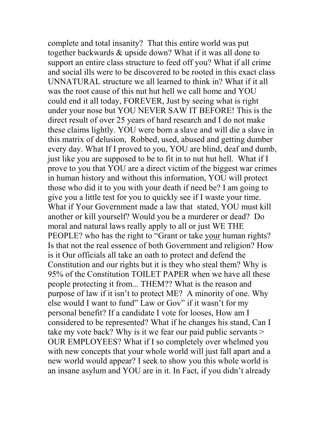complete and total insanity? That this entire world was put together backwards & upside down? What if it was all done to support an entire class structure to feed off you? What if all crime and social ills were to be discovered to be rooted in this exact class UNNATURAL structure we all learned to think in? What if it all was the root cause of this nut hut hell we call home and YOU could end it all today, FOREVER, Just by seeing what is right under your nose but YOU NEVER SAW IT BEFORE! This is the direct result of over 25 years of hard research and I do not make these claims lightly. YOU were born a slave and will die a slave in this matrix of delusion, Robbed, used, abused and getting dumber every day. What If I proved to you, YOU are blind, deaf and dumb, just like you are supposed to be to fit in to nut hut hell. What if I prove to you that YOU are a direct victim of the biggest war crimes in human history and without this information, YOU will protect those who did it to you with your death if need be? I am going to give you a little test for you to quickly see if I waste your time. What if Your Government made a law that stated, YOU must kill another or kill yourself? Would you be a murderer or dead? Do moral and natural laws really apply to all or just WE THE PEOPLE? who has the right to "Grant or take your human rights? Is that not the real essence of both Government and religion? How is it Our officials all take an oath to protect and defend the Constitution and our rights but it is they who steal them? Why is 95% of the Constitution TOILET PAPER when we have all these people protecting it from... THEM?? What is the reason and purpose of law if it isn't to protect ME? A minority of one. Why else would I want to fund" Law or Gov" if it wasn't for my personal benefit? If a candidate I vote for looses, How am I considered to be represented? What if he changes his stand, Can I take my vote back? Why is it we fear our paid public servants > OUR EMPLOYEES? What if I so completely over whelmed you with new concepts that your whole world will just fall apart and a new world would appear? I seek to show you this whole world is an insane asylum and YOU are in it. In Fact, if you didn't already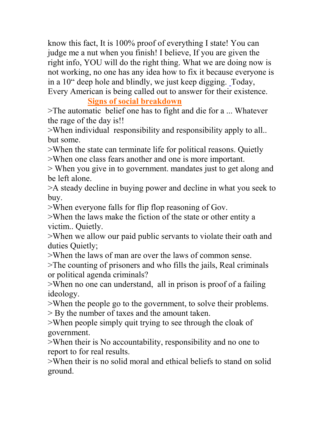know this fact, It is 100% proof of everything I state! You can judge me a nut when you finish! I believe, If you are given the right info, YOU will do the right thing. What we are doing now is not working, no one has any idea how to fix it because everyone is in a 10" deep hole and blindly, we just keep digging. Today, Every American is being called out to answer for their existence.

**Signs of social breakdown**

>The automatic belief one has to fight and die for a ... Whatever the rage of the day is!!

>When individual responsibility and responsibility apply to all.. but some.

>When the state can terminate life for political reasons. Quietly >When one class fears another and one is more important.

> When you give in to government. mandates just to get along and be left alone.

>A steady decline in buying power and decline in what you seek to buy.

>When everyone falls for flip flop reasoning of Gov.

>When the laws make the fiction of the state or other entity a victim.. Quietly.

>When we allow our paid public servants to violate their oath and duties Quietly;

>When the laws of man are over the laws of common sense.

>The counting of prisoners and who fills the jails, Real criminals or political agenda criminals?

>When no one can understand, all in prison is proof of a failing ideology.

>When the people go to the government, to solve their problems. > By the number of taxes and the amount taken.

>When people simply quit trying to see through the cloak of government.

>When their is No accountability, responsibility and no one to report to for real results.

>When their is no solid moral and ethical beliefs to stand on solid ground.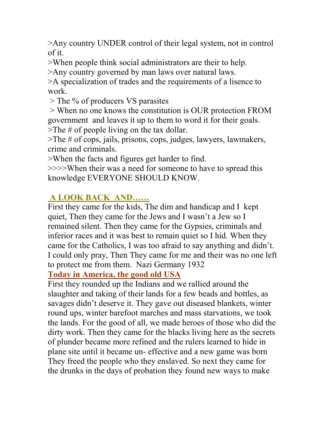>Any country UNDER control of their legal system, not in control of it.

>When people think social administrators are their to help.

>Any country governed by man laws over natural laws.

>A specialization of trades and the requirements of a lisence to work.

> The % of producers VS parasites

 > When no one knows the constitution is OUR protection FROM government and leaves it up to them to word it for their goals. >The # of people living on the tax dollar.

>The # of cops, jails, prisons, cops, judges, lawyers, lawmakers, crime and criminals.

>When the facts and figures get harder to find.

>>>>When their was a need for someone to have to spread this knowledge EVERYONE SHOULD KNOW.

## **A LOOK BACK AND……**

First they came for the kids, The dim and handicap and I kept quiet, Then they came for the Jews and I wasn't a Jew so I remained silent. Then they came for the Gypsies, criminals and inferior races and it was best to remain quiet so I hid. When they came for the Catholics, I was too afraid to say anything and didn't. I could only pray, Then They came for me and their was no one left to protect me from them. Nazi Germany 1932

**Today in America, the good old USA**

First they rounded up the Indians and we rallied around the slaughter and taking of their lands for a few beads and bottles, as savages didn't deserve it. They gave out diseased blankets, winter round ups, winter barefoot marches and mass starvations, we took the lands. For the good of all, we made heroes of those who did the dirty work. Then they came for the blacks living here as the secrets of plunder became more refined and the rulers learned to hide in plane site until it became un- effective and a new game was born They freed the people who they enslaved. So next they came for the drunks in the days of probation they found new ways to make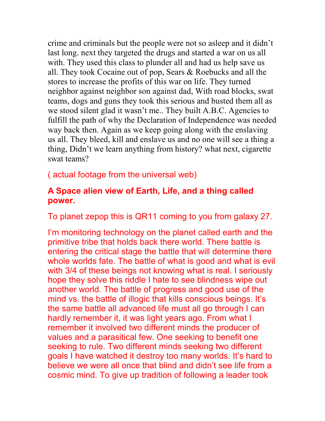crime and criminals but the people were not so asleep and it didn't last long. next they targeted the drugs and started a war on us all with. They used this class to plunder all and had us help save us all. They took Cocaine out of pop, Sears & Roebucks and all the stores to increase the profits of this war on life. They turned neighbor against neighbor son against dad, With road blocks, swat teams, dogs and guns they took this serious and busted them all as we stood silent glad it wasn't me.. They built A.B.C. Agencies to fulfill the path of why the Declaration of Independence was needed way back then. Again as we keep going along with the enslaving us all. They bleed, kill and enslave us and no one will see a thing a thing, Didn't we learn anything from history? what next, cigarette swat teams?

( actual footage from the universal web)

#### **A Space alien view of Earth, Life, and a thing called power.**

To planet zepop this is QR11 coming to you from galaxy 27.

I'm monitoring technology on the planet called earth and the primitive tribe that holds back there world. There battle is entering the critical stage the battle that will determine there whole worlds fate. The battle of what is good and what is evil with 3/4 of these beings not knowing what is real. I seriously hope they solve this riddle I hate to see blindness wipe out another world. The battle of progress and good use of the mind vs. the battle of illogic that kills conscious beings. It's the same battle all advanced life must all go through I can hardly remember it, it was light years ago. From what I remember it involved two different minds the producer of values and a parasitical few. One seeking to benefit one seeking to rule. Two different minds seeking two different goals I have watched it destroy too many worlds. It's hard to believe we were all once that blind and didn't see life from a cosmic mind. To give up tradition of following a leader took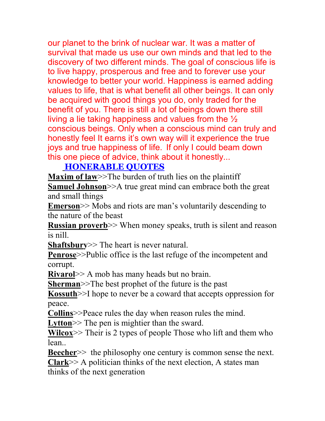our planet to the brink of nuclear war. It was a matter of survival that made us use our own minds and that led to the discovery of two different minds. The goal of conscious life is to live happy, prosperous and free and to forever use your knowledge to better your world. Happiness is earned adding values to life, that is what benefit all other beings. It can only be acquired with good things you do, only traded for the benefit of you. There is still a lot of beings down there still living a lie taking happiness and values from the  $\frac{1}{2}$ conscious beings. Only when a conscious mind can truly and honestly feel It earns it's own way will it experience the true joys and true happiness of life. If only I could beam down this one piece of advice, think about it honestly...

### **HONERABLE QUOTES**

**Maxim of law**>>The burden of truth lies on the plaintiff

**Samuel Johnson**>>A true great mind can embrace both the great and small things

**Emerson**>> Mobs and riots are man's voluntarily descending to the nature of the beast

**Russian proverb**>> When money speaks, truth is silent and reason is nill.

**Shaftsbury**>> The heart is never natural.

**Penrose**>>Public office is the last refuge of the incompetent and corrupt.

**Rivarol**>> A mob has many heads but no brain.

**Sherman**>>The best prophet of the future is the past

**Kossuth**>>I hope to never be a coward that accepts oppression for peace.

**Collins**>>Peace rules the day when reason rules the mind.

Lytton<sup> $>$ </sup> The pen is mightier than the sward.

**Wilcox**>> Their is 2 types of people Those who lift and them who lean..

**Beecher**>> the philosophy one century is common sense the next. **Clark**>> A politician thinks of the next election, A states man thinks of the next generation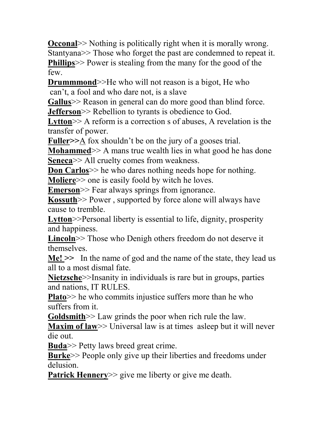**Occonal** >> Nothing is politically right when it is morally wrong. Stantyana>> Those who forget the past are condemned to repeat it. **Phillips**>> Power is stealing from the many for the good of the few.

**Drummmond**>>He who will not reason is a bigot. He who can't, a fool and who dare not, is a slave

**Gallus**>> Reason in general can do more good than blind force. **Jefferson**>> Rebellion to tyrants is obedience to God.

Lytton<sup> $> A$ </sup> reform is a correction s of abuses, A revelation is the transfer of power.

**Fuller>>**A fox shouldn't be on the jury of a gooses trial.

**Mohammed** >> A mans true wealth lies in what good he has done **Seneca**>> All cruelty comes from weakness.

**Don Carlos** $\geq$  he who dares nothing needs hope for nothing.

**Moliere**>> one is easily foold by witch he loves.

**Emerson**>> Fear always springs from ignorance.

**Kossuth**>> Power , supported by force alone will always have cause to tremble.

**Lytton**>>Personal liberty is essential to life, dignity, prosperity and happiness.

Lincoln<sup>>></sup> Those who Denigh others freedom do not deserve it themselves.

**Me! >>** In the name of god and the name of the state, they lead us all to a most dismal fate.

**Nietzsche**>>Insanity in individuals is rare but in groups, parties and nations, IT RULES.

**Plato**>> he who commits injustice suffers more than he who suffers from it.

**Goldsmith**>> Law grinds the poor when rich rule the law.

**Maxim of law** >> Universal law is at times asleep but it will never die out.

**Buda**>> Petty laws breed great crime.

**Burke**>> People only give up their liberties and freedoms under delusion.

**Patrick Hennery**>> give me liberty or give me death.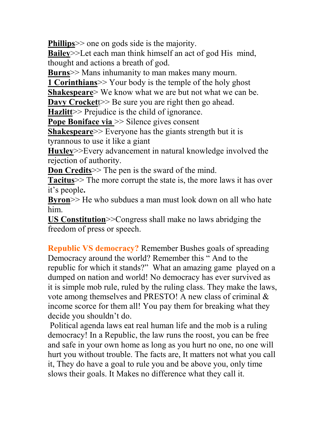**Phillips**>> one on gods side is the majority.

**Bailey**>>Let each man think himself an act of god His mind, thought and actions a breath of god.

**Burns**>> Mans inhumanity to man makes many mourn.

**1 Corinthians**>> Your body is the temple of the holy ghost

**Shakespeare**> We know what we are but not what we can be.

**Davy Crocket** t  $>$  Be sure you are right then go ahead.

**Hazlitt**>> Prejudice is the child of ignorance.

**Pope Boniface via** >> Silence gives consent

**Shakespeare**>> Everyone has the giants strength but it is tyrannous to use it like a giant

**Huxley**>>Every advancement in natural knowledge involved the rejection of authority.

**Don Credits**  $>$  The pen is the sward of the mind.

**Tacitus**>> The more corrupt the state is, the more laws it has over it's people**.**

**Byron**>> He who subdues a man must look down on all who hate him.

**US Constitution**>>Congress shall make no laws abridging the freedom of press or speech.

**Republic VS democracy?** Remember Bushes goals of spreading Democracy around the world? Remember this " And to the republic for which it stands?" What an amazing game played on a dumped on nation and world! No democracy has ever survived as it is simple mob rule, ruled by the ruling class. They make the laws, vote among themselves and PRESTO! A new class of criminal & income scorce for them all! You pay them for breaking what they decide you shouldn't do.

 Political agenda laws eat real human life and the mob is a ruling democracy! In a Republic, the law runs the roost, you can be free and safe in your own home as long as you hurt no one, no one will hurt you without trouble. The facts are, It matters not what you call it, They do have a goal to rule you and be above you, only time slows their goals. It Makes no difference what they call it.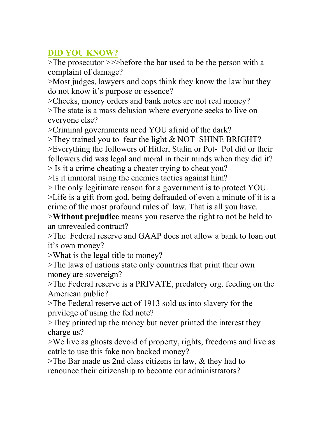### **DID YOU KNOW?**

>The prosecutor >>>before the bar used to be the person with a complaint of damage?

>Most judges, lawyers and cops think they know the law but they do not know it's purpose or essence?

>Checks, money orders and bank notes are not real money? >The state is a mass delusion where everyone seeks to live on everyone else?

>Criminal governments need YOU afraid of the dark?

>They trained you to fear the light & NOT SHINE BRIGHT?

>Everything the followers of Hitler, Stalin or Pot- Pol did or their followers did was legal and moral in their minds when they did it? > Is it a crime cheating a cheater trying to cheat you?

>Is it immoral using the enemies tactics against him?

>The only legitimate reason for a government is to protect YOU.

>Life is a gift from god, being defrauded of even a minute of it is a crime of the most profound rules of law. That is all you have.

>**Without prejudice** means you reserve the right to not be held to an unrevealed contract?

>The Federal reserve and GAAP does not allow a bank to loan out it's own money?

>What is the legal title to money?

>The laws of nations state only countries that print their own money are sovereign?

>The Federal reserve is a PRIVATE, predatory org. feeding on the American public?

>The Federal reserve act of 1913 sold us into slavery for the privilege of using the fed note?

>They printed up the money but never printed the interest they charge us?

>We live as ghosts devoid of property, rights, freedoms and live as cattle to use this fake non backed money?

 $\ge$ The Bar made us 2nd class citizens in law,  $\&$  they had to renounce their citizenship to become our administrators?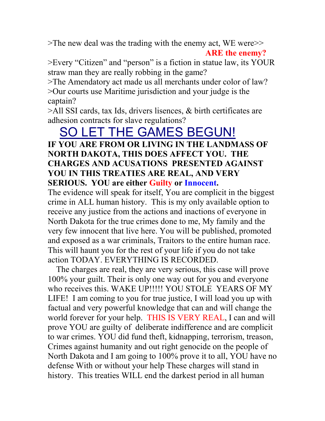>The new deal was the trading with the enemy act, WE were>> **ARE the enemy?**

>Every "Citizen" and "person" is a fiction in statue law, its YOUR straw man they are really robbing in the game?

>The Amendatory act made us all merchants under color of law? >Our courts use Maritime jurisdiction and your judge is the captain?

>All SSI cards, tax Ids, drivers lisences, & birth certificates are adhesion contracts for slave regulations?

## SO LET THE GAMES BEGUN!

#### **IF YOU ARE FROM OR LIVING IN THE LANDMASS OF NORTH DAKOTA, THIS DOES AFFECT YOU. THE CHARGES AND ACUSATIONS PRESENTED AGAINST YOU IN THIS TREATIES ARE REAL, AND VERY SERIOUS. YOU are either Guilty or Innocent.**

The evidence will speak for itself, You are complicit in the biggest crime in ALL human history. This is my only available option to receive any justice from the actions and inactions of everyone in North Dakota for the true crimes done to me, My family and the very few innocent that live here. You will be published, promoted and exposed as a war criminals, Traitors to the entire human race. This will haunt you for the rest of your life if you do not take action TODAY. EVERYTHING IS RECORDED.

 The charges are real, they are very serious, this case will prove 100% your guilt. Their is only one way out for you and everyone who receives this. WAKE UP!!!!! YOU STOLE YEARS OF MY LIFE! I am coming to you for true justice, I will load you up with factual and very powerful knowledge that can and will change the world forever for your help. THIS IS VERY REAL, I can and will prove YOU are guilty of deliberate indifference and are complicit to war crimes. YOU did fund theft, kidnapping, terrorism, treason, Crimes against humanity and out right genocide on the people of North Dakota and I am going to 100% prove it to all, YOU have no defense With or without your help These charges will stand in history. This treaties WILL end the darkest period in all human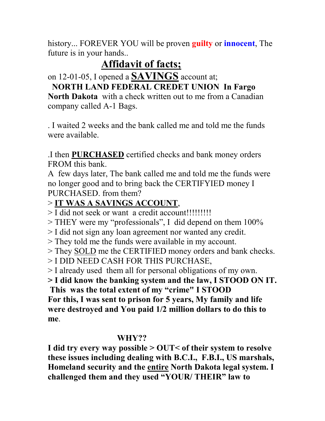history... FOREVER YOU will be proven **guilty** or **innocent**, The future is in your hands..

## **Affidavit of facts;**

on 12-01-05, I opened a **SAVINGS** account at;

## **NORTH LAND FEDERAL CREDET UNION In Fargo**

**North Dakota** with a check written out to me from a Canadian company called A-1 Bags.

. I waited 2 weeks and the bank called me and told me the funds were available.

.I then **PURCHASED** certified checks and bank money orders FROM this bank.

A few days later, The bank called me and told me the funds were no longer good and to bring back the CERTIFYIED money I PURCHASED. from them?

## > **IT WAS A SAVINGS ACCOUNT**,

> I did not seek or want a credit account!!!!!!!!!

> THEY were my "professionals", I did depend on them 100%

> I did not sign any loan agreement nor wanted any credit.

> They told me the funds were available in my account.

> They SOLD me the CERTIFIED money orders and bank checks.

> I DID NEED CASH FOR THIS PURCHASE,

> I already used them all for personal obligations of my own.

**> I did know the banking system and the law, I STOOD ON IT.** 

 **This was the total extent of my "crime" I STOOD For this, I was sent to prison for 5 years, My family and life were destroyed and You paid 1/2 million dollars to do this to me**.

## **WHY??**

**I did try every way possible > OUT< of their system to resolve these issues including dealing with B.C.I., F.B.I., US marshals, Homeland security and the entire North Dakota legal system. I challenged them and they used "YOUR/ THEIR" law to**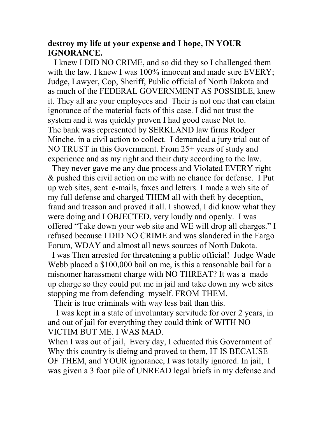#### **destroy my life at your expense and I hope, IN YOUR IGNORANCE.**

 I knew I DID NO CRIME, and so did they so I challenged them with the law. I knew I was  $100\%$  innocent and made sure EVERY; Judge, Lawyer, Cop, Sheriff, Public official of North Dakota and as much of the FEDERAL GOVERNMENT AS POSSIBLE, knew it. They all are your employees and Their is not one that can claim ignorance of the material facts of this case. I did not trust the system and it was quickly proven I had good cause Not to. The bank was represented by SERKLAND law firms Rodger Minche. in a civil action to collect. I demanded a jury trial out of NO TRUST in this Government. From 25+ years of study and experience and as my right and their duty according to the law.

 They never gave me any due process and Violated EVERY right & pushed this civil action on me with no chance for defense. I Put up web sites, sent e-mails, faxes and letters. I made a web site of my full defense and charged THEM all with theft by deception, fraud and treason and proved it all. I showed, I did know what they were doing and I OBJECTED, very loudly and openly. I was offered "Take down your web site and WE will drop all charges." I refused because I DID NO CRIME and was slandered in the Fargo Forum, WDAY and almost all news sources of North Dakota.

 I was Then arrested for threatening a public official! Judge Wade Webb placed a \$100,000 bail on me, is this a reasonable bail for a misnomer harassment charge with NO THREAT? It was a made up charge so they could put me in jail and take down my web sites stopping me from defending myself. FROM THEM.

Their is true criminals with way less bail than this.

 I was kept in a state of involuntary servitude for over 2 years, in and out of jail for everything they could think of WITH NO VICTIM BUT ME. I WAS MAD.

When I was out of jail, Every day, I educated this Government of Why this country is dieing and proved to them, IT IS BECAUSE OF THEM, and YOUR ignorance, I was totally ignored. In jail, I was given a 3 foot pile of UNREAD legal briefs in my defense and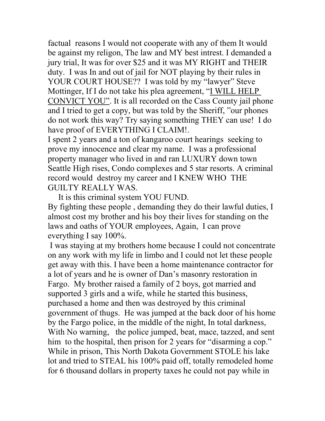factual reasons I would not cooperate with any of them It would be against my religon, The law and MY best intrest. I demanded a jury trial, It was for over \$25 and it was MY RIGHT and THEIR duty. I was In and out of jail for NOT playing by their rules in YOUR COURT HOUSE?? I was told by my "lawyer" Steve Mottinger, If I do not take his plea agreement, "I WILL HELP CONVICT YOU". It is all recorded on the Cass County jail phone and I tried to get a copy, but was told by the Sheriff, "our phones do not work this way? Try saying something THEY can use! I do have proof of EVERYTHING I CLAIM!.

I spent 2 years and a ton of kangaroo court hearings seeking to prove my innocence and clear my name. I was a professional property manager who lived in and ran LUXURY down town Seattle High rises, Condo complexes and 5 star resorts. A criminal record would destroy my career and I KNEW WHO THE GUILTY REALLY WAS.

It is this criminal system YOU FUND.

By fighting these people , demanding they do their lawful duties, I almost cost my brother and his boy their lives for standing on the laws and oaths of YOUR employees, Again, I can prove everything I say 100%.

 I was staying at my brothers home because I could not concentrate on any work with my life in limbo and I could not let these people get away with this. I have been a home maintenance contractor for a lot of years and he is owner of Dan's masonry restoration in Fargo. My brother raised a family of 2 boys, got married and supported 3 girls and a wife, while he started this business, purchased a home and then was destroyed by this criminal government of thugs. He was jumped at the back door of his home by the Fargo police, in the middle of the night, In total darkness, With No warning, the police jumped, beat, mace, tazzed, and sent him to the hospital, then prison for 2 years for "disarming a cop." While in prison, This North Dakota Government STOLE his lake lot and tried to STEAL his 100% paid off, totally remodeled home for 6 thousand dollars in property taxes he could not pay while in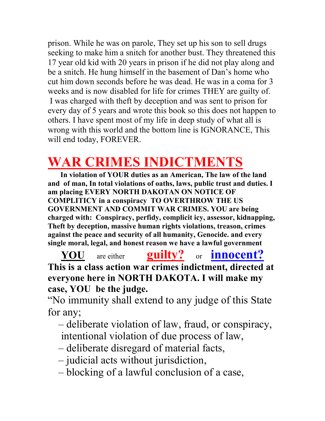prison. While he was on parole, They set up his son to sell drugs seeking to make him a snitch for another bust. They threatened this 17 year old kid with 20 years in prison if he did not play along and be a snitch. He hung himself in the basement of Dan's home who cut him down seconds before he was dead. He was in a coma for 3 weeks and is now disabled for life for crimes THEY are guilty of. I was charged with theft by deception and was sent to prison for every day of 5 years and wrote this book so this does not happen to others. I have spent most of my life in deep study of what all is wrong with this world and the bottom line is IGNORANCE, This will end today, FOREVER.

## **WAR CRIMES INDICTMENTS**

 **In violation of YOUR duties as an American, The law of the land and of man, In total violations of oaths, laws, public trust and duties. I am placing EVERY NORTH DAKOTAN ON NOTICE OF COMPLITICY in a conspiracy TO OVERTHROW THE US GOVERNMENT AND COMMIT WAR CRIMES. YOU are being charged with: Conspiracy, perfidy, complicit icy, assessor, kidnapping, Theft by deception, massive human rights violations, treason, crimes against the peace and security of all humanity, Genocide. and every single moral, legal, and honest reason we have a lawful government**

 **YOU** are either **guilty?** or **innocent? This is a class action war crimes indictment, directed at everyone here in NORTH DAKOTA. I will make my case, YOU be the judge.** 

"No immunity shall extend to any judge of this State for any;

– deliberate violation of law, fraud, or conspiracy,

- intentional violation of due process of law,
- deliberate disregard of material facts,
- judicial acts without jurisdiction,
- blocking of a lawful conclusion of a case,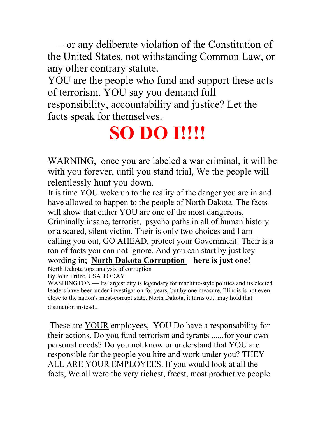– or any deliberate violation of the Constitution of the United States, not withstanding Common Law, or any other contrary statute.

YOU are the people who fund and support these acts of terrorism. YOU say you demand full responsibility, accountability and justice? Let the facts speak for themselves.

# **SO DO I!!!!**

WARNING, once you are labeled a war criminal, it will be with you forever, until you stand trial, We the people will relentlessly hunt you down.

It is time YOU woke up to the reality of the danger you are in and have allowed to happen to the people of North Dakota. The facts will show that either YOU are one of the most dangerous, Criminally insane, terrorist, psycho paths in all of human history or a scared, silent victim. Their is only two choices and I am calling you out, GO AHEAD, protect your Government! Their is a ton of facts you can not ignore. And you can start by just key wording in; **North Dakota Corruption here is just one!**

North Dakota tops analysis of corruption

By John Fritze, USA TODAY

WASHINGTON — Its largest city is legendary for machine-style politics and its elected leaders have been under investigation for years, but by one measure, Illinois is not even close to the nation's most-corrupt state. North Dakota, it turns out, may hold that distinction instead..

 These are YOUR employees, YOU Do have a responsability for their actions. Do you fund terrorism and tyrants ......for your own personal needs? Do you not know or understand that YOU are responsible for the people you hire and work under you? THEY ALL ARE YOUR EMPLOYEES. If you would look at all the facts, We all were the very richest, freest, most productive people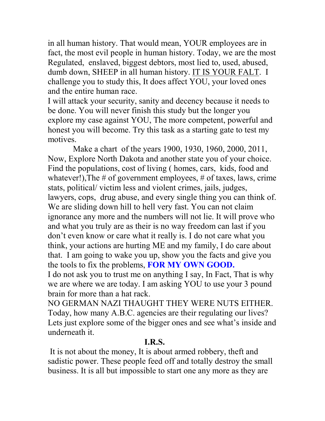in all human history. That would mean, YOUR employees are in fact, the most evil people in human history. Today, we are the most Regulated, enslaved, biggest debtors, most lied to, used, abused, dumb down, SHEEP in all human history. IT IS YOUR FALT. I challenge you to study this, It does affect YOU, your loved ones and the entire human race.

I will attack your security, sanity and decency because it needs to be done. You will never finish this study but the longer you explore my case against YOU, The more competent, powerful and honest you will become. Try this task as a starting gate to test my motives.

 Make a chart of the years 1900, 1930, 1960, 2000, 2011, Now, Explore North Dakota and another state you of your choice. Find the populations, cost of living ( homes, cars, kids, food and whatever!), The  $\#$  of government employees,  $\#$  of taxes, laws, crime stats, political/ victim less and violent crimes, jails, judges, lawyers, cops, drug abuse, and every single thing you can think of. We are sliding down hill to hell very fast. You can not claim ignorance any more and the numbers will not lie. It will prove who and what you truly are as their is no way freedom can last if you don't even know or care what it really is. I do not care what you think, your actions are hurting ME and my family, I do care about that. I am going to wake you up, show you the facts and give you the tools to fix the problems, **FOR MY OWN GOOD.** 

I do not ask you to trust me on anything I say, In Fact, That is why we are where we are today. I am asking YOU to use your 3 pound brain for more than a hat rack.

NO GERMAN NAZI THAUGHT THEY WERE NUTS EITHER. Today, how many A.B.C. agencies are their regulating our lives? Lets just explore some of the bigger ones and see what's inside and underneath it.

#### **I.R.S.**

 It is not about the money, It is about armed robbery, theft and sadistic power. These people feed off and totally destroy the small business. It is all but impossible to start one any more as they are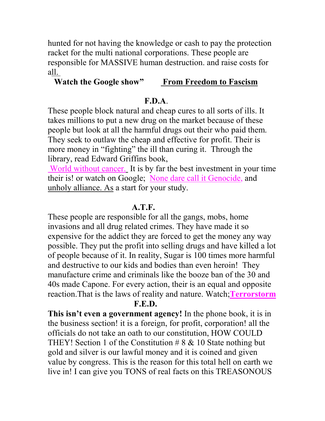hunted for not having the knowledge or cash to pay the protection racket for the multi national corporations. These people are responsible for MASSIVE human destruction. and raise costs for all.

#### **Watch the Google show" From Freedom to Fascism**

#### **F.D.A**.

These people block natural and cheap cures to all sorts of ills. It takes millions to put a new drug on the market because of these people but look at all the harmful drugs out their who paid them. They seek to outlaw the cheap and effective for profit. Their is more money in "fighting" the ill than curing it. Through the library, read Edward Griffins book,

 World without cancer. It is by far the best investment in your time their is! or watch on Google; None dare call it Genocide, and unholy alliance. As a start for your study.

#### **A.T.F.**

These people are responsible for all the gangs, mobs, home invasions and all drug related crimes. They have made it so expensive for the addict they are forced to get the money any way possible. They put the profit into selling drugs and have killed a lot of people because of it. In reality, Sugar is 100 times more harmful and destructive to our kids and bodies than even heroin! They manufacture crime and criminals like the booze ban of the 30 and 40s made Capone. For every action, their is an equal and opposite reaction.That is the laws of reality and nature. Watch;**Terrorstorm F.E.D.**

**This isn't even a government agency!** In the phone book, it is in the business section! it is a foreign, for profit, corporation! all the officials do not take an oath to our constitution, HOW COULD THEY! Section 1 of the Constitution  $\# 8 \& 10$  State nothing but gold and silver is our lawful money and it is coined and given value by congress. This is the reason for this total hell on earth we live in! I can give you TONS of real facts on this TREASONOUS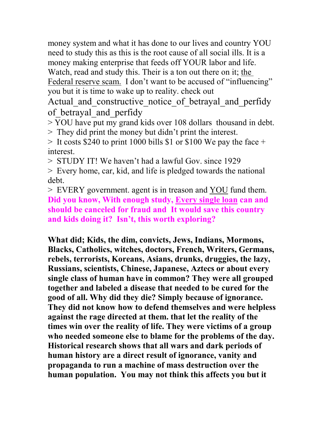money system and what it has done to our lives and country YOU need to study this as this is the root cause of all social ills. It is a money making enterprise that feeds off YOUR labor and life. Watch, read and study this. Their is a ton out there on it; the Federal reserve scam. I don't want to be accused of "influencing" you but it is time to wake up to reality. check out

Actual and constructive notice of betrayal and perfidy of betrayal and perfidy

> YOU have put my grand kids over 108 dollars thousand in debt.

> They did print the money but didn't print the interest.

 $>$  It costs \$240 to print 1000 bills \$1 or \$100 We pay the face + interest.

> STUDY IT! We haven't had a lawful Gov. since 1929

> Every home, car, kid, and life is pledged towards the national debt.

> EVERY government. agent is in treason and YOU fund them. **Did you know, With enough study, Every single loan can and should be canceled for fraud and It would save this country and kids doing it? Isn't, this worth exploring?** 

**What did; Kids, the dim, convicts, Jews, Indians, Mormons, Blacks, Catholics, witches, doctors, French, Writers, Germans, rebels, terrorists, Koreans, Asians, drunks, druggies, the lazy, Russians, scientists, Chinese, Japanese, Aztecs or about every single class of human have in common? They were all grouped together and labeled a disease that needed to be cured for the good of all. Why did they die? Simply because of ignorance. They did not know how to defend themselves and were helpless against the rage directed at them. that let the reality of the times win over the reality of life. They were victims of a group who needed someone else to blame for the problems of the day. Historical research shows that all wars and dark periods of human history are a direct result of ignorance, vanity and propaganda to run a machine of mass destruction over the human population. You may not think this affects you but it**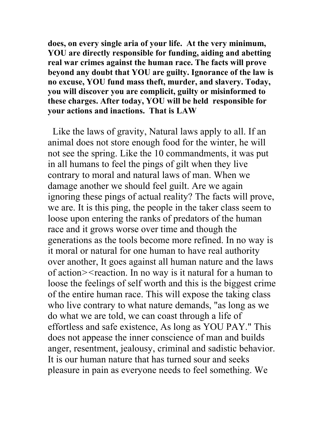**does, on every single aria of your life. At the very minimum, YOU are directly responsible for funding, aiding and abetting real war crimes against the human race. The facts will prove beyond any doubt that YOU are guilty. Ignorance of the law is no excuse, YOU fund mass theft, murder, and slavery. Today, you will discover you are complicit, guilty or misinformed to these charges. After today, YOU will be held responsible for your actions and inactions. That is LAW**

 Like the laws of gravity, Natural laws apply to all. If an animal does not store enough food for the winter, he will not see the spring. Like the 10 commandments, it was put in all humans to feel the pings of gilt when they live contrary to moral and natural laws of man. When we damage another we should feel guilt. Are we again ignoring these pings of actual reality? The facts will prove, we are. It is this ping, the people in the taker class seem to loose upon entering the ranks of predators of the human race and it grows worse over time and though the generations as the tools become more refined. In no way is it moral or natural for one human to have real authority over another, It goes against all human nature and the laws of action*><*reaction. In no way is it natural for a human to loose the feelings of self worth and this is the biggest crime of the entire human race. This will expose the taking class who live contrary to what nature demands, "as long as we do what we are told, we can coast through a life of effortless and safe existence, As long as YOU PAY." This does not appease the inner conscience of man and builds anger, resentment, jealousy, criminal and sadistic behavior. It is our human nature that has turned sour and seeks pleasure in pain as everyone needs to feel something. We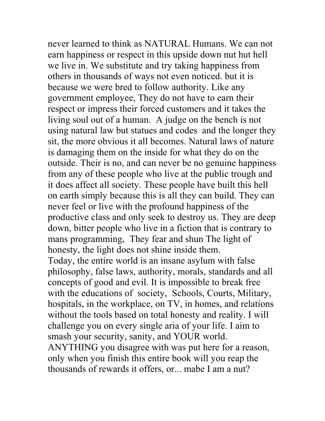never learned to think as NATURAL Humans. We can not earn happiness or respect in this upside down nut hut hell we live in. We substitute and try taking happiness from others in thousands of ways not even noticed. but it is because we were bred to follow authority. Like any government employee, They do not have to earn their respect or impress their forced customers and it takes the living soul out of a human. A judge on the bench is not using natural law but statues and codes and the longer they sit, the more obvious it all becomes. Natural laws of nature is damaging them on the inside for what they do on the outside. Their is no, and can never be no genuine happiness from any of these people who live at the public trough and it does affect all society. These people have built this hell on earth simply because this is all they can build. They can never feel or live with the profound happiness of the productive class and only seek to destroy us. They are deep down, bitter people who live in a fiction that is contrary to mans programming, They fear and shun The light of honesty, the light does not shine inside them. Today, the entire world is an insane asylum with false philosophy, false laws, authority, morals, standards and all concepts of good and evil. It is impossible to break free with the educations of society, Schools, Courts, Military, hospitals, in the workplace, on TV, in homes, and relations without the tools based on total honesty and reality. I will challenge you on every single aria of your life. I aim to smash your security, sanity, and YOUR world. ANYTHING you disagree with was put here for a reason, only when you finish this entire book will you reap the thousands of rewards it offers, or... mabe I am a nut?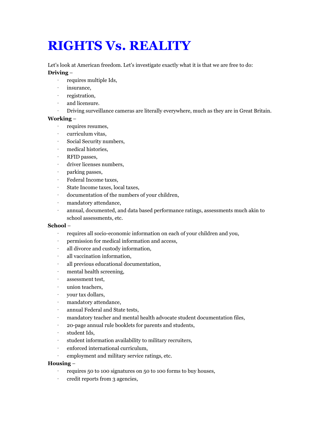## **RIGHTS Vs. REALITY**

Let's look at American freedom. Let's investigate exactly what it is that we are free to do:

#### **Driving** –

- · requires multiple Ids,
- · insurance,
- · registration,
- and licensure.
- · Driving surveillance cameras are literally everywhere, much as they are in Great Britain.

#### **Working** –

- · requires resumes,
- · curriculum vitas,
- · Social Security numbers,
- · medical histories,
- · RFID passes,
- · driver licenses numbers,
- · parking passes,
- · Federal Income taxes,
- · State Income taxes, local taxes,
- · documentation of the numbers of your children,
- · mandatory attendance,
- · annual, documented, and data based performance ratings, assessments much akin to school assessments, etc.

#### **School** –

- · requires all socio-economic information on each of your children and you,
- permission for medical information and access,
- · all divorce and custody information,
- · all vaccination information,
- all previous educational documentation,
- · mental health screening,
- · assessment test,
- · union teachers,
- · your tax dollars,
- · mandatory attendance,
- · annual Federal and State tests,
- · mandatory teacher and mental health advocate student documentation files,
- · 20-page annual rule booklets for parents and students,
- · student Ids,
- · student information availability to military recruiters,
- · enforced international curriculum,
- · employment and military service ratings, etc.

#### **Housing** –

- · requires 50 to 100 signatures on 50 to 100 forms to buy houses,
- · credit reports from 3 agencies,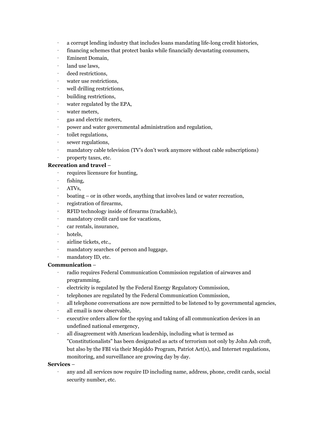- · a corrupt lending industry that includes loans mandating life-long credit histories,
- · financing schemes that protect banks while financially devastating consumers,
- · Eminent Domain,
- · land use laws,
- deed restrictions,
- · water use restrictions,
- · well drilling restrictions,
- · building restrictions,
- · water regulated by the EPA,
- water meters,
- · gas and electric meters,
- · power and water governmental administration and regulation,
- toilet regulations,
- · sewer regulations,
- · mandatory cable television (TV's don't work anymore without cable subscriptions)
- · property taxes, etc.

#### **Recreation and travel** –

- · requires licensure for hunting,
- · fishing,
- · ATVs,
- boating or in other words, anything that involves land or water recreation,
- · registration of firearms,
- · RFID technology inside of firearms (trackable),
- mandatory credit card use for vacations,
- · car rentals, insurance,
- · hotels,
- airline tickets, etc.,
- · mandatory searches of person and luggage,
- mandatory ID, etc.

#### **Communication** –

- · radio requires Federal Communication Commission regulation of airwaves and programming,
- · electricity is regulated by the Federal Energy Regulatory Commission,
- · telephones are regulated by the Federal Communication Commission,
- · all telephone conversations are now permitted to be listened to by governmental agencies,
- all email is now observable.
- · executive orders allow for the spying and taking of all communication devices in an undefined national emergency,
- · all disagreement with American leadership, including what is termed as "Constitutionalists" has been designated as acts of terrorism not only by John Ash croft, but also by the FBI via their Megiddo Program, Patriot Act(s), and Internet regulations, monitoring, and surveillance are growing day by day.

#### **Services** –

· any and all services now require ID including name, address, phone, credit cards, social security number, etc.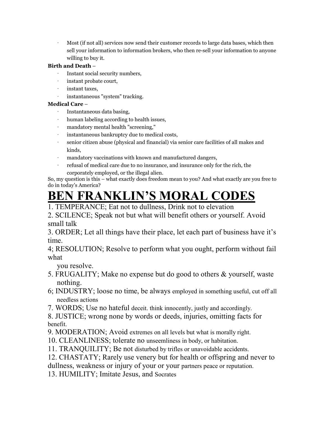· Most (if not all) services now send their customer records to large data bases, which then sell your information to information brokers, who then re-sell your information to anyone willing to buy it.

#### **Birth and Death** –

- Instant social security numbers,
- · instant probate court,
- · instant taxes,
- instantaneous "system" tracking.

#### **Medical Care** –

- · Instantaneous data basing,
- · human labeling according to health issues,
- · mandatory mental health "screening,"
- instantaneous bankruptcy due to medical costs,
- · senior citizen abuse (physical and financial) via senior care facilities of all makes and kinds,
- · mandatory vaccinations with known and manufactured dangers,
- · refusal of medical care due to no insurance, and insurance only for the rich, the corporately employed, or the illegal alien.

So, my question is this – what exactly does freedom mean to you? And what exactly are you free to do in today's America?

## **BEN FRANKLIN'S MORAL CODES**

1. TEMPERANCE; Eat not to dullness, Drink not to elevation

2. SCILENCE; Speak not but what will benefit others or yourself. Avoid small talk

3. ORDER; Let all things have their place, let each part of business have it's time.

4; RESOLUTION; Resolve to perform what you ought, perform without fail what

you resolve.

- 5. FRUGALITY; Make no expense but do good to others & yourself, waste nothing.
- 6; INDUSTRY; loose no time, be always employed in something useful, cut off all needless actions
- 7. WORDS; Use no hateful deceit. think innocently, justly and accordingly.

8. JUSTICE; wrong none by words or deeds, injuries, omitting facts for benefit.

- 9. MODERATION; Avoid extremes on all levels but what is morally right.
- 10. CLEANLINESS; tolerate no unseemliness in body, or habitation.
- 11. TRANQUILITY; Be not disturbed by trifles or unavoidable accidents.
- 12. CHASTATY; Rarely use venery but for health or offspring and never to
- dullness, weakness or injury of your or your partners peace or reputation.
- 13. HUMILITY; Imitate Jesus, and Socrates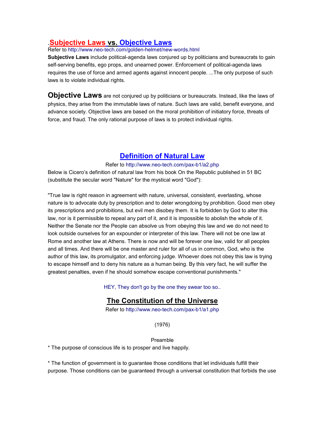#### .**Subjective Laws vs. Objective Laws**

Refer to http://www.neo-tech.com/golden-helmet/new-words.html

**Subjective Laws** include political-agenda laws conjured up by politicians and bureaucrats to gain self-serving benefits, ego props, and unearned power. Enforcement of political-agenda laws requires the use of force and armed agents against innocent people. ...The only purpose of such laws is to violate individual rights.

**Objective Laws** are not conjured up by politicians or bureaucrats. Instead, like the laws of physics, they arise from the immutable laws of nature. Such laws are valid, benefit everyone, and advance society. Objective laws are based on the moral prohibition of initiatory force, threats of force, and fraud. The only rational purpose of laws is to protect individual rights.

#### **Definition of Natural Law**

Refer to http://www.neo-tech.com/pax-b1/a2.php

Below is Cicero's definition of natural law from his book On the Republic published in 51 BC (substitute the secular word "Nature" for the mystical word "God"):

"True law is right reason in agreement with nature, universal, consistent, everlasting, whose nature is to advocate duty by prescription and to deter wrongdoing by prohibition. Good men obey its prescriptions and prohibitions, but evil men disobey them. It is forbidden by God to alter this law, nor is it permissible to repeal any part of it, and it is impossible to abolish the whole of it. Neither the Senate nor the People can absolve us from obeying this law and we do not need to look outside ourselves for an expounder or interpreter of this law. There will not be one law at Rome and another law at Athens. There is now and will be forever one law, valid for all peoples and all times. And there will be one master and ruler for all of us in common, God, who is the author of this law, its promulgator, and enforcing judge. Whoever does not obey this law is trying to escape himself and to deny his nature as a human being. By this very fact, he will suffer the greatest penalties, even if he should somehow escape conventional punishments."

HEY, They don't go by the one they swear too so..

#### **The Constitution of the Universe**

Refer to http://www.neo-tech.com/pax-b1/a1.php

(1976)

Preamble

\* The purpose of conscious life is to prosper and live happily.

\* The function of government is to guarantee those conditions that let individuals fulfill their purpose. Those conditions can be guaranteed through a universal constitution that forbids the use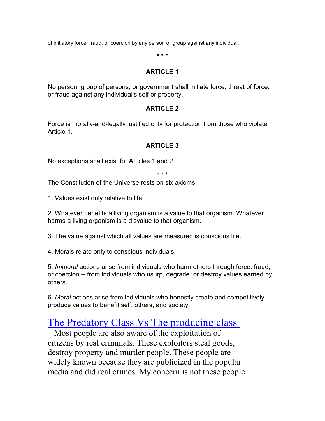of initiatory force, fraud, or coercion by any person or group against any individual.

\* \* \*

#### **ARTICLE 1**

No person, group of persons, or government shall initiate force, threat of force, or fraud against any individual's self or property.

#### **ARTICLE 2**

Force is morally-and-legally justified only for protection from those who violate Article 1.

#### **ARTICLE 3**

No exceptions shall exist for Articles 1 and 2.

\* \* \*

The Constitution of the Universe rests on six axioms:

1. Values exist only relative to life.

2. Whatever benefits a living organism is a value to that organism. Whatever harms a living organism is a disvalue to that organism.

3. The value against which all values are measured is conscious life.

4. Morals relate only to conscious individuals.

5. *Immoral* actions arise from individuals who harm others through force, fraud, or coercion -- from individuals who usurp, degrade, or destroy values earned by others.

6. *Moral* actions arise from individuals who honestly create and competitively produce values to benefit self, others, and society.

## The Predatory Class Vs The producing class

 Most people are also aware of the exploitation of citizens by real criminals. These exploiters steal goods, destroy property and murder people. These people are widely known because they are publicized in the popular media and did real crimes. My concern is not these people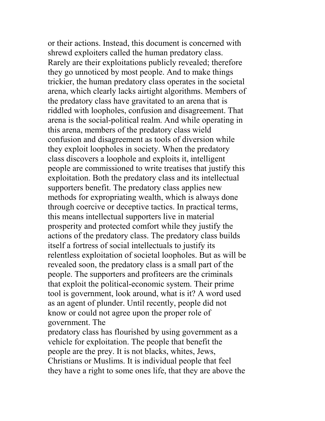or their actions. Instead, this document is concerned with shrewd exploiters called the human predatory class. Rarely are their exploitations publicly revealed; therefore they go unnoticed by most people. And to make things trickier, the human predatory class operates in the societal arena, which clearly lacks airtight algorithms. Members of the predatory class have gravitated to an arena that is riddled with loopholes, confusion and disagreement. That arena is the social-political realm. And while operating in this arena, members of the predatory class wield confusion and disagreement as tools of diversion while they exploit loopholes in society. When the predatory class discovers a loophole and exploits it, intelligent people are commissioned to write treatises that justify this exploitation. Both the predatory class and its intellectual supporters benefit. The predatory class applies new methods for expropriating wealth, which is always done through coercive or deceptive tactics. In practical terms, this means intellectual supporters live in material prosperity and protected comfort while they justify the actions of the predatory class. The predatory class builds itself a fortress of social intellectuals to justify its relentless exploitation of societal loopholes. But as will be revealed soon, the predatory class is a small part of the people. The supporters and profiteers are the criminals that exploit the political-economic system. Their prime tool is government, look around, what is it? A word used as an agent of plunder. Until recently, people did not know or could not agree upon the proper role of government. The

predatory class has flourished by using government as a vehicle for exploitation. The people that benefit the people are the prey. It is not blacks, whites, Jews, Christians or Muslims. It is individual people that feel they have a right to some ones life, that they are above the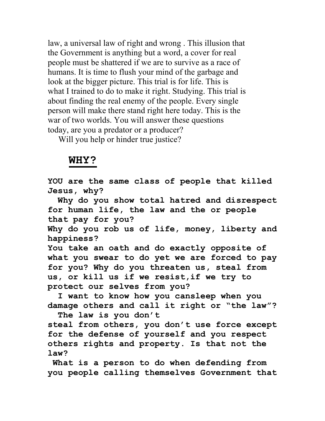law, a universal law of right and wrong . This illusion that the Government is anything but a word, a cover for real people must be shattered if we are to survive as a race of humans. It is time to flush your mind of the garbage and look at the bigger picture. This trial is for life. This is what I trained to do to make it right. Studying. This trial is about finding the real enemy of the people. Every single person will make there stand right here today. This is the war of two worlds. You will answer these questions today, are you a predator or a producer?

Will you help or hinder true justice?

#### **WHY?**

**YOU are the same class of people that killed Jesus, why?** 

 **Why do you show total hatred and disrespect for human life, the law and the or people that pay for you?** 

**Why do you rob us of life, money, liberty and happiness?** 

**You take an oath and do exactly opposite of what you swear to do yet we are forced to pay for you? Why do you threaten us, steal from us, or kill us if we resist,if we try to protect our selves from you?**

 **I want to know how you cansleep when you damage others and call it right or "the law"? The law is you don't** 

**steal from others, you don't use force except for the defense of yourself and you respect others rights and property. Is that not the law?** 

 **What is a person to do when defending from you people calling themselves Government that**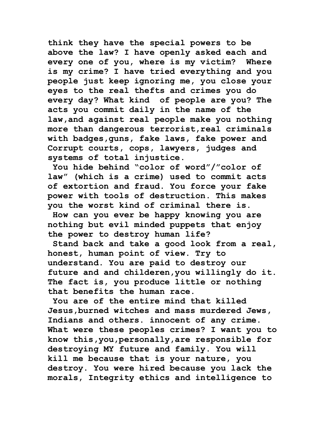**think they have the special powers to be above the law? I have openly asked each and every one of you, where is my victim? Where is my crime? I have tried everything and you people just keep ignoring me, you close your eyes to the real thefts and crimes you do every day? What kind of people are you? The acts you commit daily in the name of the law,and against real people make you nothing more than dangerous terrorist,real criminals with badges,guns, fake laws, fake power and Corrupt courts, cops, lawyers, judges and systems of total injustice.** 

 **You hide behind "color of word"/"color of law" (which is a crime) used to commit acts of extortion and fraud. You force your fake power with tools of destruction. This makes you the worst kind of criminal there is.** 

 **How can you ever be happy knowing you are nothing but evil minded puppets that enjoy the power to destroy human life?** 

 **Stand back and take a good look from a real, honest, human point of view. Try to understand. You are paid to destroy our future and and childeren,you willingly do it. The fact is, you produce little or nothing that benefits the human race.**

 **You are of the entire mind that killed Jesus,burned witches and mass murdered Jews, Indians and others. innocent of any crime. What were these peoples crimes? I want you to know this,you,personally,are responsible for destroying MY future and family. You will kill me because that is your nature, you destroy. You were hired because you lack the morals, Integrity ethics and intelligence to**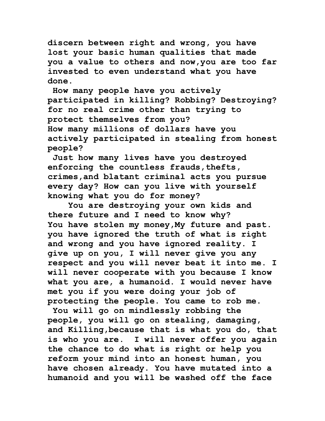**discern between right and wrong, you have lost your basic human qualities that made you a value to others and now,you are too far invested to even understand what you have done.**

 **How many people have you actively participated in killing? Robbing? Destroying? for no real crime other than trying to protect themselves from you? How many millions of dollars have you actively participated in stealing from honest people?** 

 **Just how many lives have you destroyed enforcing the countless frauds,thefts, crimes,and blatant criminal acts you pursue every day? How can you live with yourself knowing what you do for money?** 

 **You are destroying your own kids and there future and I need to know why? You have stolen my money,My future and past. you have ignored the truth of what is right and wrong and you have ignored reality. I give up on you, I will never give you any respect and you will never beat it into me. I will never cooperate with you because I know what you are, a humanoid. I would never have met you if you were doing your job of protecting the people. You came to rob me.**

 **You will go on mindlessly robbing the people, you will go on stealing, damaging, and Killing,because that is what you do, that is who you are. I will never offer you again the chance to do what is right or help you reform your mind into an honest human, you have chosen already. You have mutated into a humanoid and you will be washed off the face**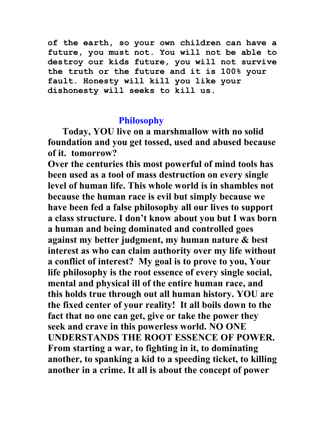**of the earth, so your own children can have a future, you must not. You will not be able to destroy our kids future, you will not survive the truth or the future and it is 100% your fault. Honesty will kill you like your dishonesty will seeks to kill us.**

#### **Philosophy**

 **Today, YOU live on a marshmallow with no solid foundation and you get tossed, used and abused because of it. tomorrow?**

**Over the centuries this most powerful of mind tools has been used as a tool of mass destruction on every single level of human life. This whole world is in shambles not because the human race is evil but simply because we have been fed a false philosophy all our lives to support a class structure. I don't know about you but I was born a human and being dominated and controlled goes against my better judgment, my human nature & best interest as who can claim authority over my life without a conflict of interest? My goal is to prove to you, Your life philosophy is the root essence of every single social, mental and physical ill of the entire human race, and this holds true through out all human history. YOU are the fixed center of your reality! It all boils down to the fact that no one can get, give or take the power they seek and crave in this powerless world. NO ONE UNDERSTANDS THE ROOT ESSENCE OF POWER. From starting a war, to fighting in it, to dominating another, to spanking a kid to a speeding ticket, to killing another in a crime. It all is about the concept of power**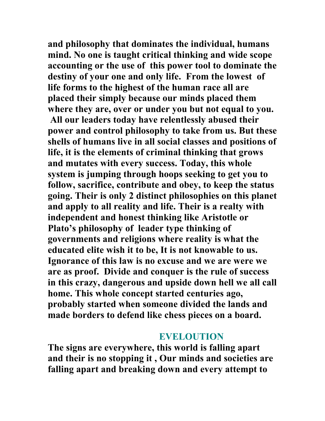**and philosophy that dominates the individual, humans mind. No one is taught critical thinking and wide scope accounting or the use of this power tool to dominate the destiny of your one and only life. From the lowest of life forms to the highest of the human race all are placed their simply because our minds placed them where they are, over or under you but not equal to you. All our leaders today have relentlessly abused their power and control philosophy to take from us. But these shells of humans live in all social classes and positions of life, it is the elements of criminal thinking that grows and mutates with every success. Today, this whole system is jumping through hoops seeking to get you to follow, sacrifice, contribute and obey, to keep the status going. Their is only 2 distinct philosophies on this planet and apply to all reality and life. Their is a realty with independent and honest thinking like Aristotle or Plato's philosophy of leader type thinking of governments and religions where reality is what the educated elite wish it to be, It is not knowable to us. Ignorance of this law is no excuse and we are were we are as proof. Divide and conquer is the rule of success in this crazy, dangerous and upside down hell we all call home. This whole concept started centuries ago, probably started when someone divided the lands and made borders to defend like chess pieces on a board.** 

#### **EVELOUTION**

**The signs are everywhere, this world is falling apart and their is no stopping it , Our minds and societies are falling apart and breaking down and every attempt to**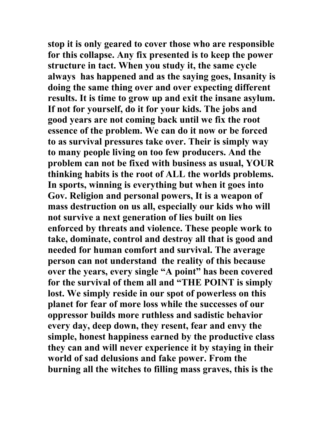**stop it is only geared to cover those who are responsible for this collapse. Any fix presented is to keep the power structure in tact. When you study it, the same cycle always has happened and as the saying goes, Insanity is doing the same thing over and over expecting different results. It is time to grow up and exit the insane asylum. If not for yourself, do it for your kids. The jobs and good years are not coming back until we fix the root essence of the problem. We can do it now or be forced to as survival pressures take over. Their is simply way to many people living on too few producers. And the problem can not be fixed with business as usual, YOUR thinking habits is the root of ALL the worlds problems. In sports, winning is everything but when it goes into Gov. Religion and personal powers, It is a weapon of mass destruction on us all, especially our kids who will not survive a next generation of lies built on lies enforced by threats and violence. These people work to take, dominate, control and destroy all that is good and needed for human comfort and survival. The average person can not understand the reality of this because over the years, every single "A point" has been covered for the survival of them all and "THE POINT is simply lost. We simply reside in our spot of powerless on this planet for fear of more loss while the successes of our oppressor builds more ruthless and sadistic behavior every day, deep down, they resent, fear and envy the simple, honest happiness earned by the productive class they can and will never experience it by staying in their world of sad delusions and fake power. From the burning all the witches to filling mass graves, this is the**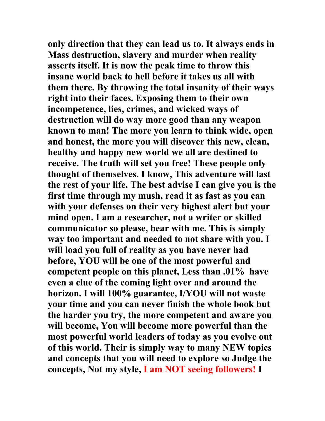**only direction that they can lead us to. It always ends in Mass destruction, slavery and murder when reality asserts itself. It is now the peak time to throw this insane world back to hell before it takes us all with them there. By throwing the total insanity of their ways right into their faces. Exposing them to their own incompetence, lies, crimes, and wicked ways of destruction will do way more good than any weapon known to man! The more you learn to think wide, open and honest, the more you will discover this new, clean, healthy and happy new world we all are destined to receive. The truth will set you free! These people only thought of themselves. I know, This adventure will last the rest of your life. The best advise I can give you is the first time through my mush, read it as fast as you can with your defenses on their very highest alert but your mind open. I am a researcher, not a writer or skilled communicator so please, bear with me. This is simply way too important and needed to not share with you. I will load you full of reality as you have never had before, YOU will be one of the most powerful and competent people on this planet, Less than .01% have even a clue of the coming light over and around the horizon. I will 100% guarantee, I/YOU will not waste your time and you can never finish the whole book but the harder you try, the more competent and aware you will become, You will become more powerful than the most powerful world leaders of today as you evolve out of this world. Their is simply way to many NEW topics and concepts that you will need to explore so Judge the concepts, Not my style, I am NOT seeing followers! I**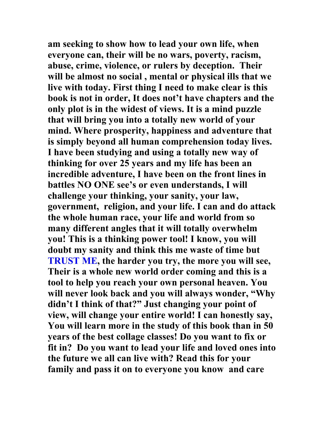**am seeking to show how to lead your own life, when everyone can, their will be no wars, poverty, racism, abuse, crime, violence, or rulers by deception. Their will be almost no social , mental or physical ills that we live with today. First thing I need to make clear is this book is not in order, It does not't have chapters and the only plot is in the widest of views. It is a mind puzzle that will bring you into a totally new world of your mind. Where prosperity, happiness and adventure that is simply beyond all human comprehension today lives. I have been studying and using a totally new way of thinking for over 25 years and my life has been an incredible adventure, I have been on the front lines in battles NO ONE see's or even understands, I will challenge your thinking, your sanity, your law, government, religion, and your life. I can and do attack the whole human race, your life and world from so many different angles that it will totally overwhelm you! This is a thinking power tool! I know, you will doubt my sanity and think this me waste of time but TRUST ME, the harder you try, the more you will see, Their is a whole new world order coming and this is a tool to help you reach your own personal heaven. You will never look back and you will always wonder, "Why didn't I think of that?" Just changing your point of view, will change your entire world! I can honestly say, You will learn more in the study of this book than in 50 years of the best collage classes! Do you want to fix or fit in? Do you want to lead your life and loved ones into the future we all can live with? Read this for your family and pass it on to everyone you know and care**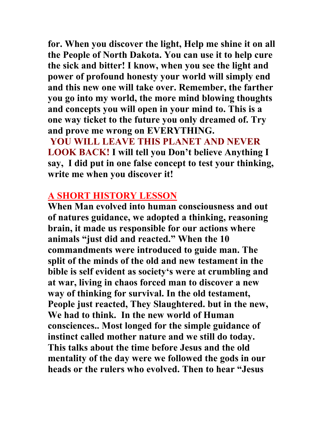**for. When you discover the light, Help me shine it on all the People of North Dakota. You can use it to help cure the sick and bitter! I know, when you see the light and power of profound honesty your world will simply end and this new one will take over. Remember, the farther you go into my world, the more mind blowing thoughts and concepts you will open in your mind to. This is a one way ticket to the future you only dreamed of. Try and prove me wrong on EVERYTHING.** 

**YOU WILL LEAVE THIS PLANET AND NEVER LOOK BACK! I will tell you Don't believe Anything I say, I did put in one false concept to test your thinking, write me when you discover it!** 

### **A SHORT HISTORY LESSON**

**When Man evolved into human consciousness and out of natures guidance, we adopted a thinking, reasoning brain, it made us responsible for our actions where animals "just did and reacted." When the 10 commandments were introduced to guide man. The split of the minds of the old and new testament in the bible is self evident as society's were at crumbling and at war, living in chaos forced man to discover a new way of thinking for survival. In the old testament, People just reacted, They Slaughtered. but in the new, We had to think. In the new world of Human consciences.. Most longed for the simple guidance of instinct called mother nature and we still do today. This talks about the time before Jesus and the old mentality of the day were we followed the gods in our heads or the rulers who evolved. Then to hear "Jesus**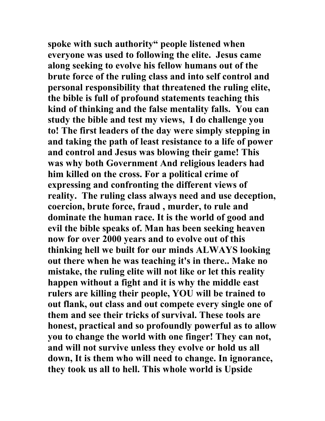**spoke with such authority" people listened when everyone was used to following the elite. Jesus came along seeking to evolve his fellow humans out of the brute force of the ruling class and into self control and personal responsibility that threatened the ruling elite, the bible is full of profound statements teaching this kind of thinking and the false mentality falls. You can study the bible and test my views, I do challenge you to! The first leaders of the day were simply stepping in and taking the path of least resistance to a life of power and control and Jesus was blowing their game! This was why both Government And religious leaders had him killed on the cross. For a political crime of expressing and confronting the different views of reality. The ruling class always need and use deception, coercion, brute force, fraud , murder, to rule and dominate the human race. It is the world of good and evil the bible speaks of. Man has been seeking heaven now for over 2000 years and to evolve out of this thinking hell we built for our minds ALWAYS looking out there when he was teaching it's in there.. Make no mistake, the ruling elite will not like or let this reality happen without a fight and it is why the middle east rulers are killing their people, YOU will be trained to out flank, out class and out compete every single one of them and see their tricks of survival. These tools are honest, practical and so profoundly powerful as to allow you to change the world with one finger! They can not, and will not survive unless they evolve or hold us all down, It is them who will need to change. In ignorance, they took us all to hell. This whole world is Upside**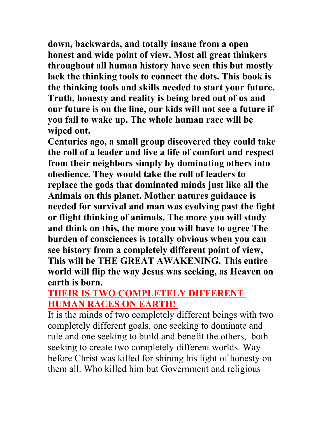**down, backwards, and totally insane from a open honest and wide point of view. Most all great thinkers throughout all human history have seen this but mostly lack the thinking tools to connect the dots. This book is the thinking tools and skills needed to start your future. Truth, honesty and reality is being bred out of us and our future is on the line, our kids will not see a future if you fail to wake up, The whole human race will be wiped out.** 

**Centuries ago, a small group discovered they could take the roll of a leader and live a life of comfort and respect from their neighbors simply by dominating others into obedience. They would take the roll of leaders to replace the gods that dominated minds just like all the Animals on this planet. Mother natures guidance is needed for survival and man was evolving past the fight or flight thinking of animals. The more you will study and think on this, the more you will have to agree The burden of consciences is totally obvious when you can see history from a completely different point of view, This will be THE GREAT AWAKENING. This entire world will flip the way Jesus was seeking, as Heaven on earth is born.** 

## **THEIR IS TWO COMPLETELY DIFFERENT HUMAN RACES ON EARTH!**

It is the minds of two completely different beings with two completely different goals, one seeking to dominate and rule and one seeking to build and benefit the others, both seeking to create two completely different worlds. Way before Christ was killed for shining his light of honesty on them all. Who killed him but Government and religious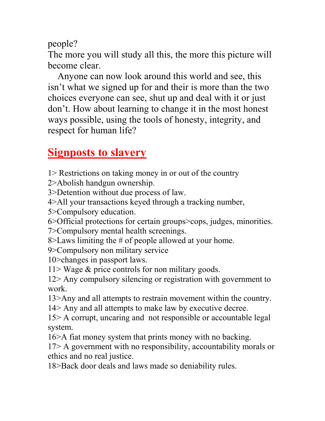people?

The more you will study all this, the more this picture will become clear.

 Anyone can now look around this world and see, this isn't what we signed up for and their is more than the two choices everyone can see, shut up and deal with it or just don't. How about learning to change it in the most honest ways possible, using the tools of honesty, integrity, and respect for human life?

# **Signposts to slavery**

1> Restrictions on taking money in or out of the country

2>Abolish handgun ownership.

3>Detention without due process of law.

4>All your transactions keyed through a tracking number,

5>Compulsory education.

6>Official protections for certain groups>cops, judges, minorities.

7>Compulsory mental health screenings.

8>Laws limiting the # of people allowed at your home.

9>Compulsory non military service

10>changes in passport laws.

11> Wage  $\&$  price controls for non military goods.

12> Any compulsory silencing or registration with government to work.

13>Any and all attempts to restrain movement within the country.

14> Any and all attempts to make law by executive decree.

15> A corrupt, uncaring and not responsible or accountable legal system.

16>A fiat money system that prints money with no backing.

17> A government with no responsibility, accountability morals or ethics and no real justice.

18>Back door deals and laws made so deniability rules.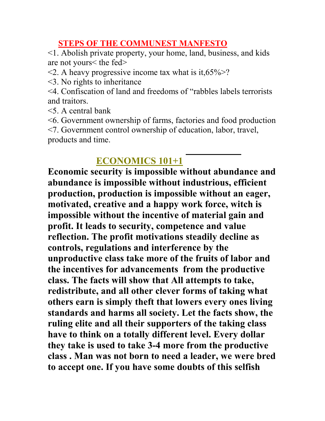#### **STEPS OF THE COMMUNEST MANFESTO**

<1. Abolish private property, your home, land, business, and kids are not yours< the fed>

- $\leq$  2. A heavy progressive income tax what is it, 65% $\geq$ ?
- <3. No rights to inheritance
- <4. Confiscation of land and freedoms of "rabbles labels terrorists and traitors.
- <5. A central bank
- <6. Government ownership of farms, factories and food production <7. Government control ownership of education, labor, travel, products and time.

## **ECONOMICS 101+1**

**Economic security is impossible without abundance and abundance is impossible without industrious, efficient production, production is impossible without an eager, motivated, creative and a happy work force, witch is impossible without the incentive of material gain and profit. It leads to security, competence and value reflection. The profit motivations steadily decline as controls, regulations and interference by the unproductive class take more of the fruits of labor and the incentives for advancements from the productive class. The facts will show that All attempts to take, redistribute, and all other clever forms of taking what others earn is simply theft that lowers every ones living standards and harms all society. Let the facts show, the ruling elite and all their supporters of the taking class have to think on a totally different level. Every dollar they take is used to take 3-4 more from the productive class . Man was not born to need a leader, we were bred to accept one. If you have some doubts of this selfish**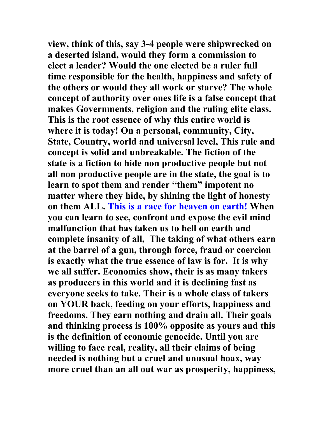**view, think of this, say 3-4 people were shipwrecked on a deserted island, would they form a commission to elect a leader? Would the one elected be a ruler full time responsible for the health, happiness and safety of the others or would they all work or starve? The whole concept of authority over ones life is a false concept that makes Governments, religion and the ruling elite class. This is the root essence of why this entire world is where it is today! On a personal, community, City, State, Country, world and universal level, This rule and concept is solid and unbreakable. The fiction of the state is a fiction to hide non productive people but not all non productive people are in the state, the goal is to learn to spot them and render "them" impotent no matter where they hide, by shining the light of honesty on them ALL. This is a race for heaven on earth! When you can learn to see, confront and expose the evil mind malfunction that has taken us to hell on earth and complete insanity of all, The taking of what others earn at the barrel of a gun, through force, fraud or coercion is exactly what the true essence of law is for. It is why we all suffer. Economics show, their is as many takers as producers in this world and it is declining fast as everyone seeks to take. Their is a whole class of takers on YOUR back, feeding on your efforts, happiness and freedoms. They earn nothing and drain all. Their goals and thinking process is 100% opposite as yours and this is the definition of economic genocide. Until you are willing to face real, reality, all their claims of being needed is nothing but a cruel and unusual hoax, way more cruel than an all out war as prosperity, happiness,**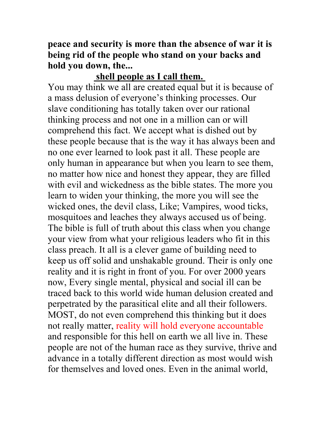**peace and security is more than the absence of war it is being rid of the people who stand on your backs and hold you down, the...** 

#### **shell people as I call them.**

You may think we all are created equal but it is because of a mass delusion of everyone's thinking processes. Our slave conditioning has totally taken over our rational thinking process and not one in a million can or will comprehend this fact. We accept what is dished out by these people because that is the way it has always been and no one ever learned to look past it all. These people are only human in appearance but when you learn to see them, no matter how nice and honest they appear, they are filled with evil and wickedness as the bible states. The more you learn to widen your thinking, the more you will see the wicked ones, the devil class, Like; Vampires, wood ticks, mosquitoes and leaches they always accused us of being. The bible is full of truth about this class when you change your view from what your religious leaders who fit in this class preach. It all is a clever game of building need to keep us off solid and unshakable ground. Their is only one reality and it is right in front of you. For over 2000 years now, Every single mental, physical and social ill can be traced back to this world wide human delusion created and perpetrated by the parasitical elite and all their followers. MOST, do not even comprehend this thinking but it does not really matter, reality will hold everyone accountable and responsible for this hell on earth we all live in. These people are not of the human race as they survive, thrive and advance in a totally different direction as most would wish for themselves and loved ones. Even in the animal world,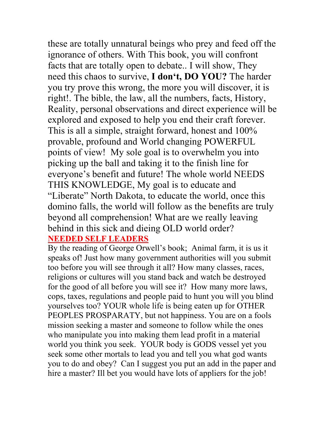these are totally unnatural beings who prey and feed off the ignorance of others. With This book, you will confront facts that are totally open to debate.. I will show, They need this chaos to survive, **I don't, DO YOU?** The harder you try prove this wrong, the more you will discover, it is right!. The bible, the law, all the numbers, facts, History, Reality, personal observations and direct experience will be explored and exposed to help you end their craft forever. This is all a simple, straight forward, honest and 100% provable, profound and World changing POWERFUL points of view! My sole goal is to overwhelm you into picking up the ball and taking it to the finish line for everyone's benefit and future! The whole world NEEDS THIS KNOWLEDGE, My goal is to educate and "Liberate" North Dakota, to educate the world, once this domino falls, the world will follow as the benefits are truly beyond all comprehension! What are we really leaving behind in this sick and dieing OLD world order? **NEEDED SELF LEADERS**

By the reading of George Orwell's book; Animal farm, it is us it speaks of! Just how many government authorities will you submit too before you will see through it all? How many classes, races, religions or cultures will you stand back and watch be destroyed for the good of all before you will see it? How many more laws, cops, taxes, regulations and people paid to hunt you will you blind yourselves too? YOUR whole life is being eaten up for OTHER PEOPLES PROSPARATY, but not happiness. You are on a fools mission seeking a master and someone to follow while the ones who manipulate you into making them lead profit in a material world you think you seek. YOUR body is GODS vessel yet you seek some other mortals to lead you and tell you what god wants you to do and obey? Can I suggest you put an add in the paper and hire a master? Ill bet you would have lots of appliers for the job!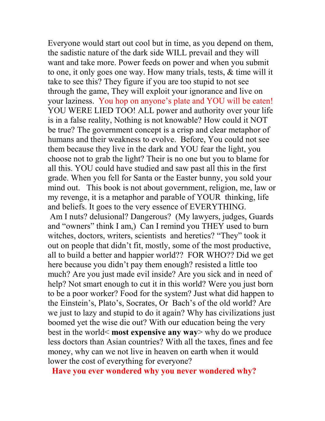Everyone would start out cool but in time, as you depend on them, the sadistic nature of the dark side WILL prevail and they will want and take more. Power feeds on power and when you submit to one, it only goes one way. How many trials, tests, & time will it take to see this? They figure if you are too stupid to not see through the game, They will exploit your ignorance and live on your laziness. You hop on anyone's plate and YOU will be eaten! YOU WERE LIED TOO! ALL power and authority over your life is in a false reality, Nothing is not knowable? How could it NOT be true? The government concept is a crisp and clear metaphor of humans and their weakness to evolve. Before, You could not see them because they live in the dark and YOU fear the light, you choose not to grab the light? Their is no one but you to blame for all this. YOU could have studied and saw past all this in the first grade. When you fell for Santa or the Easter bunny, you sold your mind out. This book is not about government, religion, me, law or my revenge, it is a metaphor and parable of YOUR thinking, life and beliefs. It goes to the very essence of EVERYTHING. Am I nuts? delusional? Dangerous? (My lawyers, judges, Guards and "owners" think I am,) Can I remind you THEY used to burn witches, doctors, writers, scientists and heretics? "They" took it out on people that didn't fit, mostly, some of the most productive, all to build a better and happier world?? FOR WHO?? Did we get here because you didn't pay them enough? resisted a little too much? Are you just made evil inside? Are you sick and in need of help? Not smart enough to cut it in this world? Were you just born to be a poor worker? Food for the system? Just what did happen to the Einstein's, Plato's, Socrates, Or Bach's of the old world? Are we just to lazy and stupid to do it again? Why has civilizations just boomed yet the wise die out? With our education being the very best in the world< **most expensive any way**> why do we produce less doctors than Asian countries? With all the taxes, fines and fee money, why can we not live in heaven on earth when it would lower the cost of everything for everyone?

**Have you ever wondered why you never wondered why?**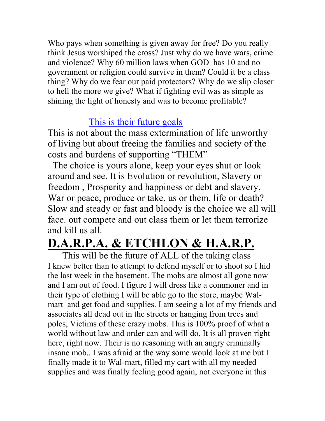Who pays when something is given away for free? Do you really think Jesus worshiped the cross? Just why do we have wars, crime and violence? Why 60 million laws when GOD has 10 and no government or religion could survive in them? Could it be a class thing? Why do we fear our paid protectors? Why do we slip closer to hell the more we give? What if fighting evil was as simple as shining the light of honesty and was to become profitable?

## This is their future goals

This is not about the mass extermination of life unworthy of living but about freeing the families and society of the costs and burdens of supporting "THEM"

 The choice is yours alone, keep your eyes shut or look around and see. It is Evolution or revolution, Slavery or freedom , Prosperity and happiness or debt and slavery, War or peace, produce or take, us or them, life or death? Slow and steady or fast and bloody is the choice we all will face. out compete and out class them or let them terrorize and kill us all.

# **D.A.R.P.A. & ETCHLON & H.A.R.P.**

 This will be the future of ALL of the taking class I knew better than to attempt to defend myself or to shoot so I hid the last week in the basement. The mobs are almost all gone now and I am out of food. I figure I will dress like a commoner and in their type of clothing I will be able go to the store, maybe Walmart and get food and supplies. I am seeing a lot of my friends and associates all dead out in the streets or hanging from trees and poles, Victims of these crazy mobs. This is 100% proof of what a world without law and order can and will do, It is all proven right here, right now. Their is no reasoning with an angry criminally insane mob.. I was afraid at the way some would look at me but I finally made it to Wal-mart, filled my cart with all my needed supplies and was finally feeling good again, not everyone in this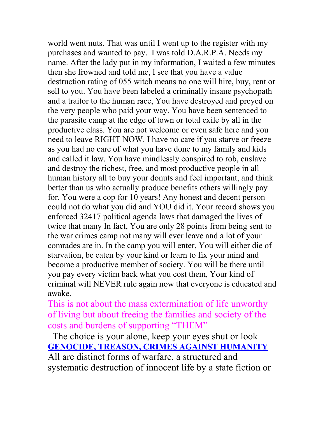world went nuts. That was until I went up to the register with my purchases and wanted to pay. I was told D.A.R.P.A. Needs my name. After the lady put in my information, I waited a few minutes then she frowned and told me, I see that you have a value destruction rating of 055 witch means no one will hire, buy, rent or sell to you. You have been labeled a criminally insane psychopath and a traitor to the human race, You have destroyed and preyed on the very people who paid your way. You have been sentenced to the parasite camp at the edge of town or total exile by all in the productive class. You are not welcome or even safe here and you need to leave RIGHT NOW. I have no care if you starve or freeze as you had no care of what you have done to my family and kids and called it law. You have mindlessly conspired to rob, enslave and destroy the richest, free, and most productive people in all human history all to buy your donuts and feel important, and think better than us who actually produce benefits others willingly pay for. You were a cop for 10 years! Any honest and decent person could not do what you did and YOU did it. Your record shows you enforced 32417 political agenda laws that damaged the lives of twice that many In fact, You are only 28 points from being sent to the war crimes camp not many will ever leave and a lot of your comrades are in. In the camp you will enter, You will either die of starvation, be eaten by your kind or learn to fix your mind and become a productive member of society. You will be there until you pay every victim back what you cost them, Your kind of criminal will NEVER rule again now that everyone is educated and awake.

This is not about the mass extermination of life unworthy of living but about freeing the families and society of the costs and burdens of supporting "THEM"

 The choice is your alone, keep your eyes shut or look **GENOCIDE, TREASON, CRIMES AGAINST HUMANITY** All are distinct forms of warfare. a structured and systematic destruction of innocent life by a state fiction or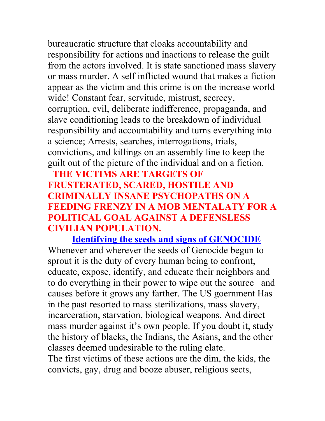bureaucratic structure that cloaks accountability and responsibility for actions and inactions to release the guilt from the actors involved. It is state sanctioned mass slavery or mass murder. A self inflicted wound that makes a fiction appear as the victim and this crime is on the increase world wide! Constant fear, servitude, mistrust, secrecy, corruption, evil, deliberate indifference, propaganda, and slave conditioning leads to the breakdown of individual responsibility and accountability and turns everything into a science; Arrests, searches, interrogations, trials, convictions, and killings on an assembly line to keep the guilt out of the picture of the individual and on a fiction.

## **THE VICTIMS ARE TARGETS OF FRUSTERATED, SCARED, HOSTILE AND CRIMINALLY INSANE PSYCHOPATHS ON A FEEDING FRENZY IN A MOB MENTALATY FOR A POLITICAL GOAL AGAINST A DEFENSLESS CIVILIAN POPULATION.**

 **Identifying the seeds and signs of GENOCIDE** Whenever and wherever the seeds of Genocide begun to sprout it is the duty of every human being to confront, educate, expose, identify, and educate their neighbors and to do everything in their power to wipe out the source and causes before it grows any farther. The US goernment Has in the past resorted to mass sterilizations, mass slavery, incarceration, starvation, biological weapons. And direct mass murder against it's own people. If you doubt it, study the history of blacks, the Indians, the Asians, and the other classes deemed undesirable to the ruling elate.

The first victims of these actions are the dim, the kids, the convicts, gay, drug and booze abuser, religious sects,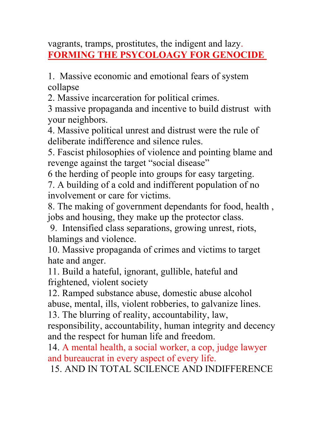vagrants, tramps, prostitutes, the indigent and lazy. **FORMING THE PSYCOLOAGY FOR GENOCIDE** 

1. Massive economic and emotional fears of system collapse

2. Massive incarceration for political crimes.

3 massive propaganda and incentive to build distrust with your neighbors.

4. Massive political unrest and distrust were the rule of deliberate indifference and silence rules.

5. Fascist philosophies of violence and pointing blame and revenge against the target "social disease"

6 the herding of people into groups for easy targeting.

7. A building of a cold and indifferent population of no involvement or care for victims.

8. The making of government dependants for food, health , jobs and housing, they make up the protector class.

 9. Intensified class separations, growing unrest, riots, blamings and violence.

10. Massive propaganda of crimes and victims to target hate and anger.

11. Build a hateful, ignorant, gullible, hateful and frightened, violent society

12. Ramped substance abuse, domestic abuse alcohol abuse, mental, ills, violent robberies, to galvanize lines.

13. The blurring of reality, accountability, law,

responsibility, accountability, human integrity and decency and the respect for human life and freedom.

14. A mental health, a social worker, a cop, judge lawyer and bureaucrat in every aspect of every life.

15. AND IN TOTAL SCILENCE AND INDIFFERENCE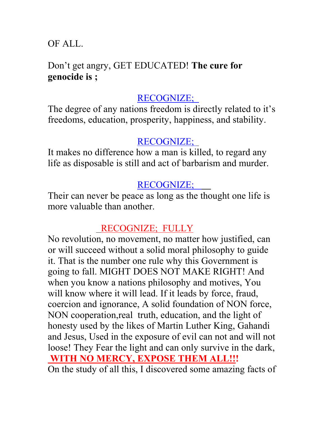OF ALL.

## Don't get angry, GET EDUCATED! **The cure for genocide is ;**

## RECOGNIZE;

The degree of any nations freedom is directly related to it's freedoms, education, prosperity, happiness, and stability.

## RECOGNIZE;

It makes no difference how a man is killed, to regard any life as disposable is still and act of barbarism and murder.

## RECOGNIZE;

Their can never be peace as long as the thought one life is more valuable than another.

# RECOGNIZE; FULLY

No revolution, no movement, no matter how justified, can or will succeed without a solid moral philosophy to guide it. That is the number one rule why this Government is going to fall. MIGHT DOES NOT MAKE RIGHT! And when you know a nations philosophy and motives, You will know where it will lead. If it leads by force, fraud, coercion and ignorance, A solid foundation of NON force, NON cooperation,real truth, education, and the light of honesty used by the likes of Martin Luther King, Gahandi and Jesus, Used in the exposure of evil can not and will not loose! They Fear the light and can only survive in the dark,  **WITH NO MERCY, EXPOSE THEM ALL!!!** On the study of all this, I discovered some amazing facts of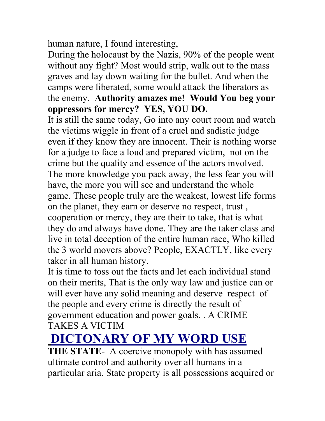human nature, I found interesting,

During the holocaust by the Nazis, 90% of the people went without any fight? Most would strip, walk out to the mass graves and lay down waiting for the bullet. And when the camps were liberated, some would attack the liberators as the enemy. **Authority amazes me! Would You beg your oppressors for mercy? YES, YOU DO.**

It is still the same today, Go into any court room and watch the victims wiggle in front of a cruel and sadistic judge even if they know they are innocent. Their is nothing worse for a judge to face a loud and prepared victim, not on the crime but the quality and essence of the actors involved. The more knowledge you pack away, the less fear you will have, the more you will see and understand the whole game. These people truly are the weakest, lowest life forms on the planet, they earn or deserve no respect, trust , cooperation or mercy, they are their to take, that is what they do and always have done. They are the taker class and live in total deception of the entire human race, Who killed the 3 world movers above? People, EXACTLY, like every taker in all human history.

It is time to toss out the facts and let each individual stand on their merits, That is the only way law and justice can or will ever have any solid meaning and deserve respect of the people and every crime is directly the result of government education and power goals. . A CRIME TAKES A VICTIM

# **DICTONARY OF MY WORD USE**

**THE STATE-** A coercive monopoly with has assumed ultimate control and authority over all humans in a particular aria. State property is all possessions acquired or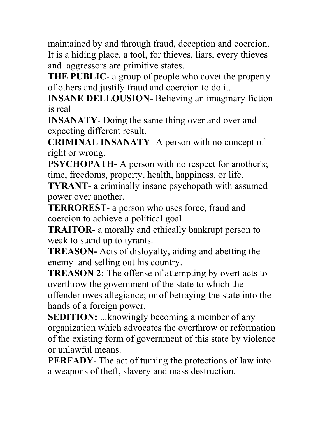maintained by and through fraud, deception and coercion. It is a hiding place, a tool, for thieves, liars, every thieves and aggressors are primitive states.

**THE PUBLIC**- a group of people who covet the property of others and justify fraud and coercion to do it.

**INSANE DELLOUSION-** Believing an imaginary fiction is real

**INSANATY**- Doing the same thing over and over and expecting different result.

**CRIMINAL INSANATY**- A person with no concept of right or wrong.

**PSYCHOPATH-** A person with no respect for another's; time, freedoms, property, health, happiness, or life.

**TYRANT**- a criminally insane psychopath with assumed power over another.

**TERROREST**- a person who uses force, fraud and coercion to achieve a political goal.

**TRAITOR-** a morally and ethically bankrupt person to weak to stand up to tyrants.

**TREASON-** Acts of disloyalty, aiding and abetting the enemy and selling out his country.

**TREASON 2:** The offense of attempting by overt acts to overthrow the government of the state to which the offender owes allegiance; or of betraying the state into the hands of a foreign power.

**SEDITION:** ...knowingly becoming a member of any organization which advocates the overthrow or reformation of the existing form of government of this state by violence or unlawful means.

**PERFADY**- The act of turning the protections of law into a weapons of theft, slavery and mass destruction.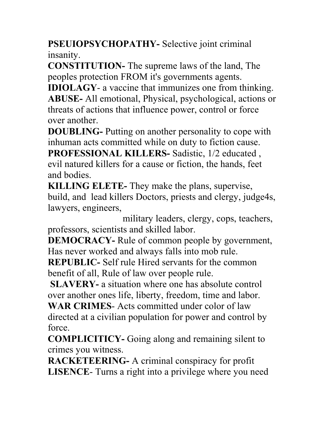**PSEUIOPSYCHOPATHY-** Selective joint criminal insanity.

**CONSTITUTION-** The supreme laws of the land, The peoples protection FROM it's governments agents.

**IDIOLAGY**- a vaccine that immunizes one from thinking. **ABUSE-** All emotional, Physical, psychological, actions or threats of actions that influence power, control or force over another.

**DOUBLING-** Putting on another personality to cope with inhuman acts committed while on duty to fiction cause.

**PROFESSIONAL KILLERS-** Sadistic, 1/2 educated , evil natured killers for a cause or fiction, the hands, feet and bodies.

**KILLING ELETE-** They make the plans, supervise, build, and lead killers Doctors, priests and clergy, judge4s, lawyers, engineers,

 military leaders, clergy, cops, teachers, professors, scientists and skilled labor.

**DEMOCRACY-** Rule of common people by government, Has never worked and always falls into mob rule.

**REPUBLIC-** Self rule Hired servants for the common benefit of all, Rule of law over people rule.

**SLAVERY-** a situation where one has absolute control over another ones life, liberty, freedom, time and labor.

**WAR CRIMES**- Acts committed under color of law directed at a civilian population for power and control by force.

**COMPLICITICY-** Going along and remaining silent to crimes you witness.

**RACKETEERING-** A criminal conspiracy for profit **LISENCE**- Turns a right into a privilege where you need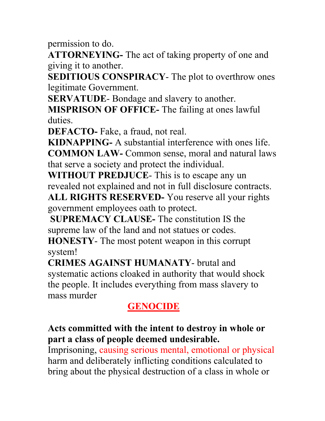permission to do.

**ATTORNEYING-** The act of taking property of one and giving it to another.

**SEDITIOUS CONSPIRACY**- The plot to overthrow ones legitimate Government.

**SERVATUDE**- Bondage and slavery to another.

**MISPRISON OF OFFICE-** The failing at ones lawful duties.

**DEFACTO-** Fake, a fraud, not real.

**KIDNAPPING-** A substantial interference with ones life. **COMMON LAW-** Common sense, moral and natural laws that serve a society and protect the individual.

**WITHOUT PREDJUCE**- This is to escape any un revealed not explained and not in full disclosure contracts.

**ALL RIGHTS RESERVED-** You reserve all your rights government employees oath to protect.

**SUPREMACY CLAUSE-** The constitution IS the supreme law of the land and not statues or codes.

**HONESTY**- The most potent weapon in this corrupt system!

**CRIMES AGAINST HUMANATY**- brutal and systematic actions cloaked in authority that would shock the people. It includes everything from mass slavery to mass murder

# **GENOCIDE**

## **Acts committed with the intent to destroy in whole or part a class of people deemed undesirable.**

Imprisoning, causing serious mental, emotional or physical harm and deliberately inflicting conditions calculated to bring about the physical destruction of a class in whole or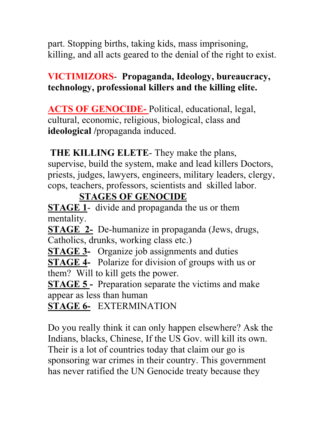part. Stopping births, taking kids, mass imprisoning, killing, and all acts geared to the denial of the right to exist.

## **VICTIMIZORS**- **Propaganda, Ideology, bureaucracy, technology, professional killers and the killing elite.**

**ACTS OF GENOCIDE-** Political, educational, legal, cultural, economic, religious, biological, class and **ideological /**propaganda induced.

**THE KILLING ELETE**- They make the plans,

supervise, build the system, make and lead killers Doctors, priests, judges, lawyers, engineers, military leaders, clergy, cops, teachers, professors, scientists and skilled labor.

# **STAGES OF GENOCIDE**

**STAGE 1-** divide and propaganda the us or them mentality.

**STAGE 2-** De-humanize in propaganda (Jews, drugs, Catholics, drunks, working class etc.)

**STAGE 3-** Organize job assignments and duties

**STAGE 4-** Polarize for division of groups with us or them? Will to kill gets the power.

**STAGE 5** - Preparation separate the victims and make appear as less than human

**STAGE 6-** EXTERMINATION

Do you really think it can only happen elsewhere? Ask the Indians, blacks, Chinese, If the US Gov. will kill its own. Their is a lot of countries today that claim our go is sponsoring war crimes in their country. This government has never ratified the UN Genocide treaty because they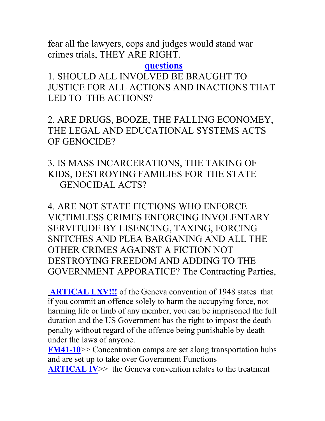fear all the lawyers, cops and judges would stand war crimes trials, THEY ARE RIGHT.

#### **questions**

1. SHOULD ALL INVOLVED BE BRAUGHT TO JUSTICE FOR ALL ACTIONS AND INACTIONS THAT LED TO THE ACTIONS?

2. ARE DRUGS, BOOZE, THE FALLING ECONOMEY, THE LEGAL AND EDUCATIONAL SYSTEMS ACTS OF GENOCIDE?

## 3. IS MASS INCARCERATIONS, THE TAKING OF KIDS, DESTROYING FAMILIES FOR THE STATE GENOCIDAL ACTS?

4. ARE NOT STATE FICTIONS WHO ENFORCE VICTIMLESS CRIMES ENFORCING INVOLENTARY SERVITUDE BY LISENCING, TAXING, FORCING SNITCHES AND PLEA BARGANING AND ALL THE OTHER CRIMES AGAINST A FICTION NOT DESTROYING FREEDOM AND ADDING TO THE GOVERNMENT APPORATICE? The Contracting Parties,

**ARTICAL LXV!!!** of the Geneva convention of 1948 states that if you commit an offence solely to harm the occupying force, not harming life or limb of any member, you can be imprisoned the full duration and the US Government has the right to impost the death penalty without regard of the offence being punishable by death under the laws of anyone.

**FM41-10**>> Concentration camps are set along transportation hubs and are set up to take over Government Functions

**ARTICAL IV**>> the Geneva convention relates to the treatment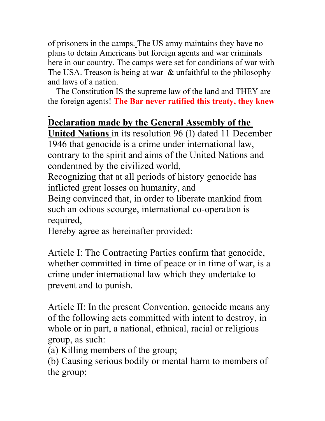of prisoners in the camps. The US army maintains they have no plans to detain Americans but foreign agents and war criminals here in our country. The camps were set for conditions of war with The USA. Treason is being at war & unfaithful to the philosophy and laws of a nation.

 The Constitution IS the supreme law of the land and THEY are the foreign agents! **The Bar never ratified this treaty, they knew** 

## **Declaration made by the General Assembly of the**

**United Nations** in its resolution 96 (I) dated 11 December 1946 that genocide is a crime under international law, contrary to the spirit and aims of the United Nations and condemned by the civilized world,

Recognizing that at all periods of history genocide has inflicted great losses on humanity, and

Being convinced that, in order to liberate mankind from such an odious scourge, international co-operation is required,

Hereby agree as hereinafter provided:

Article I: The Contracting Parties confirm that genocide, whether committed in time of peace or in time of war, is a crime under international law which they undertake to prevent and to punish.

Article II: In the present Convention, genocide means any of the following acts committed with intent to destroy, in whole or in part, a national, ethnical, racial or religious group, as such:

(a) Killing members of the group;

(b) Causing serious bodily or mental harm to members of the group;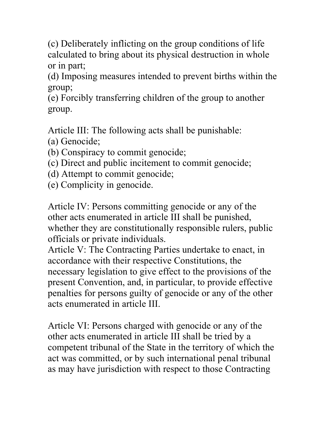(c) Deliberately inflicting on the group conditions of life calculated to bring about its physical destruction in whole or in part;

(d) Imposing measures intended to prevent births within the group;

(e) Forcibly transferring children of the group to another group.

Article III: The following acts shall be punishable:

(a) Genocide;

- (b) Conspiracy to commit genocide;
- (c) Direct and public incitement to commit genocide;
- (d) Attempt to commit genocide;
- (e) Complicity in genocide.

Article IV: Persons committing genocide or any of the other acts enumerated in article III shall be punished, whether they are constitutionally responsible rulers, public officials or private individuals.

Article V: The Contracting Parties undertake to enact, in accordance with their respective Constitutions, the necessary legislation to give effect to the provisions of the present Convention, and, in particular, to provide effective penalties for persons guilty of genocide or any of the other acts enumerated in article III.

Article VI: Persons charged with genocide or any of the other acts enumerated in article III shall be tried by a competent tribunal of the State in the territory of which the act was committed, or by such international penal tribunal as may have jurisdiction with respect to those Contracting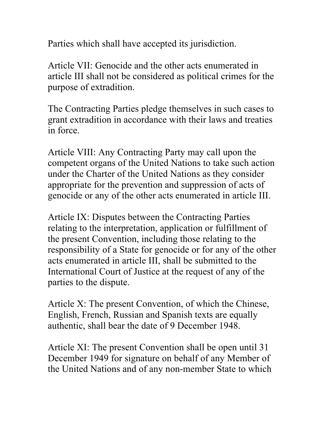Parties which shall have accepted its jurisdiction.

Article VII: Genocide and the other acts enumerated in article III shall not be considered as political crimes for the purpose of extradition.

The Contracting Parties pledge themselves in such cases to grant extradition in accordance with their laws and treaties in force.

Article VIII: Any Contracting Party may call upon the competent organs of the United Nations to take such action under the Charter of the United Nations as they consider appropriate for the prevention and suppression of acts of genocide or any of the other acts enumerated in article III.

Article IX: Disputes between the Contracting Parties relating to the interpretation, application or fulfillment of the present Convention, including those relating to the responsibility of a State for genocide or for any of the other acts enumerated in article III, shall be submitted to the International Court of Justice at the request of any of the parties to the dispute.

Article X: The present Convention, of which the Chinese, English, French, Russian and Spanish texts are equally authentic, shall bear the date of 9 December 1948.

Article XI: The present Convention shall be open until 31 December 1949 for signature on behalf of any Member of the United Nations and of any non-member State to which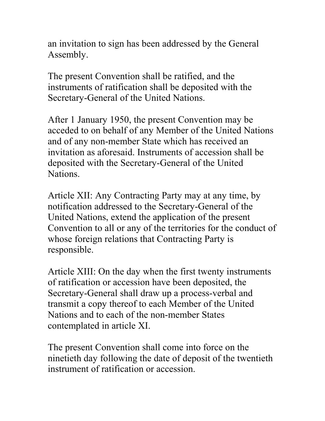an invitation to sign has been addressed by the General Assembly.

The present Convention shall be ratified, and the instruments of ratification shall be deposited with the Secretary-General of the United Nations.

After 1 January 1950, the present Convention may be acceded to on behalf of any Member of the United Nations and of any non-member State which has received an invitation as aforesaid. Instruments of accession shall be deposited with the Secretary-General of the United Nations.

Article XII: Any Contracting Party may at any time, by notification addressed to the Secretary-General of the United Nations, extend the application of the present Convention to all or any of the territories for the conduct of whose foreign relations that Contracting Party is responsible.

Article XIII: On the day when the first twenty instruments of ratification or accession have been deposited, the Secretary-General shall draw up a process-verbal and transmit a copy thereof to each Member of the United Nations and to each of the non-member States contemplated in article XI.

The present Convention shall come into force on the ninetieth day following the date of deposit of the twentieth instrument of ratification or accession.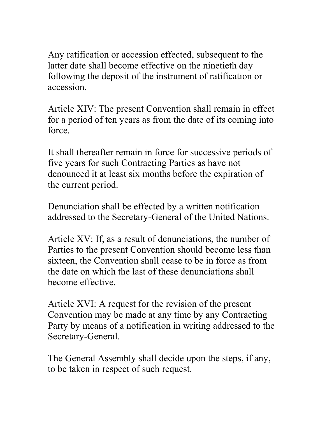Any ratification or accession effected, subsequent to the latter date shall become effective on the ninetieth day following the deposit of the instrument of ratification or accession.

Article XIV: The present Convention shall remain in effect for a period of ten years as from the date of its coming into force.

It shall thereafter remain in force for successive periods of five years for such Contracting Parties as have not denounced it at least six months before the expiration of the current period.

Denunciation shall be effected by a written notification addressed to the Secretary-General of the United Nations.

Article XV: If, as a result of denunciations, the number of Parties to the present Convention should become less than sixteen, the Convention shall cease to be in force as from the date on which the last of these denunciations shall become effective.

Article XVI: A request for the revision of the present Convention may be made at any time by any Contracting Party by means of a notification in writing addressed to the Secretary-General.

The General Assembly shall decide upon the steps, if any, to be taken in respect of such request.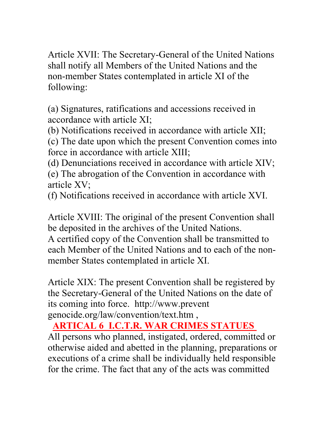Article XVII: The Secretary-General of the United Nations shall notify all Members of the United Nations and the non-member States contemplated in article XI of the following:

(a) Signatures, ratifications and accessions received in accordance with article XI;

(b) Notifications received in accordance with article XII;

(c) The date upon which the present Convention comes into force in accordance with article XIII;

(d) Denunciations received in accordance with article XIV;

(e) The abrogation of the Convention in accordance with article XV;

(f) Notifications received in accordance with article XVI.

Article XVIII: The original of the present Convention shall be deposited in the archives of the United Nations.

A certified copy of the Convention shall be transmitted to each Member of the United Nations and to each of the nonmember States contemplated in article XI.

Article XIX: The present Convention shall be registered by the Secretary-General of the United Nations on the date of its coming into force. http://www.prevent genocide.org/law/convention/text.htm ,

# **ARTICAL 6 I.C.T.R. WAR CRIMES STATUES**

All persons who planned, instigated, ordered, committed or otherwise aided and abetted in the planning, preparations or executions of a crime shall be individually held responsible for the crime. The fact that any of the acts was committed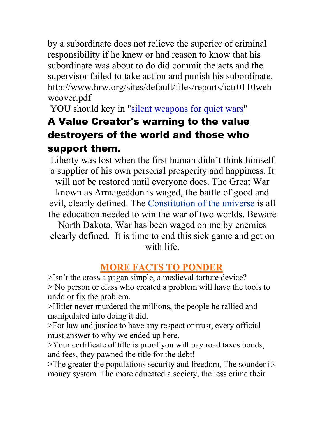by a subordinate does not relieve the superior of criminal responsibility if he knew or had reason to know that his subordinate was about to do did commit the acts and the supervisor failed to take action and punish his subordinate. http://www.hrw.org/sites/default/files/reports/ictr0110web wcover.pdf

YOU should key in "silent weapons for quiet wars"

# A Value Creator's warning to the value destroyers of the world and those who support them.

Liberty was lost when the first human didn't think himself a supplier of his own personal prosperity and happiness. It will not be restored until everyone does. The Great War

known as Armageddon is waged, the battle of good and evil, clearly defined. The Constitution of the universe is all the education needed to win the war of two worlds. Beware

North Dakota, War has been waged on me by enemies clearly defined. It is time to end this sick game and get on with life.

## **MORE FACTS TO PONDER**

>Isn't the cross a pagan simple, a medieval torture device? > No person or class who created a problem will have the tools to undo or fix the problem.

>Hitler never murdered the millions, the people he rallied and manipulated into doing it did.

>For law and justice to have any respect or trust, every official must answer to why we ended up here.

>Your certificate of title is proof you will pay road taxes bonds, and fees, they pawned the title for the debt!

>The greater the populations security and freedom, The sounder its money system. The more educated a society, the less crime their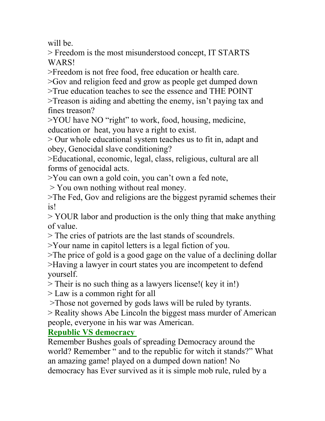will be.

> Freedom is the most misunderstood concept, IT STARTS WARS!

>Freedom is not free food, free education or health care.

>Gov and religion feed and grow as people get dumped down

>True education teaches to see the essence and THE POINT

>Treason is aiding and abetting the enemy, isn't paying tax and fines treason?

>YOU have NO "right" to work, food, housing, medicine, education or heat, you have a right to exist.

> Our whole educational system teaches us to fit in, adapt and obey, Genocidal slave conditioning?

>Educational, economic, legal, class, religious, cultural are all forms of genocidal acts.

>You can own a gold coin, you can't own a fed note,

> You own nothing without real money.

>The Fed, Gov and religions are the biggest pyramid schemes their is!

> YOUR labor and production is the only thing that make anything of value.

> The cries of patriots are the last stands of scoundrels.

>Your name in capitol letters is a legal fiction of you.

>The price of gold is a good gage on the value of a declining dollar >Having a lawyer in court states you are incompetent to defend yourself.

> Their is no such thing as a lawyers license!( key it in!)

> Law is a common right for all

>Those not governed by gods laws will be ruled by tyrants.

> Reality shows Abe Lincoln the biggest mass murder of American people, everyone in his war was American.

#### **Republic VS democracy**

Remember Bushes goals of spreading Democracy around the world? Remember " and to the republic for witch it stands?" What an amazing game! played on a dumped down nation! No democracy has Ever survived as it is simple mob rule, ruled by a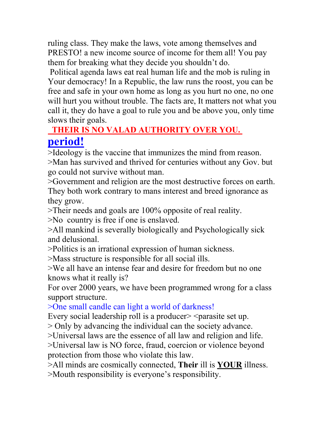ruling class. They make the laws, vote among themselves and PRESTO! a new income source of income for them all! You pay them for breaking what they decide you shouldn't do.

 Political agenda laws eat real human life and the mob is ruling in Your democracy! In a Republic, the law runs the roost, you can be free and safe in your own home as long as you hurt no one, no one will hurt you without trouble. The facts are, It matters not what you call it, they do have a goal to rule you and be above you, only time slows their goals.

## **THEIR IS NO VALAD AUTHORITY OVER YOU. period!**

>Ideology is the vaccine that immunizes the mind from reason. >Man has survived and thrived for centuries without any Gov. but go could not survive without man.

>Government and religion are the most destructive forces on earth. They both work contrary to mans interest and breed ignorance as they grow.

>Their needs and goals are 100% opposite of real reality.

>No country is free if one is enslaved.

>All mankind is severally biologically and Psychologically sick and delusional.

>Politics is an irrational expression of human sickness.

>Mass structure is responsible for all social ills.

>We all have an intense fear and desire for freedom but no one knows what it really is?

For over 2000 years, we have been programmed wrong for a class support structure.

>One small candle can light a world of darkness!

Every social leadership roll is a producer >  $\leq$  parasite set up.

> Only by advancing the individual can the society advance.

>Universal laws are the essence of all law and religion and life.

>Universal law is NO force, fraud, coercion or violence beyond protection from those who violate this law.

>All minds are cosmically connected, **Their** ill is **YOUR** illness. >Mouth responsibility is everyone's responsibility.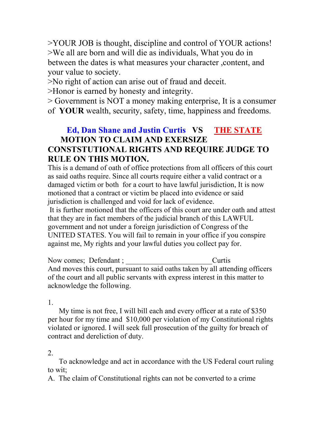>YOUR JOB is thought, discipline and control of YOUR actions! >We all are born and will die as individuals, What you do in between the dates is what measures your character ,content, and your value to society.

>No right of action can arise out of fraud and deceit.

>Honor is earned by honesty and integrity.

> Government is NOT a money making enterprise, It is a consumer of **YOUR** wealth, security, safety, time, happiness and freedoms.

#### **Ed, Dan Shane and Justin Curtis VS THE STATE MOTION TO CLAIM AND EXERSIZE CONSTSTUTIONAL RIGHTS AND REQUIRE JUDGE TO RULE ON THIS MOTION.**

This is a demand of oath of office protections from all officers of this court as said oaths require. Since all courts require either a valid contract or a damaged victim or both for a court to have lawful jurisdiction, It is now motioned that a contract or victim be placed into evidence or said jurisdiction is challenged and void for lack of evidence.

 It is further motioned that the officers of this court are under oath and attest that they are in fact members of the judicial branch of this LAWFUL government and not under a foreign jurisdiction of Congress of the UNITED STATES. You will fail to remain in your office if you conspire against me, My rights and your lawful duties you collect pay for.

Now comes; Defendant ;  $Curtis$ And moves this court, pursuant to said oaths taken by all attending officers of the court and all public servants with express interest in this matter to acknowledge the following.

1.

 My time is not free, I will bill each and every officer at a rate of \$350 per hour for my time and \$10,000 per violation of my Constitutional rights violated or ignored. I will seek full prosecution of the guilty for breach of contract and dereliction of duty.

#### 2.

 To acknowledge and act in accordance with the US Federal court ruling to wit;

A. The claim of Constitutional rights can not be converted to a crime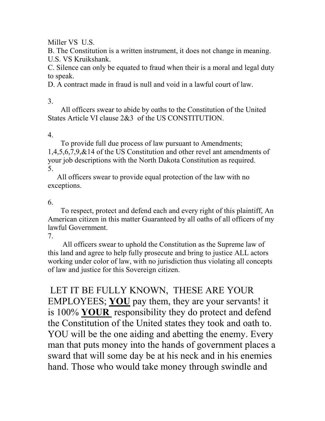Miller VS U.S.

B. The Constitution is a written instrument, it does not change in meaning. U.S. VS Kruikshank.

C. Silence can only be equated to fraud when their is a moral and legal duty to speak.

D. A contract made in fraud is null and void in a lawful court of law.

#### 3.

 All officers swear to abide by oaths to the Constitution of the United States Article VI clause  $2&3$  of the US CONSTITUTION.

#### 4.

 To provide full due process of law pursuant to Amendments; 1,4,5,6,7,9,&14 of the US Constitution and other revel ant amendments of your job descriptions with the North Dakota Constitution as required. 5.

 All officers swear to provide equal protection of the law with no exceptions.

#### 6.

 To respect, protect and defend each and every right of this plaintiff, An American citizen in this matter Guaranteed by all oaths of all officers of my lawful Government.

7.

 All officers swear to uphold the Constitution as the Supreme law of this land and agree to help fully prosecute and bring to justice ALL actors working under color of law, with no jurisdiction thus violating all concepts of law and justice for this Sovereign citizen.

 LET IT BE FULLY KNOWN, THESE ARE YOUR EMPLOYEES; **YOU** pay them, they are your servants! it is 100% **YOUR** responsibility they do protect and defend the Constitution of the United states they took and oath to. YOU will be the one aiding and abetting the enemy. Every man that puts money into the hands of government places a sward that will some day be at his neck and in his enemies hand. Those who would take money through swindle and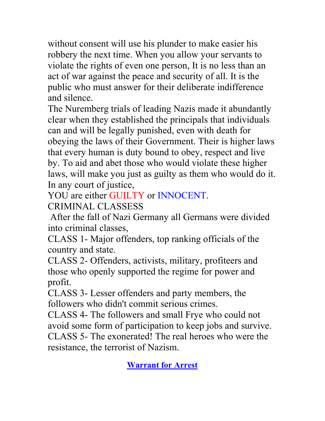without consent will use his plunder to make easier his robbery the next time. When you allow your servants to violate the rights of even one person, It is no less than an act of war against the peace and security of all. It is the public who must answer for their deliberate indifference and silence.

The Nuremberg trials of leading Nazis made it abundantly clear when they established the principals that individuals can and will be legally punished, even with death for obeying the laws of their Government. Their is higher laws that every human is duty bound to obey, respect and live by. To aid and abet those who would violate these higher laws, will make you just as guilty as them who would do it. In any court of justice,

YOU are either GUILTY or INNOCENT.

CRIMINAL CLASSESS

 After the fall of Nazi Germany all Germans were divided into criminal classes,

CLASS 1- Major offenders, top ranking officials of the country and state.

CLASS 2- Offenders, activists, military, profiteers and those who openly supported the regime for power and profit.

CLASS 3- Lesser offenders and party members, the followers who didn't commit serious crimes.

CLASS 4- The followers and small Frye who could not avoid some form of participation to keep jobs and survive. CLASS 5- The exonerated! The real heroes who were the resistance, the terrorist of Nazism.

**Warrant for Arrest**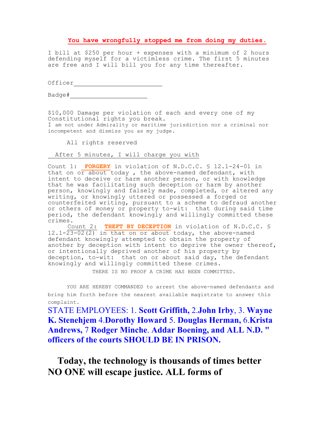#### **You have wrongfully stopped me from doing my duties.**

I bill at \$250 per hour + expenses with a minimum of 2 hours defending myself for a victimless crime. The first 5 minutes are free and I will bill you for any time thereafter.

Officer\_\_\_\_\_\_\_\_\_\_\_\_\_\_\_\_\_

Badge#\_\_\_\_\_\_\_\_\_\_\_\_\_\_\_\_\_\_\_\_\_

\$10,000 Damage per violation of each and every one of my Constitutional rights you break. I am not under Admirality or maritime jurisdiction nor a criminal nor incompetent and dismiss you as my judge.

All rights reserved

After 5 minutes, I will charge you with

Count 1: **FORGERY** in violation of N.D.C.C. § 12.1-24-01 in that on  $o\bar{r}$  about today, the above-named defendant, with intent to deceive or harm another person, or with knowledge that he was facilitating such deception or harm by another person, knowingly and falsely made, completed, or altered any writing, or knowingly uttered or possessed a forged or counterfeited writing, pursuant to a scheme to defraud another or others of money or property to-wit: that during said time period, the defendant knowingly and willingly committed these crimes.

Count 2: **THEFT BY DECEPTION** in violation of N.D.C.C. § 12.1-23-02(2) in that on or about today, the above-named defendant knowingly attempted to obtain the property of another by deception with intent to deprive the owner thereof, or intentionally deprived another of his property by deception, to-wit: that on or about said day, the defendant knowingly and willingly committed these crimes.

THERE IS NO PROOF A CRIME HAS BEEN COMMITTED.

YOU ARE HEREBY COMMANDED to arrest the above-named defendants and bring him forth before the nearest available magistrate to answer this complaint.

STATE EMPLOYEES: 1. **Scott Griffith,** 2.**John Irby**, 3. **Wayne K. Stenehjem** 4.**Dorothy Howard** 5. **Douglas Herman,** 6.**Krista Andrews,** 7 **Rodger Minche**. **Addar Boening, and ALL N.D. " officers of the courts SHOULD BE IN PRISON.**

 **Today, the technology is thousands of times better NO ONE will escape justice. ALL forms of**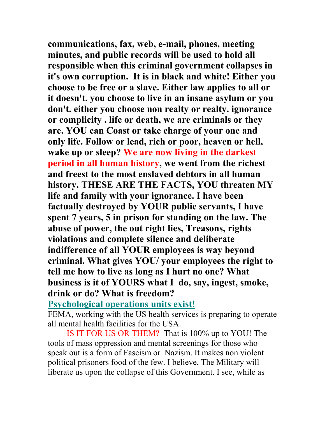**communications, fax, web, e-mail, phones, meeting minutes, and public records will be used to hold all responsible when this criminal government collapses in it's own corruption. It is in black and white! Either you choose to be free or a slave. Either law applies to all or it doesn't. you choose to live in an insane asylum or you don't. either you choose non realty or realty. ignorance or complicity . life or death, we are criminals or they are. YOU can Coast or take charge of your one and only life. Follow or lead, rich or poor, heaven or hell, wake up or sleep? We are now living in the darkest period in all human history, we went from the richest and freest to the most enslaved debtors in all human history. THESE ARE THE FACTS, YOU threaten MY life and family with your ignorance. I have been factually destroyed by YOUR public servants, I have spent 7 years, 5 in prison for standing on the law. The abuse of power, the out right lies, Treasons, rights violations and complete silence and deliberate indifference of all YOUR employees is way beyond criminal. What gives YOU/ your employees the right to tell me how to live as long as I hurt no one? What business is it of YOURS what I do, say, ingest, smoke, drink or do? What is freedom?**

**Psychological operations units exist!**

FEMA, working with the US health services is preparing to operate all mental health facilities for the USA.

 IS IT FOR US OR THEM? That is 100% up to YOU! The tools of mass oppression and mental screenings for those who speak out is a form of Fascism or Nazism. It makes non violent political prisoners food of the few. I believe, The Military will liberate us upon the collapse of this Government. I see, while as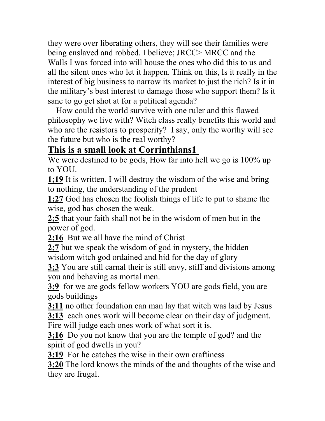they were over liberating others, they will see their families were being enslaved and robbed. I believe; JRCC> MRCC and the Walls I was forced into will house the ones who did this to us and all the silent ones who let it happen. Think on this, Is it really in the interest of big business to narrow its market to just the rich? Is it in the military's best interest to damage those who support them? Is it sane to go get shot at for a political agenda?

 How could the world survive with one ruler and this flawed philosophy we live with? Witch class really benefits this world and who are the resistors to prosperity? I say, only the worthy will see the future but who is the real worthy?

## **This is a small look at Corrinthians1**

We were destined to be gods, How far into hell we go is 100% up to YOU.

**1;19** It is written, I will destroy the wisdom of the wise and bring to nothing, the understanding of the prudent

**1;27** God has chosen the foolish things of life to put to shame the wise, god has chosen the weak.

**2;5** that your faith shall not be in the wisdom of men but in the power of god.

**2;16** But we all have the mind of Christ

**2;7** but we speak the wisdom of god in mystery, the hidden wisdom witch god ordained and hid for the day of glory

**3;3** You are still carnal their is still envy, stiff and divisions among you and behaving as mortal men.

**3;9** for we are gods fellow workers YOU are gods field, you are gods buildings

**3;11** no other foundation can man lay that witch was laid by Jesus

**3;13** each ones work will become clear on their day of judgment.

Fire will judge each ones work of what sort it is.

**3:16** Do you not know that you are the temple of god? and the spirit of god dwells in you?

**3;19** For he catches the wise in their own craftiness

**3;20** The lord knows the minds of the and thoughts of the wise and they are frugal.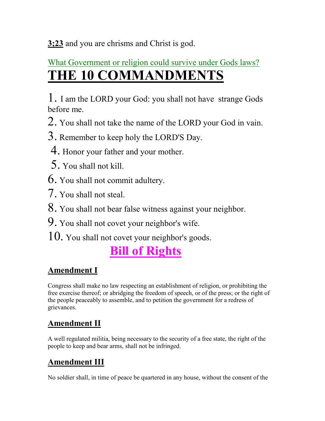**3;23** and you are chrisms and Christ is god.

## What Government or religion could survive under Gods laws? **THE 10 COMMANDMENTS**

1. I am the LORD your God: you shall not have strange Gods before me.

- 2. You shall not take the name of the LORD your God in vain.
- 3. Remember to keep holy the LORD'S Day.
- 4. Honor your father and your mother.
- 5. You shall not kill.
- 6. You shall not commit adultery.
- 7. You shall not steal.
- 8. You shall not bear false witness against your neighbor.
- 9. You shall not covet your neighbor's wife.
- 10. You shall not covet your neighbor's goods.

## **Bill of Rights**

### **Amendment I**

Congress shall make no law respecting an establishment of religion, or prohibiting the free exercise thereof; or abridging the freedom of speech, or of the press; or the right of the people peaceably to assemble, and to petition the government for a redress of grievances.

## **Amendment II**

A well regulated militia, being necessary to the security of a free state, the right of the people to keep and bear arms, shall not be infringed.

## **Amendment III**

No soldier shall, in time of peace be quartered in any house, without the consent of the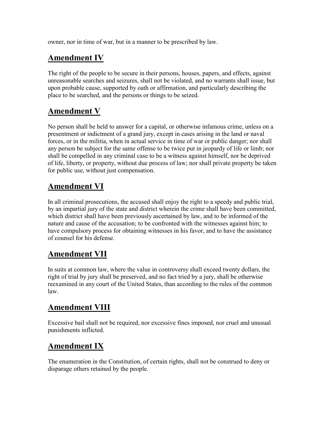owner, nor in time of war, but in a manner to be prescribed by law.

#### **Amendment IV**

The right of the people to be secure in their persons, houses, papers, and effects, against unreasonable searches and seizures, shall not be violated, and no warrants shall issue, but upon probable cause, supported by oath or affirmation, and particularly describing the place to be searched, and the persons or things to be seized.

#### **Amendment V**

No person shall be held to answer for a capital, or otherwise infamous crime, unless on a presentment or indictment of a grand jury, except in cases arising in the land or naval forces, or in the militia, when in actual service in time of war or public danger; nor shall any person be subject for the same offense to be twice put in jeopardy of life or limb; nor shall be compelled in any criminal case to be a witness against himself, nor be deprived of life, liberty, or property, without due process of law; nor shall private property be taken for public use, without just compensation.

### **Amendment VI**

In all criminal prosecutions, the accused shall enjoy the right to a speedy and public trial, by an impartial jury of the state and district wherein the crime shall have been committed, which district shall have been previously ascertained by law, and to be informed of the nature and cause of the accusation; to be confronted with the witnesses against him; to have compulsory process for obtaining witnesses in his favor, and to have the assistance of counsel for his defense.

### **Amendment VII**

In suits at common law, where the value in controversy shall exceed twenty dollars, the right of trial by jury shall be preserved, and no fact tried by a jury, shall be otherwise reexamined in any court of the United States, than according to the rules of the common law.

### **Amendment VIII**

Excessive bail shall not be required, nor excessive fines imposed, nor cruel and unusual punishments inflicted.

### **Amendment IX**

The enumeration in the Constitution, of certain rights, shall not be construed to deny or disparage others retained by the people.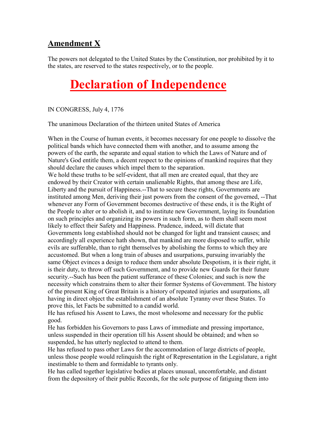#### **Amendment X**

The powers not delegated to the United States by the Constitution, nor prohibited by it to the states, are reserved to the states respectively, or to the people.

## **Declaration of Independence**

IN CONGRESS, July 4, 1776

The unanimous Declaration of the thirteen united States of America

When in the Course of human events, it becomes necessary for one people to dissolve the political bands which have connected them with another, and to assume among the powers of the earth, the separate and equal station to which the Laws of Nature and of Nature's God entitle them, a decent respect to the opinions of mankind requires that they should declare the causes which impel them to the separation.

We hold these truths to be self-evident, that all men are created equal, that they are endowed by their Creator with certain unalienable Rights, that among these are Life, Liberty and the pursuit of Happiness.--That to secure these rights, Governments are instituted among Men, deriving their just powers from the consent of the governed, --That whenever any Form of Government becomes destructive of these ends, it is the Right of the People to alter or to abolish it, and to institute new Government, laying its foundation on such principles and organizing its powers in such form, as to them shall seem most likely to effect their Safety and Happiness. Prudence, indeed, will dictate that Governments long established should not be changed for light and transient causes; and accordingly all experience hath shown, that mankind are more disposed to suffer, while evils are sufferable, than to right themselves by abolishing the forms to which they are accustomed. But when a long train of abuses and usurpations, pursuing invariably the same Object evinces a design to reduce them under absolute Despotism, it is their right, it is their duty, to throw off such Government, and to provide new Guards for their future security.--Such has been the patient sufferance of these Colonies; and such is now the necessity which constrains them to alter their former Systems of Government. The history of the present King of Great Britain is a history of repeated injuries and usurpations, all having in direct object the establishment of an absolute Tyranny over these States. To prove this, let Facts be submitted to a candid world.

He has refused his Assent to Laws, the most wholesome and necessary for the public good.

He has forbidden his Governors to pass Laws of immediate and pressing importance, unless suspended in their operation till his Assent should be obtained; and when so suspended, he has utterly neglected to attend to them.

He has refused to pass other Laws for the accommodation of large districts of people, unless those people would relinquish the right of Representation in the Legislature, a right inestimable to them and formidable to tyrants only.

He has called together legislative bodies at places unusual, uncomfortable, and distant from the depository of their public Records, for the sole purpose of fatiguing them into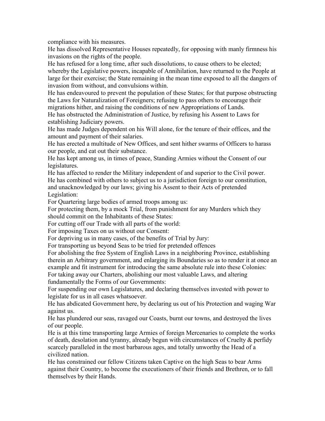compliance with his measures.

He has dissolved Representative Houses repeatedly, for opposing with manly firmness his invasions on the rights of the people.

He has refused for a long time, after such dissolutions, to cause others to be elected; whereby the Legislative powers, incapable of Annihilation, have returned to the People at large for their exercise; the State remaining in the mean time exposed to all the dangers of invasion from without, and convulsions within.

He has endeavoured to prevent the population of these States; for that purpose obstructing the Laws for Naturalization of Foreigners; refusing to pass others to encourage their migrations hither, and raising the conditions of new Appropriations of Lands.

He has obstructed the Administration of Justice, by refusing his Assent to Laws for establishing Judiciary powers.

He has made Judges dependent on his Will alone, for the tenure of their offices, and the amount and payment of their salaries.

He has erected a multitude of New Offices, and sent hither swarms of Officers to harass our people, and eat out their substance.

He has kept among us, in times of peace, Standing Armies without the Consent of our legislatures.

He has affected to render the Military independent of and superior to the Civil power. He has combined with others to subject us to a jurisdiction foreign to our constitution, and unacknowledged by our laws; giving his Assent to their Acts of pretended Legislation:

For Quartering large bodies of armed troops among us:

For protecting them, by a mock Trial, from punishment for any Murders which they should commit on the Inhabitants of these States:

For cutting off our Trade with all parts of the world:

For imposing Taxes on us without our Consent:

For depriving us in many cases, of the benefits of Trial by Jury:

For transporting us beyond Seas to be tried for pretended offences

For abolishing the free System of English Laws in a neighboring Province, establishing therein an Arbitrary government, and enlarging its Boundaries so as to render it at once an example and fit instrument for introducing the same absolute rule into these Colonies: For taking away our Charters, abolishing our most valuable Laws, and altering

fundamentally the Forms of our Governments:

For suspending our own Legislatures, and declaring themselves invested with power to legislate for us in all cases whatsoever.

He has abdicated Government here, by declaring us out of his Protection and waging War against us.

He has plundered our seas, ravaged our Coasts, burnt our towns, and destroyed the lives of our people.

He is at this time transporting large Armies of foreign Mercenaries to complete the works of death, desolation and tyranny, already begun with circumstances of Cruelty  $\&$  perfidy scarcely paralleled in the most barbarous ages, and totally unworthy the Head of a civilized nation.

He has constrained our fellow Citizens taken Captive on the high Seas to bear Arms against their Country, to become the executioners of their friends and Brethren, or to fall themselves by their Hands.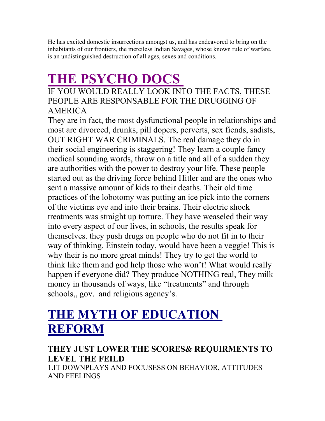He has excited domestic insurrections amongst us, and has endeavored to bring on the inhabitants of our frontiers, the merciless Indian Savages, whose known rule of warfare, is an undistinguished destruction of all ages, sexes and conditions.

# **THE PSYCHO DOCS**

IF YOU WOULD REALLY LOOK INTO THE FACTS, THESE PEOPLE ARE RESPONSABLE FOR THE DRUGGING OF AMERICA

They are in fact, the most dysfunctional people in relationships and most are divorced, drunks, pill dopers, perverts, sex fiends, sadists, OUT RIGHT WAR CRIMINALS. The real damage they do in their social engineering is staggering! They learn a couple fancy medical sounding words, throw on a title and all of a sudden they are authorities with the power to destroy your life. These people started out as the driving force behind Hitler and are the ones who sent a massive amount of kids to their deaths. Their old time practices of the lobotomy was putting an ice pick into the corners of the victims eye and into their brains. Their electric shock treatments was straight up torture. They have weaseled their way into every aspect of our lives, in schools, the results speak for themselves. they push drugs on people who do not fit in to their way of thinking. Einstein today, would have been a veggie! This is why their is no more great minds! They try to get the world to think like them and god help those who won't! What would really happen if everyone did? They produce NOTHING real, They milk money in thousands of ways, like "treatments" and through schools,, gov. and religious agency's.

## **THE MYTH OF EDUCATION REFORM**

### **THEY JUST LOWER THE SCORES& REQUIRMENTS TO LEVEL THE FEILD**

1.IT DOWNPLAYS AND FOCUSESS ON BEHAVIOR, ATTITUDES AND FEELINGS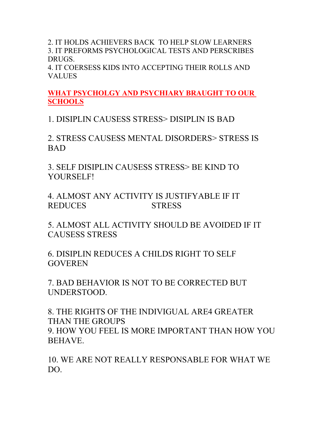2. IT HOLDS ACHIEVERS BACK TO HELP SLOW LEARNERS 3. IT PREFORMS PSYCHOLOGICAL TESTS AND PERSCRIBES DRUGS.

4. IT COERSESS KIDS INTO ACCEPTING THEIR ROLLS AND VALUES

**WHAT PSYCHOLGY AND PSYCHIARY BRAUGHT TO OUR SCHOOLS**

1. DISIPLIN CAUSESS STRESS> DISIPLIN IS BAD

2. STRESS CAUSESS MENTAL DISORDERS> STRESS IS BAD

3. SELF DISIPLIN CAUSESS STRESS> BE KIND TO YOURSELF!

4. ALMOST ANY ACTIVITY IS JUSTIFYABLE IF IT REDUCES STRESS

5. ALMOST ALL ACTIVITY SHOULD BE AVOIDED IF IT CAUSESS STRESS

6. DISIPLIN REDUCES A CHILDS RIGHT TO SELF **GOVEREN** 

7. BAD BEHAVIOR IS NOT TO BE CORRECTED BUT UNDERSTOOD.

8. THE RIGHTS OF THE INDIVIGUAL ARE4 GREATER THAN THE GROUPS 9. HOW YOU FEEL IS MORE IMPORTANT THAN HOW YOU BEHAVE.

10. WE ARE NOT REALLY RESPONSABLE FOR WHAT WE DO.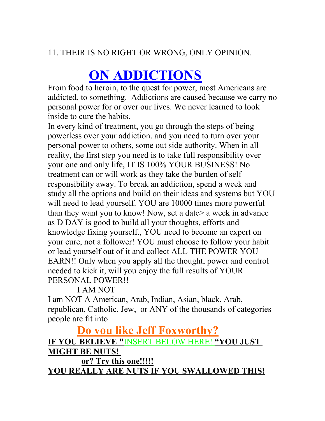#### 11. THEIR IS NO RIGHT OR WRONG, ONLY OPINION.

# **ON ADDICTIONS**

From food to heroin, to the quest for power, most Americans are addicted, to something. Addictions are caused because we carry no personal power for or over our lives. We never learned to look inside to cure the habits.

In every kind of treatment, you go through the steps of being powerless over your addiction. and you need to turn over your personal power to others, some out side authority. When in all reality, the first step you need is to take full responsibility over your one and only life, IT IS 100% YOUR BUSINESS! No treatment can or will work as they take the burden of self responsibility away. To break an addiction, spend a week and study all the options and build on their ideas and systems but YOU will need to lead yourself. YOU are 10000 times more powerful than they want you to know! Now, set a date> a week in advance as D DAY is good to build all your thoughts, efforts and knowledge fixing yourself., YOU need to become an expert on your cure, not a follower! YOU must choose to follow your habit or lead yourself out of it and collect ALL THE POWER YOU EARN!! Only when you apply all the thought, power and control needed to kick it, will you enjoy the full results of YOUR PERSONAL POWER!!

#### I AM NOT

I am NOT A American, Arab, Indian, Asian, black, Arab, republican, Catholic, Jew, or ANY of the thousands of categories people are fit into

### **Do you like Jeff Foxworthy? IF YOU BELIEVE "**INSERT BELOW HERE! **"YOU JUST MIGHT BE NUTS! or? Try this one!!!!!**

**YOU REALLY ARE NUTS IF YOU SWALLOWED THIS!**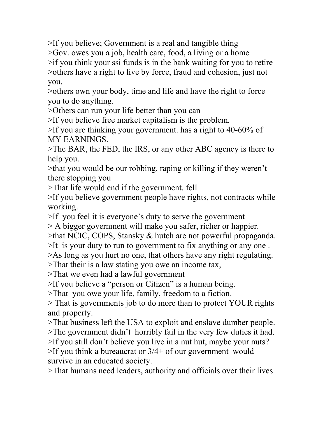>If you believe; Government is a real and tangible thing >Gov. owes you a job, health care, food, a living or a home >if you think your ssi funds is in the bank waiting for you to retire >others have a right to live by force, fraud and cohesion, just not you.

>others own your body, time and life and have the right to force you to do anything.

>Others can run your life better than you can

>If you believe free market capitalism is the problem.

>If you are thinking your government. has a right to 40-60% of MY EARNINGS.

>The BAR, the FED, the IRS, or any other ABC agency is there to help you.

>that you would be our robbing, raping or killing if they weren't there stopping you

>That life would end if the government. fell

>If you believe government people have rights, not contracts while working.

>If you feel it is everyone's duty to serve the government

> A bigger government will make you safer, richer or happier.

>that NCIC, COPS, Stansky & hutch are not powerful propaganda.

>It is your duty to run to government to fix anything or any one .

>As long as you hurt no one, that others have any right regulating.

>That their is a law stating you owe an income tax,

>That we even had a lawful government

>If you believe a "person or Citizen" is a human being.

>That you owe your life, family, freedom to a fiction.

> That is governments job to do more than to protect YOUR rights and property.

>That business left the USA to exploit and enslave dumber people. >The government didn't horribly fail in the very few duties it had.

>If you still don't believe you live in a nut hut, maybe your nuts?

>If you think a bureaucrat or 3/4+ of our government would survive in an educated society.

>That humans need leaders, authority and officials over their lives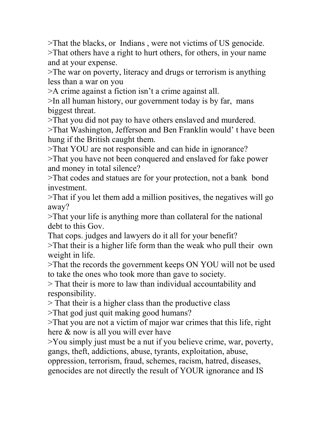>That the blacks, or Indians , were not victims of US genocide. >That others have a right to hurt others, for others, in your name and at your expense.

>The war on poverty, literacy and drugs or terrorism is anything less than a war on you

>A crime against a fiction isn't a crime against all.

>In all human history, our government today is by far, mans biggest threat.

>That you did not pay to have others enslaved and murdered.

>That Washington, Jefferson and Ben Franklin would' t have been hung if the British caught them.

>That YOU are not responsible and can hide in ignorance?

>That you have not been conquered and enslaved for fake power and money in total silence?

>That codes and statues are for your protection, not a bank bond investment.

>That if you let them add a million positives, the negatives will go away?

>That your life is anything more than collateral for the national debt to this Gov.

That cops. judges and lawyers do it all for your benefit?

>That their is a higher life form than the weak who pull their own weight in life.

>That the records the government keeps ON YOU will not be used to take the ones who took more than gave to society.

> That their is more to law than individual accountability and responsibility.

> That their is a higher class than the productive class

>That god just quit making good humans?

>That you are not a victim of major war crimes that this life, right here & now is all you will ever have

>You simply just must be a nut if you believe crime, war, poverty, gangs, theft, addictions, abuse, tyrants, exploitation, abuse,

oppression, terrorism, fraud, schemes, racism, hatred, diseases, genocides are not directly the result of YOUR ignorance and IS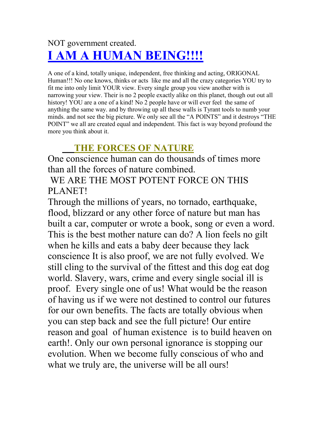## NOT government created. **I AM A HUMAN BEING!!!!**

A one of a kind, totally unique, independent, free thinking and acting, ORIGONAL Human!!! No one knows, thinks or acts like me and all the crazy categories YOU try to fit me into only limit YOUR view. Every single group you view another with is narrowing your view. Their is no 2 people exactly alike on this planet, though out out all history! YOU are a one of a kind! No 2 people have or will ever feel the same of anything the same way. and by throwing up all these walls is Tyrant tools to numb your minds. and not see the big picture. We only see all the "A POINTS" and it destroys "THE POINT" we all are created equal and independent. This fact is way beyond profound the more you think about it.

## **THE FORCES OF NATURE**

One conscience human can do thousands of times more than all the forces of nature combined.

 WE ARE THE MOST POTENT FORCE ON THIS PLANET!

Through the millions of years, no tornado, earthquake, flood, blizzard or any other force of nature but man has built a car, computer or wrote a book, song or even a word. This is the best mother nature can do? A lion feels no gilt when he kills and eats a baby deer because they lack conscience It is also proof, we are not fully evolved. We still cling to the survival of the fittest and this dog eat dog world. Slavery, wars, crime and every single social ill is proof. Every single one of us! What would be the reason of having us if we were not destined to control our futures for our own benefits. The facts are totally obvious when you can step back and see the full picture! Our entire reason and goal of human existence is to build heaven on earth!. Only our own personal ignorance is stopping our evolution. When we become fully conscious of who and what we truly are, the universe will be all ours!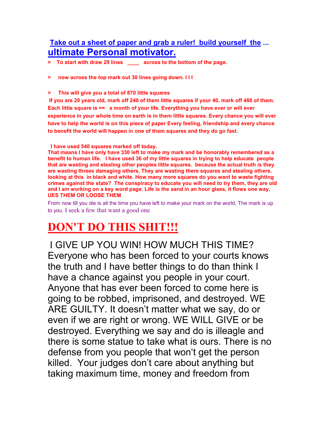#### **Take out a sheet of paper and grab a ruler! build yourself the ... ultimate Personal motivator.**

- **> To start with draw 29 lines \_\_\_\_ across to the bottom of the page.**
- **> now across the top mark out 30 lines going down. I I I**
- **> This will give you a total of 870 little squares**

 **If you are 20 years old, mark off 240 of them little squares if your 40, mark off 480 of them. Each little square is == a month of your life. Everything you have ever or will ever experience in your whole time on earth is in them little squares. Every chance you will ever have to help the world is on this piece of paper Every feeling, friendship and every chance to benefit the world will happen in one of them squares and they do go fast.**

 **I have used 540 squares marked off today.** 

**That means I have only have 330 left to make my mark and be honorably remembered as a benefit to human life. I have used 36 of my little squares in trying to help educate people that are wasting and stealing other peoples little squares. because the actual truth is they are wasting threes damaging others, They are wasting there squares and stealing others. looking at this in black and white. How many more squares do you want to waste fighting crimes against the state? The conspiracy to educate you will need to try them, they are old and I am working on a key word page. Life is the sand in an hour glass, it flows one way, UES THEM OR LOOSE THEM**

From now till you die is all the time you have left to make your mark on the world, The mark is up to you. I seek a few that want a good one

## **DON'T DO THIS SHIT!!!**

I GIVE UP YOU WIN! HOW MUCH THIS TIME? Everyone who has been forced to your courts knows the truth and I have better things to do than think I have a chance against you people in your court. Anyone that has ever been forced to come here is going to be robbed, imprisoned, and destroyed. WE ARE GUILTY. It doesn't matter what we say, do or even if we are right or wrong. WE WILL GIVE or be destroyed. Everything we say and do is illeagle and there is some statue to take what is ours. There is no defense from you people that won't get the person killed. Your judges don't care about anything but taking maximum time, money and freedom from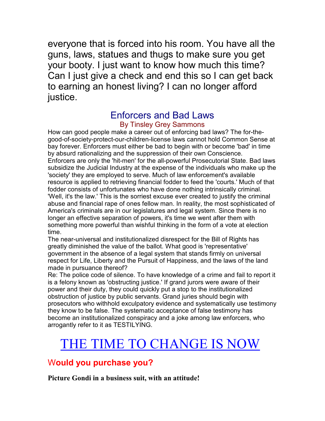everyone that is forced into his room. You have all the guns, laws, statues and thugs to make sure you get your booty. I just want to know how much this time? Can I just give a check and end this so I can get back to earning an honest living? I can no longer afford justice.

#### Enforcers and Bad Laws By Tinsley Grey Sammons

How can good people make a career out of enforcing bad laws? The for-thegood-of-society-protect-our-children-license laws cannot hold Common Sense at bay forever. Enforcers must either be bad to begin with or become 'bad' in time by absurd rationalizing and the suppression of their own Conscience. Enforcers are only the 'hit-men' for the all-powerful Prosecutorial State. Bad laws subsidize the Judicial Industry at the expense of the individuals who make up the 'society' they are employed to serve. Much of law enforcement's available resource is applied to retrieving financial fodder to feed the 'courts.' Much of that fodder consists of unfortunates who have done nothing intrinsically criminal. 'Well, it's the law.' This is the sorriest excuse ever created to justify the criminal abuse and financial rape of ones fellow man. In reality, the most sophisticated of America's criminals are in our legislatures and legal system. Since there is no longer an effective separation of powers, it's time we went after them with something more powerful than wishful thinking in the form of a vote at election time.

The near-universal and institutionalized disrespect for the Bill of Rights has greatly diminished the value of the ballot. What good is 'representative' government in the absence of a legal system that stands firmly on universal respect for Life, Liberty and the Pursuit of Happiness, and the laws of the land made in pursuance thereof?

Re: The police code of silence. To have knowledge of a crime and fail to report it is a felony known as 'obstructing justice.' If grand jurors were aware of their power and their duty, they could quickly put a stop to the institutionalized obstruction of justice by public servants. Grand juries should begin with prosecutors who withhold exculpatory evidence and systematically use testimony they know to be false. The systematic acceptance of false testimony has become an institutionalized conspiracy and a joke among law enforcers, who arrogantly refer to it as TESTILYING.

## THE TIME TO CHANGE IS NOW

#### W**ould you purchase you?**

**Picture Gondi in a business suit, with an attitude!**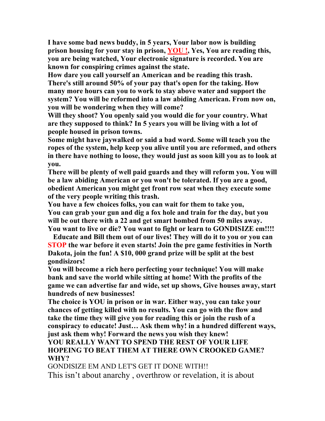**I have some bad news buddy, in 5 years, Your labor now is building prison housing for your stay in prison, YOU !, Yes, You are reading this, you are being watched, Your electronic signature is recorded. You are known for conspiring crimes against the state.** 

**How dare you call yourself an American and be reading this trash. There's still around 50% of your pay that's open for the taking. How many more hours can you to work to stay above water and support the system? You will be reformed into a law abiding American. From now on, you will be wondering when they will come?**

**Will they shoot? You openly said you would die for your country. What are they supposed to think? In 5 years you will be living with a lot of people housed in prison towns.** 

**Some might have jaywalked or said a bad word. Some will teach you the ropes of the system, help keep you alive until you are reformed, and others in there have nothing to loose, they would just as soon kill you as to look at you.** 

**There will be plenty of well paid guards and they will reform you. You will be a law abiding American or you won't be tolerated. If you are a good, obedient American you might get front row seat when they execute some of the very people writing this trash.**

**You have a few choices folks, you can wait for them to take you,**

**You can grab your gun and dig a fox hole and train for the day, but you will be out there with a 22 and get smart bombed from 50 miles away. You want to live or die? You want to fight or learn to GONDISIZE em!!!!**

 **Educate and Bill them out of our lives! They will do it to you or you can STOP the war before it even starts! Join the pre game festivities in North Dakota, join the fun! A \$10, 000 grand prize will be split at the best gondisizors!** 

**You will become a rich hero perfecting your technique! You will make bank and save the world while sitting at home! With the profits of the game we can advertise far and wide, set up shows, Give houses away, start hundreds of new businesses!**

**The choice is YOU in prison or in war. Either way, you can take your chances of getting killed with no results. You can go with the flow and take the time they will give you for reading this or join the rush of a conspiracy to educate! Just… Ask them why! in a hundred different ways, just ask them why! Forward the news you wish they knew!** 

#### **YOU REALLY WANT TO SPEND THE REST OF YOUR LIFE HOPEING TO BEAT THEM AT THERE OWN CROOKED GAME? WHY?**

GONDISIZE EM AND LET'S GET IT DONE WITH!! This isn't about anarchy , overthrow or revelation, it is about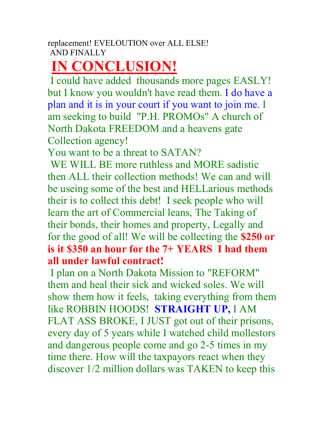# **IN CONCLUSION!**

 I could have added thousands more pages EASLY! but I know you wouldn't have read them. I do have a plan and it is in your court if you want to join me. I am seeking to build "P.H. PROMOs" A church of North Dakota FREEDOM and a heavens gate Collection agency!

You want to be a threat to SATAN?

WE WILL BE more ruthless and MORE sadistic then ALL their collection methods! We can and will be useing some of the best and HELLarious methods their is to collect this debt! I seek people who will learn the art of Commercial leans, The Taking of their bonds, their homes and property, Legally and for the good of all! We will be collecting the **\$250 or is it \$350 an hour for the 7+ YEARS I had them all under lawful contract!** 

 I plan on a North Dakota Mission to "REFORM" them and heal their sick and wicked soles. We will show them how it feels, taking everything from them like ROBBIN HOODS! **STRAIGHT UP,** I AM FLAT ASS BROKE, I JUST got out of their prisons, every day of 5 years while I watched child mollestors and dangerous people come and go 2-5 times in my time there. How will the taxpayors react when they discover 1/2 million dollars was TAKEN to keep this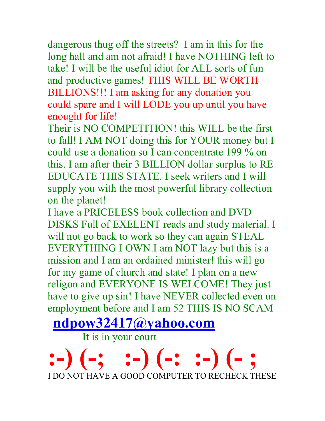dangerous thug off the streets? I am in this for the long hall and am not afraid! I have NOTHING left to take! I will be the useful idiot for ALL sorts of fun and productive games! THIS WILL BE WORTH BILLIONS!!! I am asking for any donation you could spare and I will LODE you up until you have enought for life!

Their is NO COMPETITION! this WILL be the first to fall! I AM NOT doing this for YOUR money but I could use a donation so I can concentrate 199 % on this. I am after their 3 BILLION dollar surplus to RE EDUCATE THIS STATE. I seek writers and I will supply you with the most powerful library collection on the planet!

I have a PRICELESS book collection and DVD DISKS Full of EXELENT reads and study material. I will not go back to work so they can again STEAL EVERYTHING I OWN.I am NOT lazy but this is a mission and I am an ordained minister! this will go for my game of church and state! I plan on a new religon and EVERYONE IS WELCOME! They just have to give up sin! I have NEVER collected even un employment before and I am 52 THIS IS NO SCAM

**ndpow32417@yahoo.com**

It is in your court

**:-) (-; :-) (-: :-) (- ;** I DO NOT HAVE A GOOD COMPUTER TO RECHECK THESE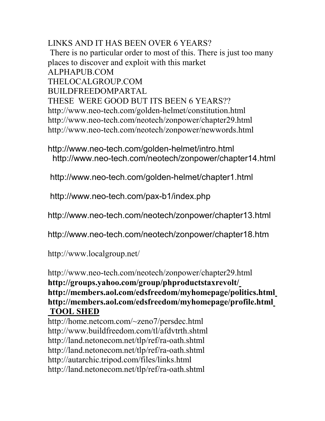LINKS AND IT HAS BEEN OVER 6 YEARS? There is no particular order to most of this. There is just too many places to discover and exploit with this market ALPHAPUB.COM THELOCALGROUP.COM BUILDFREEDOMPARTAL THESE WERE GOOD BUT ITS BEEN 6 YEARS?? http://www.neo-tech.com/golden-helmet/constitution.html http://www.neo-tech.com/neotech/zonpower/chapter29.html http://www.neo-tech.com/neotech/zonpower/newwords.html

http://www.neo-tech.com/golden-helmet/intro.html http://www.neo-tech.com/neotech/zonpower/chapter14.html

http://www.neo-tech.com/golden-helmet/chapter1.html

http://www.neo-tech.com/pax-b1/index.php

http://www.neo-tech.com/neotech/zonpower/chapter13.html

http://www.neo-tech.com/neotech/zonpower/chapter18.htm

http://www.localgroup.net/

http://www.neo-tech.com/neotech/zonpower/chapter29.html **http://groups.yahoo.com/group/phproductstaxrevolt/ http://members.aol.com/edsfreedom/myhomepage/politics.html http://members.aol.com/edsfreedom/myhomepage/profile.html TOOL SHED**

http://home.netcom.com/~zeno7/persdec.html http://www.buildfreedom.com/tl/afdvtrth.shtml http://land.netonecom.net/tlp/ref/ra-oath.shtml http://land.netonecom.net/tlp/ref/ra-oath.shtml http://autarchic.tripod.com/files/links.html http://land.netonecom.net/tlp/ref/ra-oath.shtml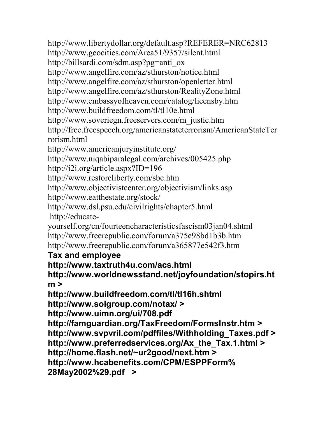http://www.libertydollar.org/default.asp?REFERER=NRC62813

http://www.geocities.com/Area51/9357/silent.html

http://billsardi.com/sdm.asp?pg=anti\_ox

http://www.angelfire.com/az/sthurston/notice.html

http://www.angelfire.com/az/sthurston/openletter.html

http://www.angelfire.com/az/sthurston/RealityZone.html

http://www.embassyofheaven.com/catalog/licensby.htm

http://www.buildfreedom.com/tl/tl10e.html

http://www.soveriegn.freeservers.com/m\_justic.htm

http://free.freespeech.org/americanstateterrorism/AmericanStateTer rorism.html

http://www.americanjuryinstitute.org/

http://www.niqabiparalegal.com/archives/005425.php

http://i2i.org/article.aspx?ID=196

http://www.restoreliberty.com/sbc.htm

http://www.objectivistcenter.org/objectivism/links.asp

http://www.eatthestate.org/stock/

http://www.dsl.psu.edu/civilrights/chapter5.html

http://educate-

yourself.org/cn/fourteencharacteristicsfascism03jan04.shtml http://www.freerepublic.com/forum/a375e98bd1b3b.htm http://www.freerepublic.com/forum/a365877e542f3.htm

#### **Tax and employee**

**http://www.taxtruth4u.com/acs.html**

**http://www.worldnewsstand.net/joyfoundation/stopirs.ht m >**

**http://www.buildfreedom.com/tl/tl16h.shtml**

**http://www.solgroup.com/notax/ >**

**http://www.uimn.org/ui/708.pdf**

**http://famguardian.org/TaxFreedom/FormsInstr.htm > http://www.svpvril.com/pdffiles/Withholding\_Taxes.pdf >**

**http://www.preferredservices.org/Ax\_the\_Tax.1.html >**

**http://home.flash.net/~ur2good/next.htm >**

**http://www.hcabenefits.com/CPM/ESPPForm%**

**28May2002%29.pdf >**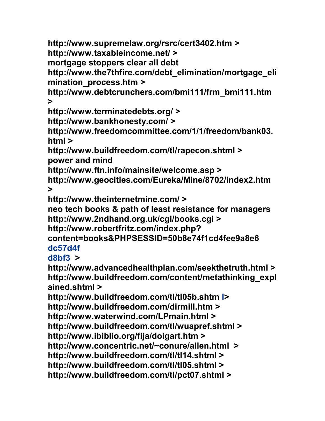**http://www.supremelaw.org/rsrc/cert3402.htm > http://www.taxableincome.net/ > mortgage stoppers clear all debt http://www.the7thfire.com/debt\_elimination/mortgage\_eli mination\_process.htm > http://www.debtcrunchers.com/bmi111/frm\_bmi111.htm >**

**http://www.terminatedebts.org/ >**

**http://www.bankhonesty.com/ >**

**http://www.freedomcommittee.com/1/1/freedom/bank03. html >**

**http://www.buildfreedom.com/tl/rapecon.shtml > power and mind**

**http://www.ftn.info/mainsite/welcome.asp >**

**http://www.geocities.com/Eureka/Mine/8702/index2.htm >**

**http://www.theinternetmine.com/ >**

**neo tech books & path of least resistance for managers http://www.2ndhand.org.uk/cgi/books.cgi >**

**http://www.robertfritz.com/index.php?**

**content=books&PHPSESSID=50b8e74f1cd4fee9a8e6 dc57d4f**

**d8bf3 >**

**http://www.advancedhealthplan.com/seekthetruth.html > http://www.buildfreedom.com/content/metathinking\_expl ained.shtml >**

**http://www.buildfreedom.com/tl/tl05b.shtm l> http://www.buildfreedom.com/dirmill.htm > http://www.waterwind.com/LPmain.html > http://www.buildfreedom.com/tl/wuapref.shtml > http://www.ibiblio.org/fija/doigart.htm > http://www.concentric.net/~conure/allen.html > http://www.buildfreedom.com/tl/tl14.shtml > http://www.buildfreedom.com/tl/tl05.shtml > http://www.buildfreedom.com/tl/pct07.shtml >**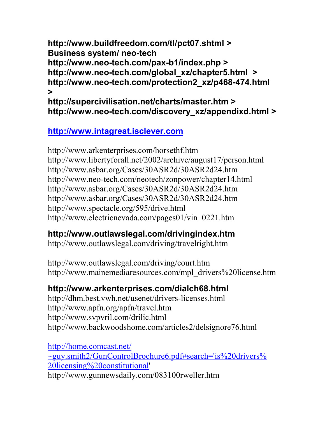**http://www.buildfreedom.com/tl/pct07.shtml > Business system/ neo-tech http://www.neo-tech.com/pax-b1/index.php > http://www.neo-tech.com/global\_xz/chapter5.html > http://www.neo-tech.com/protection2\_xz/p468-474.html >**

**http://supercivilisation.net/charts/master.htm > http://www.neo-tech.com/discovery\_xz/appendixd.html >**

#### **http://www.intagreat.isclever.com**

http://www.arkenterprises.com/horsethf.htm http://www.libertyforall.net/2002/archive/august17/person.html http://www.asbar.org/Cases/30ASR2d/30ASR2d24.htm http://www.neo-tech.com/neotech/zonpower/chapter14.html http://www.asbar.org/Cases/30ASR2d/30ASR2d24.htm http://www.asbar.org/Cases/30ASR2d/30ASR2d24.htm http://www.spectacle.org/595/drive.html http://www.electricnevada.com/pages01/vin\_0221.htm

### **http://www.outlawslegal.com/drivingindex.htm**

http://www.outlawslegal.com/driving/travelright.htm

http://www.outlawslegal.com/driving/court.htm http://www.mainemediaresources.com/mpl\_drivers%20license.htm

#### **http://www.arkenterprises.com/dialch68.html**

http://dhm.best.vwh.net/usenet/drivers-licenses.html http://www.apfn.org/apfn/travel.htm http://www.svpvril.com/drilic.html http://www.backwoodshome.com/articles2/delsignore76.html

http://home.comcast.net/ ~guy.smith2/GunControlBrochure6.pdf#search='is%20drivers% 20licensing%20constitutional' http://www.gunnewsdaily.com/083100rweller.htm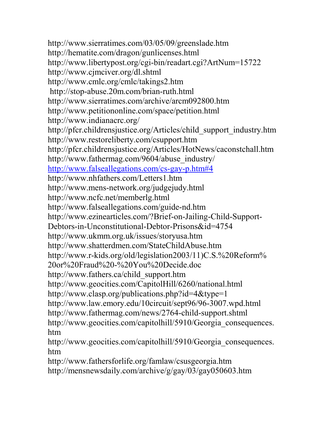http://www.sierratimes.com/03/05/09/greenslade.htm http://hematite.com/dragon/gunlicenses.html http://www.libertypost.org/cgi-bin/readart.cgi?ArtNum=15722 http://www.cjmciver.org/dl.shtml http://www.cmlc.org/cmlc/takings2.htm http://stop-abuse.20m.com/brian-ruth.html http://www.sierratimes.com/archive/arcm092800.htm http://www.petitiononline.com/space/petition.html http://www.indianacrc.org/ http://pfcr.childrensjustice.org/Articles/child\_support\_industry.htm http://www.restoreliberty.com/csupport.htm http://pfcr.childrensjustice.org/Articles/HotNews/caconstchall.htm http://www.fathermag.com/9604/abuse\_industry/ http://www.falseallegations.com/cs-gay-p.htm#4 http://www.nhfathers.com/Letters1.htm http://www.mens-network.org/judgejudy.html http://www.ncfc.net/memberlg.html http://www.falseallegations.com/guide-nd.htm http://www.ezinearticles.com/?Brief-on-Jailing-Child-Support-Debtors-in-Unconstitutional-Debtor-Prisons&id=4754 http://www.ukmm.org.uk/issues/storyusa.htm http://www.shatterdmen.com/StateChildAbuse.htm http://www.r-kids.org/old/legislation2003/11)C.S.%20Reform% 20or%20Fraud%20-%20You%20Decide.doc http://www.fathers.ca/child\_support.htm http://www.geocities.com/CapitolHill/6260/national.html http://www.clasp.org/publications.php?id=4&type=1 http://www.law.emory.edu/10circuit/sept96/96-3007.wpd.html http://www.fathermag.com/news/2764-child-support.shtml http://www.geocities.com/capitolhill/5910/Georgia consequences. htm http://www.geocities.com/capitolhill/5910/Georgia consequences. htm http://www.fathersforlife.org/famlaw/csusgeorgia.htm

http://mensnewsdaily.com/archive/g/gay/03/gay050603.htm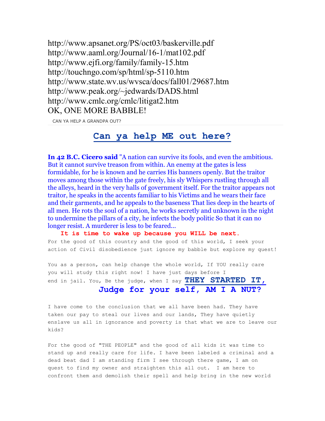http://www.apsanet.org/PS/oct03/baskerville.pdf http://www.aaml.org/Journal/16-1/mat102.pdf http://www.ejfi.org/family/family-15.htm http://touchngo.com/sp/html/sp-5110.htm http://www.state.wv.us/wvsca/docs/fall01/29687.htm http://www.peak.org/~jedwards/DADS.html http://www.cmlc.org/cmlc/litigat2.htm OK, ONE MORE BABBLE!

CAN YA HELP A GRANDPA OUT?

#### **Can ya help ME out here?**

**In 42 B.C. Cicero said** "A nation can survive its fools, and even the ambitious. But it cannot survive treason from within. An enemy at the gates is less formidable, for he is known and he carries His banners openly. But the traitor moves among those within the gate freely, his sly Whispers rustling through all the alleys, heard in the very halls of government itself. For the traitor appears not traitor, he speaks in the accents familiar to his Victims and he wears their face and their garments, and he appeals to the baseness That lies deep in the hearts of all men. He rots the soul of a nation, he works secretly and unknown in the night to undermine the pillars of a city, he infects the body politic So that it can no longer resist. A murderer is less to be feared...

 **It is time to wake up because you WILL be next.** For the good of this country and the good of this world, I seek your action of Civil disobedience just ignore my babble but explore my quest!

You as a person, can help change the whole world, If YOU really care you will study this right now! I have just days before I end in jail. You, Be the judge, when I say **THEY STARTED IT,**

#### **Judge for your self, AM I A NUT?**

I have come to the conclusion that we all have been had. They have taken our pay to steal our lives and our lands, They have quietly enslave us all in ignorance and poverty is that what we are to leave our kids?

For the good of "THE PEOPLE" and the good of all kids it was time to stand up and really care for life. I have been labeled a criminal and a dead beat dad I am standing firm I see through there game, I am on quest to find my owner and straighten this all out. I am here to confront them and demolish their spell and help bring in the new world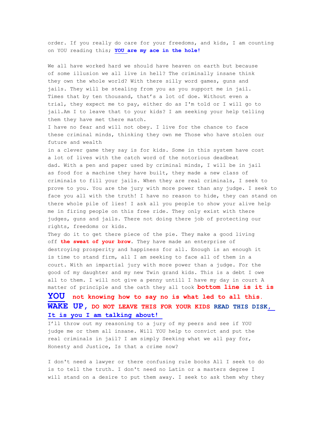order. If you really do care for your freedoms, and kids, I am counting on YOU reading this; **YOU are my ace in the hole!**

We all have worked hard we should have heaven on earth but because of some illusion we all live in hell? The criminally insane think they own the whole world? With there silly word games, guns and jails. They will be stealing from you as you support me in jail. Times that by ten thousand, that's a lot of doe. Without even a trial, they expect me to pay, either do as I'm told or I will go to jail.Am I to leave that to your kids? I am seeking your help telling them they have met there match.

I have no fear and will not obey. I live for the chance to face these criminal minds, thinking they own me Those who have stolen our future and wealth

in a clever game they say is for kids. Some in this system have cost a lot of lives with the catch word of the notorious deadbeat dad. With a pen and paper used by criminal minds, I will be in jail as food for a machine they have built, they made a new class of criminals to fill your jails. When they are real criminals, I seek to prove to you. You are the jury with more power than any judge. I seek to face you all with the truth! I have no reason to hide, they can stand on there whole pile of lies! I ask all you people to show your alive help me in firing people on this free ride. They only exist with there judges, guns and jails. There not doing there job of protecting our rights, freedoms or kids.

They do it to get there piece of the pie. They make a good living off **the sweat of your brow**. They have made an enterprise of destroying prosperity and happiness for all. Enough is an enough it is time to stand firm, all I am seeking to face all of them in a court. With an impartial jury with more power than a judge. For the good of my daughter and my new Twin grand kids. This is a debt I owe all to them. I will not give a penny untill I have my day in court A matter of principle and the oath they all took **bottom line is it is** 

#### **YOU not knowing how to say no is what led to all this. WAKE UP, DO NOT LEAVE THIS FOR YOUR KIDS READ THIS DISK, It is you I am talking about!**

I'll throw out my reasoning to a jury of my peers and see if YOU judge me or them all insane. Will YOU help to convict and put the real criminals in jail? I am simply Seeking what we all pay for, Honesty and Justice, Is that a crime now?

I don't need a lawyer or there confusing rule books All I seek to do is to tell the truth. I don't need no Latin or a masters degree I will stand on a desire to put them away. I seek to ask them why they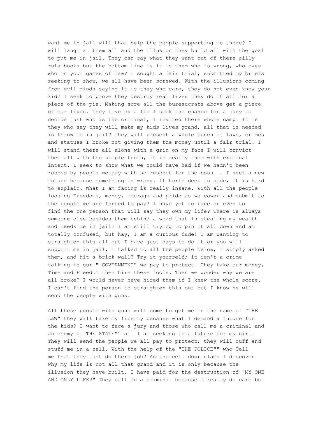want me in jail will that help the people supporting me there? I will laugh at them all and the illusion they build all with the goal to put me in jail. They can say what they want out of there silly rule books but the bottom line is it is them who is wrong, who owes who in your games of law? I sought a fair trial, submitted my briefs seeking to show, we all have been screwed. With the illusions coming from evil minds saying it is they who care, they do not even know your kid? I seek to prove they destroy real lives they do it all for a piece of the pie. Making sure all the bureaucrats above get a piece of our lives. They live by a lie I seek the chance for a jury to decide just who is the criminal, I invited there whole camp! It is they who say they will make my kids lives grand, all that is needed is throw me in jail? They will present a whole bunch of laws, crimes and statues I broke not giving them the money until a fair trial. I will stand there all alone with a grin on my face I will convict them all with the simple truth, it is really them with criminal intent. I seek to show what we could have had if we hadn't been robbed by people we pay with no respect for the boss... I seek a new future because something is wrong. It hurts deep in side, it is hard to explain. What I am facing is really insane. With all the people loosing Freedoms, money, courage and pride as we cower and submit to the people we are forced to pay? I have yet to face or even to find the one person that will say they own my life? There is always someone else besides them behind a word that is stealing my wealth and needs me in jail? I am still trying to pin it all down and am totally confused, but hay, I am a curious dude! I am wanting to straighten this all out I have just days to do it or you will support me in jail, I talked to all the people below, I simply asked them, and hit a brick wall? Try it yourself; it isn't a crime talking to our " GOVERNMENT" we pay to protect. They take our money, Time and Freedom then hire these fools. Then we wonder why we are all broke? I would never have hired them if I knew the whole score. I can't find the person to straighten this out but I know he will send the people with guns.

All these people with guns will come to get me in the name of "THE LAW" they will take my liberty because what I demand a future for the kids? I want to face a jury and those who call me a criminal and an enemy of THE STATE"" all I am seeking is a future for my girl. They will send the people we all pay to protect; they will cuff and stuff me in a cell. With the help of the "THE POLICE"" who Tell me that they just do there job? As the cell door slams I discover why my life is not all that grand and it is only because the illusion they have built. I have paid for the destruction of "MY ONE AND ONLY LIFE?" They call me a criminal because I really do care but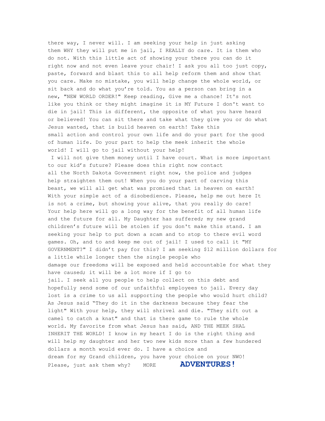there way, I never will. I am seeking your help in just asking them WHY they will put me in jail, I REALLY do care. It is them who do not. With this little act of showing your there you can do it right now and not even leave your chair! I ask you all too just copy, paste, forward and blast this to all help reform them and show that you care. Make no mistake, you will help change the whole world, or sit back and do what you're told. You as a person can bring in a new, "NEW WORLD ORDER!" Keep reading, Give me a chance! It's not like you think or they might imagine it is MY Future I don't want to die in jail! This is different, the opposite of what you have heard or believed! You can sit there and take what they give you or do what Jesus wanted, that is build heaven on earth! Take this small action and control your own life and do your part for the good of human life. Do your part to help the meek inherit the whole world! I will go to jail without your help!

 I will not give them money until I have court. What is more important to our kid's future? Please does this right now contact all the North Dakota Government right now, the police and judges help straighten them out! When you do your part of carving this beast, we will all get what was promised that is heaven on earth! With your simple act of a disobedience. Please, help me out here It is not a crime, but showing your alive, that you really do care! Your help here will go a long way for the benefit of all human life and the future for all. My Daughter has suffered; my new grand children's future will be stolen if you don't make this stand. I am seeking your help to put down a scam and to stop to there evil word games. Oh, and to and keep me out of jail! I used to call it "MY GOVERNMENT?" I didn't pay for this? I am seeking \$12 million dollars for a little while longer then the single people who damage our freedoms will be exposed and held accountable for what they have caused; it will be a lot more if I go to jail. I seek all you people to help collect on this debt and hopefully send some of our unfaithful employees to jail. Every day lost is a crime to us all supporting the people who would hurt child? As Jesus said "They do it in the darkness because they fear the light" With your help, they will shrivel and die. "They sift out a camel to catch a knat" and that is there game to rule the whole world. My favorite from what Jesus has said, AND THE MEEK SHAL INHERIT THE WORLD! I know in my heart I do is the right thing and will help my daughter and her two new kids more than a few hundered dollars a month would ever do. I have a choice and dream for my Grand children, you have your choice on your NWO! Please, just ask them why? MORE **ADVENTURES!**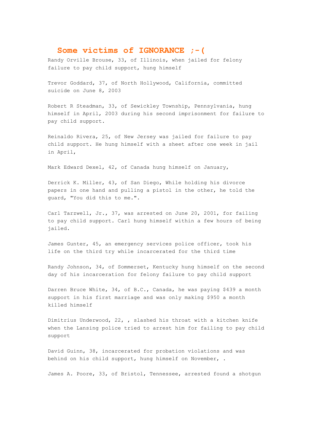#### **Some victims of IGNORANCE ;-(**

Randy Orville Brouse, 33, of Illinois, when jailed for felony failure to pay child support, hung himself

Trevor Goddard, 37, of North Hollywood, California, committed suicide on June 8, 2003

Robert R Steadman, 33, of Sewickley Township, Pennsylvania, hung himself in April, 2003 during his second imprisonment for failure to pay child support.

Reinaldo Rivera, 25, of New Jersey was jailed for failure to pay child support. He hung himself with a sheet after one week in jail in April,

Mark Edward Dexel, 42, of Canada hung himself on January,

Derrick K. Miller, 43, of San Diego, While holding his divorce papers in one hand and pulling a pistol in the other, he told the guard, "You did this to me.".

Carl Tarzwell, Jr., 37, was arrested on June 20, 2001, for failing to pay child support. Carl hung himself within a few hours of being jailed.

James Gunter, 45, an emergency services police officer, took his life on the third try while incarcerated for the third time

Randy Johnson, 34, of Sommerset, Kentucky hung himself on the second day of his incarceration for felony failure to pay child support

Darren Bruce White, 34, of B.C., Canada, he was paying \$439 a month support in his first marriage and was only making \$950 a month killed himself

Dimitrius Underwood, 22, , slashed his throat with a kitchen knife when the Lansing police tried to arrest him for failing to pay child support

David Guinn, 38, incarcerated for probation violations and was behind on his child support, hung himself on November, .

James A. Poore, 33, of Bristol, Tennessee, arrested found a shotgun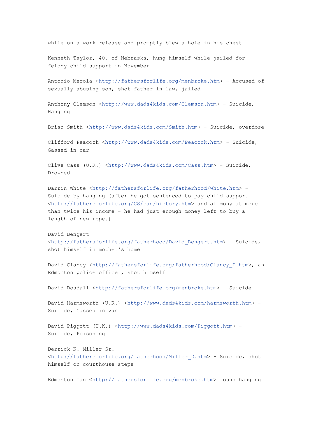while on a work release and promptly blew a hole in his chest

Kenneth Taylor, 40, of Nebraska, hung himself while jailed for felony child support in November

Antonio Merola <http://fathersforlife.org/menbroke.htm> - Accused of sexually abusing son, shot father-in-law, jailed

Anthony Clemson <http://www.dads4kids.com/Clemson.htm> - Suicide, Hanging

Brian Smith <http://www.dads4kids.com/Smith.htm> - Suicide, overdose

Clifford Peacock <http://www.dads4kids.com/Peacock.htm> - Suicide, Gassed in car

Clive Cass (U.K.) <http://www.dads4kids.com/Cass.htm> - Suicide, Drowned

Darrin White <http://fathersforlife.org/fatherhood/white.htm> -Suicide by hanging (after he got sentenced to pay child support <http://fathersforlife.org/CS/can/history.htm> and alimony at more than twice his income - he had just enough money left to buy a length of new rope.)

David Bengert <http://fathersforlife.org/fatherhood/David\_Bengert.htm> - Suicide, shot himself in mother's home

David Clancy <http://fathersforlife.org/fatherhood/Clancy D.htm>, an Edmonton police officer, shot himself

David Dosdall <http://fathersforlife.org/menbroke.htm> - Suicide

David Harmsworth (U.K.) <http://www.dads4kids.com/harmsworth.htm> -Suicide, Gassed in van

David Piggott (U.K.) <http://www.dads4kids.com/Piggott.htm> -Suicide, Poisoning

Derrick K. Miller Sr. <http://fathersforlife.org/fatherhood/Miller\_D.htm> - Suicide, shot himself on courthouse steps

Edmonton man <http://fathersforlife.org/menbroke.htm> found hanging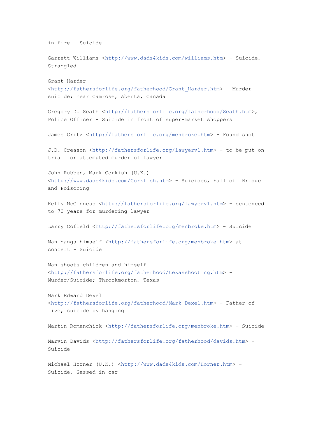```
in fire - Suicide
Garrett Williams <http://www.dads4kids.com/williams.htm> - Suicide,
Strangled
Grant Harder 
<http://fathersforlife.org/fatherhood/Grant_Harder.htm> - Murder-
suicide; near Camrose, Aberta, Canada
Gregory D. Seath <http://fathersforlife.org/fatherhood/Seath.htm>,
Police Officer - Suicide in front of super-market shoppers
James Gritz <http://fathersforlife.org/menbroke.htm> - Found shot
J.D. Creason <http://fathersforlife.org/lawyerv1.htm> - to be put on 
trial for attempted murder of lawyer
John Rubben, Mark Corkish (U.K.) 
<http://www.dads4kids.com/Corkfish.htm> - Suicides, Fall off Bridge 
and Poisoning
Kelly McGinness <http://fathersforlife.org/lawyerv1.htm> - sentenced 
to 70 years for murdering lawyer
Larry Cofield <http://fathersforlife.org/menbroke.htm> - Suicide
Man hangs himself <http://fathersforlife.org/menbroke.htm> at
concert - Suicide
Man shoots children and himself 
<http://fathersforlife.org/fatherhood/texasshooting.htm> - 
Murder/Suicide; Throckmorton, Texas 
Mark Edward Dexel 
<http://fathersforlife.org/fatherhood/Mark_Dexel.htm> - Father of 
five, suicide by hanging
Martin Romanchick <http://fathersforlife.org/menbroke.htm> - Suicide
Marvin Davids <http://fathersforlife.org/fatherhood/davids.htm> - 
Suicide
Michael Horner (U.K.) <http://www.dads4kids.com/Horner.htm> -
Suicide, Gassed in car
```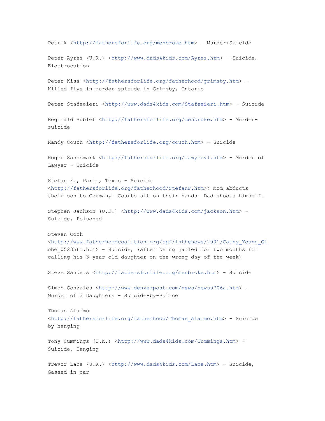```
Petruk <http://fathersforlife.org/menbroke.htm> - Murder/Suicide
Peter Ayres (U.K.) <http://www.dads4kids.com/Ayres.htm> - Suicide,
Electrocution
Peter Kiss <http://fathersforlife.org/fatherhood/grimsby.htm> -
Killed five in murder-suicide in Grimsby, Ontario
Peter Stafeeieri <http://www.dads4kids.com/Stafeeieri.htm> - Suicide
Reginald Sublet <http://fathersforlife.org/menbroke.htm> - Murder-
suicide
Randy Couch <http://fathersforlife.org/couch.htm> - Suicide
Roger Sandsmark <http://fathersforlife.org/lawyerv1.htm> - Murder of 
Lawyer - Suicide
Stefan F., Paris, Texas - Suicide 
<http://fathersforlife.org/fatherhood/StefanF.htm>; Mom abducts 
their son to Germany. Courts sit on their hands. Dad shoots himself.
Stephen Jackson (U.K.) <http://www.dads4kids.com/jackson.htm> -
Suicide, Poisoned
Steven Cook 
<http://www.fatherhoodcoalition.org/cpf/inthenews/2001/Cathy_Young_Gl
obe_0523htm.htm> - Suicide, (after being jailed for two months for 
calling his 3-year-old daughter on the wrong day of the week)
Steve Sanders <http://fathersforlife.org/menbroke.htm> - Suicide
Simon Gonzales <http://www.denverpost.com/news/news0706a.htm> -
Murder of 3 Daughters - Suicide-by-Police
Thomas Alaimo 
<http://fathersforlife.org/fatherhood/Thomas_Alaimo.htm> - Suicide 
by hanging
Tony Cummings (U.K.) <http://www.dads4kids.com/Cummings.htm> -
Suicide, Hanging
Trevor Lane (U.K.) <http://www.dads4kids.com/Lane.htm> - Suicide,
Gassed in car
```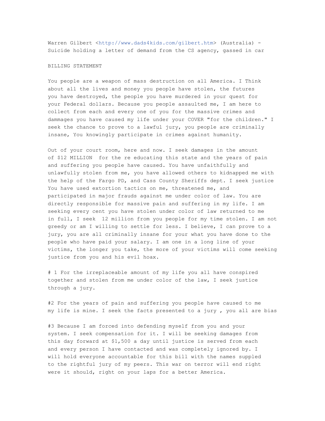Warren Gilbert <http://www.dads4kids.com/gilbert.htm> (Australia) -Suicide holding a letter of demand from the CS agency, gassed in car

#### BILLING STATEMENT

You people are a weapon of mass destruction on all America. I Think about all the lives and money you people have stolen, the futures you have destroyed, the people you have murdered in your quest for your Federal dollars. Because you people assaulted me, I am here to collect from each and every one of you for the massive crimes and dammages you have caused my life under your COVER "for the children." I seek the chance to prove to a lawful jury, you people are criminally insane, You knowingly participate in crimes against humanity.

Out of your court room, here and now. I seek damages in the amount of \$12 MILLION for the re educating this state and the years of pain and suffering you people have caused. You have unfaithfully and unlawfully stolen from me, you have allowed others to kidnapped me with the help of the Fargo PD, and Cass County Sheriffs dept. I seek justice You have used extortion tactics on me, threatened me, and participated in major frauds against me under color of law. You are directly responsible for massive pain and suffering in my life. I am seeking every cent you have stolen under color of law returned to me in full, I seek 12 million from you people for my time stolen. I am not greedy or am I willing to settle for less. I believe, I can prove to a jury, you are all criminally insane for your what you have done to the people who have paid your salary. I am one in a long line of your victims, the longer you take, the more of your victims will come seeking justice from you and his evil hoax.

# 1 For the irreplaceable amount of my life you all have conspired together and stolen from me under color of the law, I seek justice through a jury.

#2 For the years of pain and suffering you people have caused to me my life is mine. I seek the facts presented to a jury , you all are bias

#3 Because I am forced into defending myself from you and your system. I seek compensation for it. I will be seeking damages from this day forward at \$1,500 a day until justice is served from each and every person I have contacted and was completely ignored by. I will hold everyone accountable for this bill with the names suppled to the rightful jury of my peers. This war on terror will end right were it should, right on your laps for a better America.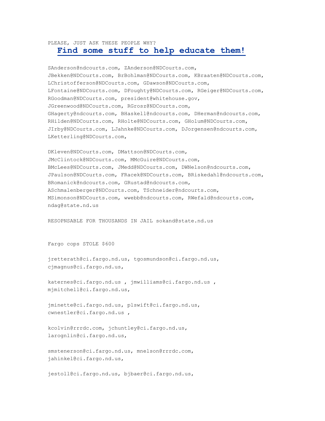#### PLEASE, JUST ASK THESE PEOPLE WHY?

#### **Find some stuff to help educate them!**

SAnderson@ndcourts.com, ZAnderson@NDCourts.com, JBekken@NDCourts.com, BrBohlman@NDCourts.com, KBraaten@NDCourts.com, LChristofferson@NDCourts.com, GDawson@NDCourts.com, LFontaine@NDCourts.com, DFoughty@NDCourts.com, RGeiger@NDCourts.com, RGoodman@NDCourts.com, president@whitehouse.gov, JGreenwood@NDCourts.com, RGrosz@NDCourts.com, GHagerty@ndcourts.com, BHaskell@ndcourts.com, DHerman@ndcourts.com, RHilden@NDCourts.com, RHolte@NDCourts.com, GHolum@NDCourts.com, JIrby@NDCourts.com, LJahnke@NDCourts.com, DJorgensen@ndcourts.com, LKetterling@NDCourts.com,

DKleven@NDCourts.com, DMattson@NDCourts.com, JMcClintock@NDCourts.com, MMcGuire@NDCourts.com, BMcLees@NDCourts.com, JMedd@NDCourts.com, DWNelson@ndcourts.com, JPaulson@NDCourts.com, FRacek@NDCourts.com, BRiskedahl@ndcourts.com, BRomanick@ndcourts.com, GRustad@ndcourts.com, ASchmalenberger@NDCourts.com, TSchneider@ndcourts.com, MSimonson@NDCourts.com, wwebb@ndcourts.com, RWefald@ndcourts.com, ndag@state.nd.us

RESOPNSABLE FOR THOUSANDS IN JAIL sokand@state.nd.us

Fargo cops STOLE \$600

jretterath@ci.fargo.nd.us, tgosmundson@ci.fargo.nd.us, cjmagnus@ci.fargo.nd.us,

katernes@ci.fargo.nd.us , jmwilliams@ci.fargo.nd.us , mjmitchell@ci.fargo.nd.us,

jminette@ci.fargo.nd.us, plswift@ci.fargo.nd.us, cwnestler@ci.fargo.nd.us ,

kcolvin@rrrdc.com, jchuntley@ci.fargo.nd.us, larognlin@ci.fargo.nd.us,

smstenerson@ci.fargo.nd.us, mnelson@rrrdc.com, jahinkel@ci.fargo.nd.us,

jestoll@ci.fargo.nd.us, bjbaer@ci.fargo.nd.us,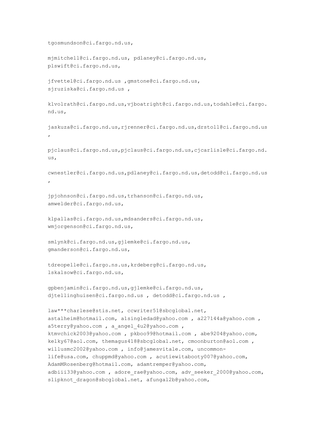```
tgosmundson@ci.fargo.nd.us,
```
mjmitchell@ci.fargo.nd.us, pdlaney@ci.fargo.nd.us, plswift@ci.fargo.nd.us,

jfvettel@ci.fargo.nd.us ,gmstone@ci.fargo.nd.us, sjruziska@ci.fargo.nd.us ,

klvolrath@ci.fargo.nd.us,vjboatright@ci.fargo.nd.us,todahle@ci.fargo. nd.us,

jaskuza@ci.fargo.nd.us,rjrenner@ci.fargo.nd.us,drstoll@ci.fargo.nd.us ,

pjclaus@ci.fargo.nd.us,pjclaus@ci.fargo.nd.us,cjcarlisle@ci.fargo.nd. us,

cwnestler@ci.fargo.nd.us,pdlaney@ci.fargo.nd.us,detodd@ci.fargo.nd.us ,

jpjohnson@ci.fargo.nd.us,trhanson@ci.fargo.nd.us, amwelder@ci.fargo.nd.us,

klpallas@ci.fargo.nd.us,mdsanders@ci.fargo.nd.us, wmjorgenson@ci.fargo.nd.us,

smlynk@ci.fargo.nd.us,gjlemke@ci.fargo.nd.us, gmanderson@ci.fargo.nd.us,

tdreopelle@ci.fargo.ns.us,krdeberg@ci.fargo.nd.us, lskalsow@ci.fargo.nd.us,

gpbenjamin@ci.fargo.nd.us,gjlemke@ci.fargo.nd.us, djtellinghuisen@ci.fargo.nd.us , detodd@ci.fargo.nd.us ,

law\*\*\*charlese@stis.net, ccwriter51@sbcglobal.net, astalheim@hotmail.com, a1singledad@yahoo.com , a227144a@yahoo.com , a5terry@yahoo.com , a angel 4u2@yahoo.com , ktmvchick2003@yahoo.com , pkboo99@hotmail.com , abe9204@yahoo.com, kelky67@aol.com, themagus418@sbcglobal.net, cmoonburton@aol.com , willusmc2002@yahoo.com , info@jamesvitale.com, uncommonlife@usa.com, chuppmd@yahoo.com , acutiewitabooty007@yahoo.com, AdamMRosenberg@hotmail.com, adamtremper@yahoo.com, adbiii33@yahoo.com, adore rae@yahoo.com, adv seeker 2000@yahoo.com, slipknot dragon@sbcglobal.net, afungal2b@yahoo.com,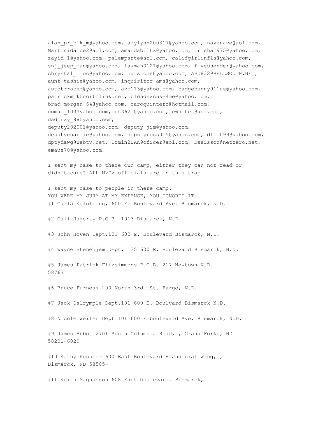alan pr blk m@yahoo.com, amylynn200317@yahoo.com, navenave@aol.com, Martinidance2@aol.com, amandabiltz@yahoo.com, trisha1975@yahoo.com, zayid\_1@yahoo.com, palemparte@aol.com, califgirlinfla@yahoo.com, snj jeep man@yahoo.com, lawman0121@yahoo.com, five0sender@yahoo.com, chrystal\_iroc@yahoo.com, hurstons@yahoo.com, APD832@BELLSOUTH.NET, aunt tashie@yahoo.com, inquisitor ams@yahoo.com, autotrracer@yahoo.com, avc113@yahoo.com, badgebunny911us@yahoo.com, patrickmjk@northlink.net, blondexcuse4me@yahoo.com, brad\_morgan\_64@yahoo.com, caroquintero@hotmail.com, comac 103@yahoo.com, ct3621@yahoo.com, cwhitet@aol.com, dadcrzy\_88@yahoo.com, deputy282001@yahoo.com, deputy\_jim@yahoo.com, deputycharlie@yahoo.com, deputyross015@yahoo.com, dli1099@yahoo.com, dptydawg@webtv.net, Drmin2BAK9oficer@aol.com, Kssisson@netzero.net, emaus70@yahoo.com,

I sent my case to there own camp, either they can not read or didn't care? ALL N>D> officials are in this trap!

I sent my case to people in there camp. YOU WERE MY JURY AT MY EXPENSE, YOU IGNORED IT. #1 Carla Kelolling, 600 E. Boulevard Ave. Bismarck, N.D.

#2 Gail Hagerty P.O.B. 1013 Bismarck, N.D.

#3 John Hoven Dept.101 600 E. Boulevard Bismarck, N.D.

#4 Wayne Stenehjem Dept. 125 600 E. Boulevard Bismarck, N.D.

#5 James Patrick Fitzsimmons P.O.B. 217 Newtown N.D. 58763

#6 Bruce Furness 200 North 3rd. St. Fargo, N.D.

#7 Jack Dalrymple Dept.101 600 E. Boulvard Bismarck N.D.

#8 Nicole Weiler Dept 101 600 E boulevard Ave. Bismarck, N.D.

#9 James Abbot 2701 South Columbia Road, , Grand Forks, ND 58201-6029

#10 Kathy Kessler 600 East Boulevard - Judicial Wing, , Bismarck, ND 58505-

#11 Keith Magnusson 608 East boulevard. Bismarck,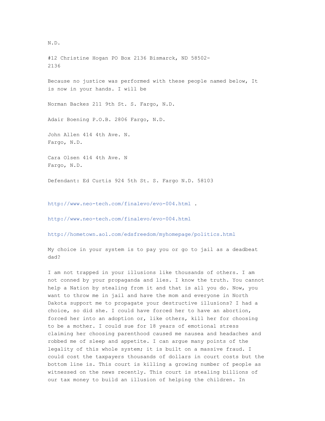#12 Christine Hogan PO Box 2136 Bismarck, ND 58502- 2136 Because no justice was performed with these people named below, It is now in your hands. I will be Norman Backes 211 9th St. S. Fargo, N.D. Adair Boening P.O.B. 2806 Fargo, N.D. John Allen 414 4th Ave. N. Fargo, N.D. Cara Olsen 414 4th Ave. N Fargo, N.D.

Defendant: Ed Curtis 924 5th St. S. Fargo N.D. 58103

http://www.neo-tech.com/finalevo/evo-004.html .

http://www.neo-tech.com/finalevo/evo-004.html

http://hometown.aol.com/edsfreedom/myhomepage/politics.html

My choice in your system is to pay you or go to jail as a deadbeat dad?

I am not trapped in your illusions like thousands of others. I am not conned by your propaganda and lies. I know the truth. You cannot help a Nation by stealing from it and that is all you do. Now, you want to throw me in jail and have the mom and everyone in North Dakota support me to propagate your destructive illusions? I had a choice, so did she. I could have forced her to have an abortion, forced her into an adoption or, like others, kill her for choosing to be a mother. I could sue for 18 years of emotional stress claiming her choosing parenthood caused me nausea and headaches and robbed me of sleep and appetite. I can argue many points of the legality of this whole system; it is built on a massive fraud. I could cost the taxpayers thousands of dollars in court costs but the bottom line is. This court is killing a growing number of people as witnessed on the news recently. This court is stealing billions of our tax money to build an illusion of helping the children. In

## N.D.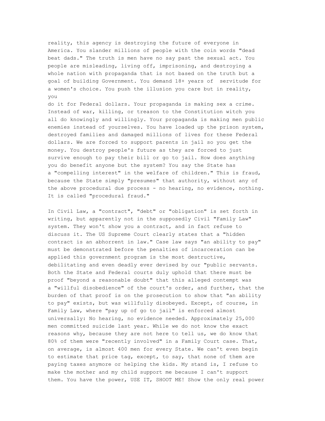reality, this agency is destroying the future of everyone in America. You slander millions of people with the coin words "dead beat dads." The truth is men have no say past the sexual act. You people are misleading, living off, imprisoning, and destroying a whole nation with propaganda that is not based on the truth but a goal of building Government. You demand 18+ years of servitude for a women's choice. You push the illusion you care but in reality, you

do it for Federal dollars. Your propaganda is making sex a crime. Instead of war, killing, or treason to the Constitution witch you all do knowingly and willingly. Your propaganda is making men public enemies instead of yourselves. You have loaded up the prison system, destroyed families and damaged millions of lives for these Federal dollars. We are forced to support parents in jail so you get the money. You destroy people's future as they are forced to just survive enough to pay their bill or go to jail. How does anything you do benefit anyone but the system? You say the State has a "compelling interest" in the welfare of children." This is fraud, because the State simply "presumes" that authority, without any of the above procedural due process - no hearing, no evidence, nothing. It is called "procedural fraud."

In Civil Law, a "contract", "debt" or "obligation" is set forth in writing, but apparently not in the supposedly Civil "Family Law" system. They won't show you a contract, and in fact refuse to discuss it. The US Supreme Court clearly states that a "hidden contract is an abhorrent in law." Case law says "an ability to pay" must be demonstrated before the penalties of incarceration can be applied this government program is the most destructive, debilitating and even deadly ever devised by our "public servants. Both the State and Federal courts duly uphold that there must be proof "beyond a reasonable doubt" that this alleged contempt was a "willful disobedience" of the court's order, and further, that the burden of that proof is on the prosecution to show that "an ability to pay" exists, but was willfully disobeyed. Except, of course, in Family Law, where "pay up of go to jail" is enforced almost universally: No hearing, no evidence needed. Approximately 25,000 men committed suicide last year. While we do not know the exact reasons why, because they are not here to tell us, we do know that 80% of them were "recently involved" in a Family Court case. That, on average, is almost 400 men for every State. We can't even begin to estimate that price tag, except, to say, that none of them are paying taxes anymore or helping the kids. My stand is, I refuse to make the mother and my child support me because I can't support them. You have the power, USE IT, SHOOT ME! Show the only real power